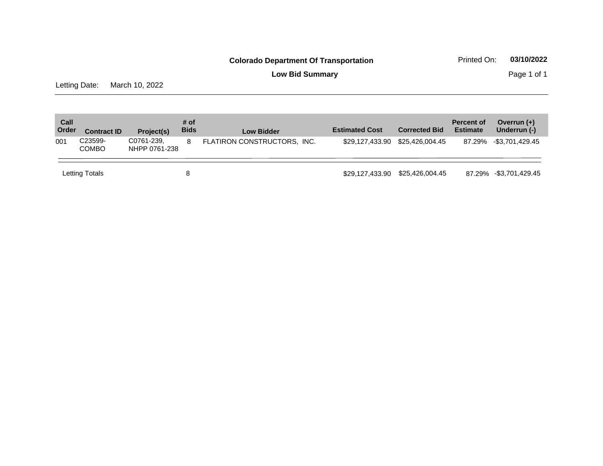**Low Bid Summary** Page 1 of 1

Letting Date: March 10, 2022

| Call<br>Order | <b>Contract ID</b>      | Project(s)                  | # of<br><b>Bids</b> | <b>Low Bidder</b>           | <b>Estimated Cost</b> | <b>Corrected Bid</b> | <b>Percent of</b><br><b>Estimate</b> | Overrun $(+)$<br>Underrun (-) |
|---------------|-------------------------|-----------------------------|---------------------|-----------------------------|-----------------------|----------------------|--------------------------------------|-------------------------------|
| 001           | C23599-<br><b>COMBO</b> | C0761-239,<br>NHPP 0761-238 | 8                   | FLATIRON CONSTRUCTORS, INC. | \$29.127.433.90       | \$25,426,004.45      |                                      | 87.29% -\$3,701,429.45        |
|               | Letting Totals          |                             | 8                   |                             | \$29,127,433.90       | \$25,426,004.45      |                                      | 87.29% -\$3,701,429.45        |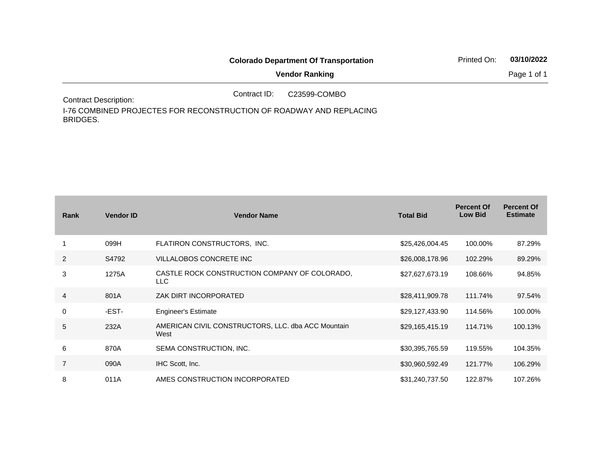|                              |              | <b>Colorado Department Of Transportation</b> | Printed On: | 03/10/2022  |
|------------------------------|--------------|----------------------------------------------|-------------|-------------|
|                              |              | <b>Vendor Ranking</b>                        |             | Page 1 of 1 |
| <b>Contract Description:</b> | Contract ID: | C23599-COMBO                                 |             |             |

I-76 COMBINED PROJECTES FOR RECONSTRUCTION OF ROADWAY AND REPLACING BRIDGES.

| Rank           | <b>Vendor ID</b> | <b>Vendor Name</b>                                         | <b>Total Bid</b> | <b>Percent Of</b><br><b>Low Bid</b> | <b>Percent Of</b><br><b>Estimate</b> |
|----------------|------------------|------------------------------------------------------------|------------------|-------------------------------------|--------------------------------------|
|                | 099H             | FLATIRON CONSTRUCTORS, INC.                                | \$25,426,004.45  | 100.00%                             | 87.29%                               |
| 2              | S4792            | VILLALOBOS CONCRETE INC                                    | \$26,008,178.96  | 102.29%                             | 89.29%                               |
| 3              | 1275A            | CASTLE ROCK CONSTRUCTION COMPANY OF COLORADO.<br>LLC.      | \$27,627,673.19  | 108.66%                             | 94.85%                               |
| 4              | 801A             | ZAK DIRT INCORPORATED                                      | \$28,411,909.78  | 111.74%                             | 97.54%                               |
| $\mathbf 0$    | -EST-            | <b>Engineer's Estimate</b>                                 | \$29,127,433.90  | 114.56%                             | 100.00%                              |
| 5              | 232A             | AMERICAN CIVIL CONSTRUCTORS, LLC. dba ACC Mountain<br>West | \$29,165,415.19  | 114.71%                             | 100.13%                              |
| 6              | 870A             | SEMA CONSTRUCTION, INC.                                    | \$30,395,765.59  | 119.55%                             | 104.35%                              |
| $\overline{7}$ | 090A             | IHC Scott, Inc.                                            | \$30,960,592.49  | 121.77%                             | 106.29%                              |
| 8              | 011A             | AMES CONSTRUCTION INCORPORATED                             | \$31,240,737.50  | 122.87%                             | 107.26%                              |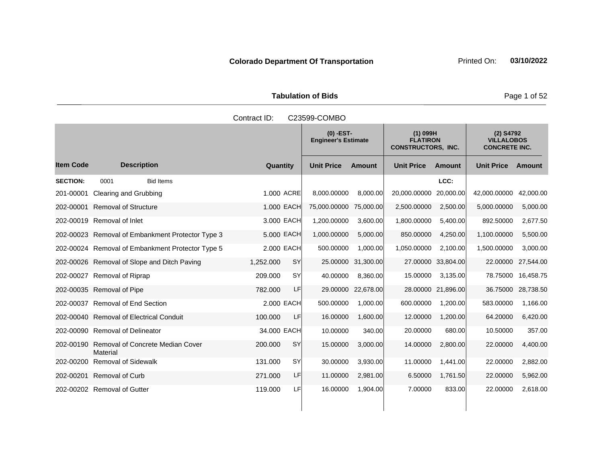Tabulation of Bids **Page 1 of 52** 

|                  |                                                  | Contract ID:           | C23599-COMBO                              |               |                   |                                                            |                   |                                                          |
|------------------|--------------------------------------------------|------------------------|-------------------------------------------|---------------|-------------------|------------------------------------------------------------|-------------------|----------------------------------------------------------|
|                  |                                                  |                        | $(0)$ -EST-<br><b>Engineer's Estimate</b> |               |                   | $(1)$ 099H<br><b>FLATIRON</b><br><b>CONSTRUCTORS, INC.</b> |                   | $(2)$ S4792<br><b>VILLALOBOS</b><br><b>CONCRETE INC.</b> |
| <b>Item Code</b> | <b>Description</b>                               | Quantity               | <b>Unit Price</b>                         | <b>Amount</b> | <b>Unit Price</b> | <b>Amount</b>                                              | <b>Unit Price</b> | Amount                                                   |
| <b>SECTION:</b>  | 0001<br><b>Bid Items</b>                         |                        |                                           |               |                   | LCC:                                                       |                   |                                                          |
| 201-00001        | Clearing and Grubbing                            | 1.000 ACRE             | 8,000.00000                               | 8,000.00      | 20,000.00000      | 20,000.00                                                  | 42,000.00000      | 42,000.00                                                |
| 202-00001        | <b>Removal of Structure</b>                      | 1.000 EACH             | 75,000.00000                              | 75,000.00     | 2,500.00000       | 2,500.00                                                   | 5,000.00000       | 5,000.00                                                 |
|                  | 202-00019 Removal of Inlet                       | 3.000 EACH             | 1,200.00000                               | 3,600.00      | 1,800.00000       | 5,400.00                                                   | 892.50000         | 2,677.50                                                 |
|                  | 202-00023 Removal of Embankment Protector Type 3 | 5.000 EACH             | 1,000.00000                               | 5,000.00      | 850.00000         | 4,250.00                                                   | 1,100.00000       | 5,500.00                                                 |
|                  | 202-00024 Removal of Embankment Protector Type 5 | 2.000 EACH             | 500.00000                                 | 1,000.00      | 1,050.00000       | 2,100.00                                                   | 1,500.00000       | 3,000.00                                                 |
|                  | 202-00026 Removal of Slope and Ditch Paving      | 1,252.000<br><b>SY</b> | 25.00000                                  | 31,300.00     |                   | 27.00000 33,804.00                                         | 22.00000          | 27,544.00                                                |
|                  | 202-00027 Removal of Riprap                      | 209.000<br><b>SY</b>   | 40.00000                                  | 8,360.00      | 15.00000          | 3,135.00                                                   | 78.75000          | 16,458.75                                                |
|                  | 202-00035 Removal of Pipe                        | 782.000<br>LF          | 29.00000                                  | 22,678.00     |                   | 28.00000 21,896.00                                         | 36.75000          | 28,738.50                                                |
|                  | 202-00037 Removal of End Section                 | 2.000 EACH             | 500.00000                                 | 1,000.00      | 600.00000         | 1.200.00                                                   | 583.00000         | 1,166.00                                                 |
|                  | 202-00040 Removal of Electrical Conduit          | LF<br>100.000          | 16.00000                                  | 1,600.00      | 12.00000          | 1,200.00                                                   | 64.20000          | 6,420.00                                                 |
|                  | 202-00090 Removal of Delineator                  | 34.000 EACH            | 10.00000                                  | 340.00        | 20.00000          | 680.00                                                     | 10.50000          | 357.00                                                   |
| 202-00190        | Removal of Concrete Median Cover<br>Material     | SY<br>200.000          | 15.00000                                  | 3,000.00      | 14.00000          | 2,800.00                                                   | 22.00000          | 4,400.00                                                 |
| 202-00200        | <b>Removal of Sidewalk</b>                       | SY<br>131.000          | 30.00000                                  | 3,930.00      | 11.00000          | 1,441.00                                                   | 22.00000          | 2,882.00                                                 |
| 202-00201        | <b>Removal of Curb</b>                           | 271.000<br>LF          | 11.00000                                  | 2,981.00      | 6.50000           | 1,761.50                                                   | 22.00000          | 5,962.00                                                 |
|                  | 202-00202 Removal of Gutter                      | 119.000<br>LF          | 16.00000                                  | 1,904.00      | 7.00000           | 833.00                                                     | 22.00000          | 2,618.00                                                 |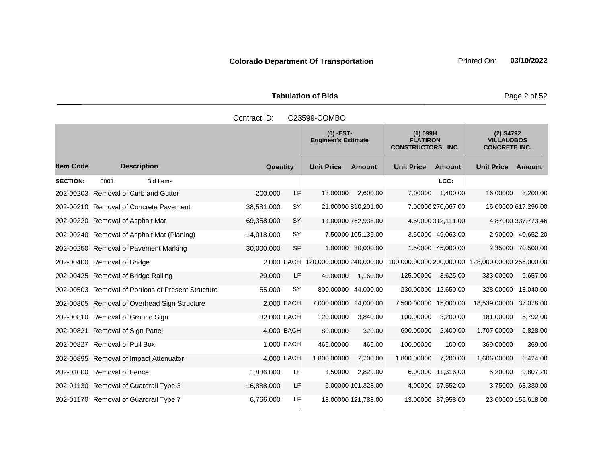Tabulation of Bids **Page 2 of 52** 

|                  |                                                    | Contract ID:                              |            | C23599-COMBO             |                                                            |                          |                                                          |                          |                     |
|------------------|----------------------------------------------------|-------------------------------------------|------------|--------------------------|------------------------------------------------------------|--------------------------|----------------------------------------------------------|--------------------------|---------------------|
|                  |                                                    | $(0)$ -EST-<br><b>Engineer's Estimate</b> |            |                          | $(1)$ 099H<br><b>FLATIRON</b><br><b>CONSTRUCTORS, INC.</b> |                          | $(2)$ S4792<br><b>VILLALOBOS</b><br><b>CONCRETE INC.</b> |                          |                     |
| <b>Item Code</b> | <b>Description</b>                                 | Quantity                                  |            | <b>Unit Price</b>        | <b>Amount</b>                                              | <b>Unit Price</b>        | Amount                                                   | <b>Unit Price</b>        | Amount              |
| <b>SECTION:</b>  | 0001<br><b>Bid Items</b>                           |                                           |            |                          |                                                            |                          | LCC:                                                     |                          |                     |
|                  | 202-00203 Removal of Curb and Gutter               | 200.000                                   | LF         | 13.00000                 | 2,600.00                                                   | 7.00000                  | 1,400.00                                                 | 16.00000                 | 3,200.00            |
|                  | 202-00210 Removal of Concrete Pavement             | 38,581.000                                | <b>SY</b>  |                          | 21.00000 810,201.00                                        |                          | 7.00000 270,067.00                                       |                          | 16.00000 617,296.00 |
|                  | 202-00220 Removal of Asphalt Mat                   | 69,358.000                                | <b>SY</b>  |                          | 11.00000 762,938.00                                        |                          | 4.50000312,111.00                                        |                          | 4.87000 337,773.46  |
|                  | 202-00240 Removal of Asphalt Mat (Planing)         | 14,018.000                                | <b>SY</b>  |                          | 7.50000 105,135.00                                         |                          | 3.50000 49,063.00                                        |                          | 2.90000 40,652.20   |
|                  | 202-00250 Removal of Pavement Marking              | 30,000.000                                | SF         |                          | 1.00000 30,000.00                                          |                          | 1.50000 45,000.00                                        |                          | 2.35000 70,500.00   |
|                  | 202-00400 Removal of Bridge                        |                                           | 2.000 EACH | 120,000.00000 240,000.00 |                                                            | 100,000.00000 200,000.00 |                                                          | 128,000.00000 256,000.00 |                     |
|                  | 202-00425 Removal of Bridge Railing                | 29.000                                    | LF         | 40.00000                 | 1,160.00                                                   | 125.00000                | 3,625.00                                                 | 333.00000                | 9,657.00            |
|                  | 202-00503 Removal of Portions of Present Structure | 55.000                                    | <b>SY</b>  | 800.00000                | 44,000.00                                                  | 230.00000 12,650.00      |                                                          | 328.00000                | 18,040.00           |
|                  | 202-00805 Removal of Overhead Sign Structure       |                                           | 2.000 EACH | 7,000.00000              | 14,000.00                                                  | 7,500.00000 15,000.00    |                                                          | 18,539.00000             | 37,078.00           |
|                  | 202-00810 Removal of Ground Sign                   | 32.000 EACH                               |            | 120.00000                | 3,840.00                                                   | 100.00000                | 3,200.00                                                 | 181.00000                | 5,792.00            |
| 202-00821        | Removal of Sign Panel                              |                                           | 4.000 EACH | 80.00000                 | 320.00                                                     | 600.00000                | 2,400.00                                                 | 1,707.00000              | 6,828.00            |
|                  | 202-00827 Removal of Pull Box                      |                                           | 1.000 EACH | 465.00000                | 465.00                                                     | 100.00000                | 100.00                                                   | 369.00000                | 369.00              |
|                  | 202-00895 Removal of Impact Attenuator             |                                           | 4.000 EACH | 1,800.00000              | 7,200.00                                                   | 1,800.00000              | 7,200.00                                                 | 1,606.00000              | 6,424.00            |
|                  | 202-01000 Removal of Fence                         | 1,886.000                                 | LF         | 1.50000                  | 2,829.00                                                   |                          | 6.00000 11,316.00                                        | 5.20000                  | 9,807.20            |
|                  | 202-01130 Removal of Guardrail Type 3              | 16,888.000                                | LF         |                          | 6.00000 101,328.00                                         |                          | 4.00000 67,552.00                                        | 3.75000                  | 63,330.00           |
|                  | 202-01170 Removal of Guardrail Type 7              | 6,766.000                                 | LF         |                          | 18.00000 121,788.00                                        |                          | 13.00000 87,958.00                                       |                          | 23.00000 155,618.00 |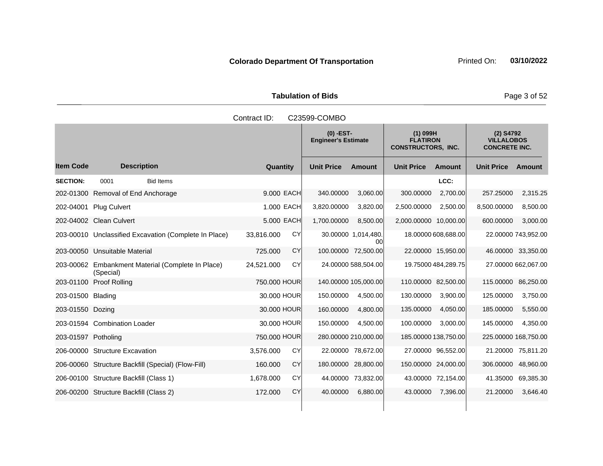Tabulation of Bids **Page 3 of 52** 

|                     | Contract ID:<br>C23599-COMBO                                   |                         |                                           |                                                            |                                                          |  |  |  |  |  |
|---------------------|----------------------------------------------------------------|-------------------------|-------------------------------------------|------------------------------------------------------------|----------------------------------------------------------|--|--|--|--|--|
|                     |                                                                |                         | $(0)$ -EST-<br><b>Engineer's Estimate</b> | $(1)$ 099H<br><b>FLATIRON</b><br><b>CONSTRUCTORS, INC.</b> | $(2)$ S4792<br><b>VILLALOBOS</b><br><b>CONCRETE INC.</b> |  |  |  |  |  |
| <b>Item Code</b>    | <b>Description</b>                                             | Quantity                | <b>Unit Price</b><br><b>Amount</b>        | <b>Unit Price</b><br><b>Amount</b>                         | <b>Unit Price</b><br>Amount                              |  |  |  |  |  |
| <b>SECTION:</b>     | <b>Bid Items</b><br>0001                                       |                         |                                           | LCC:                                                       |                                                          |  |  |  |  |  |
|                     | 202-01300 Removal of End Anchorage                             | 9.000 EACH              | 340.00000<br>3,060.00                     | 300.00000<br>2,700.00                                      | 2,315.25<br>257.25000                                    |  |  |  |  |  |
|                     | 202-04001 Plug Culvert                                         | 1.000 EACH              | 3,820.00000<br>3,820.00                   | 2,500.00000<br>2,500.00                                    | 8,500.00000<br>8,500.00                                  |  |  |  |  |  |
|                     | 202-04002 Clean Culvert                                        | 5.000 EACH              | 1,700.00000<br>8,500.00                   | 2,000.00000 10,000.00                                      | 600.00000<br>3,000.00                                    |  |  |  |  |  |
|                     | 203-00010 Unclassified Excavation (Complete In Place)          | CY<br>33,816.000        | 30.00000 1,014,480.<br>ΩOΙ                | 18.00000 608,688.00                                        | 22.00000 743,952.00                                      |  |  |  |  |  |
|                     | 203-00050 Unsuitable Material                                  | CY<br>725.000           | 100.00000 72,500.00                       | 22.00000 15,950.00                                         | 46.00000 33,350.00                                       |  |  |  |  |  |
|                     | 203-00062 Embankment Material (Complete In Place)<br>(Special) | <b>CY</b><br>24,521.000 | 24.00000 588,504.00                       | 19.75000 484,289.75                                        | 27.00000 662,067.00                                      |  |  |  |  |  |
|                     | 203-01100 Proof Rolling                                        | 750,000 HOUR            | 140.00000 105,000.00                      | 110.00000 82,500.00                                        | 115,00000<br>86,250.00                                   |  |  |  |  |  |
| 203-01500 Blading   |                                                                | 30.000 HOUR             | 150.00000<br>4,500.00                     | 130.00000<br>3,900.00                                      | 125.00000<br>3,750.00                                    |  |  |  |  |  |
| 203-01550 Dozing    |                                                                | 30.000 HOUR             | 160.00000<br>4,800.00                     | 135.00000<br>4,050.00                                      | 185.00000<br>5,550.00                                    |  |  |  |  |  |
|                     | 203-01594 Combination Loader                                   | 30,000 HOUR             | 150.00000<br>4,500.00                     | 100.00000<br>3,000.00                                      | 145.00000<br>4,350.00                                    |  |  |  |  |  |
| 203-01597 Potholing |                                                                | 750,000 HOUR            | 280.00000 210,000.00                      | 185.00000 138,750.00                                       | 225.00000 168,750.00                                     |  |  |  |  |  |
|                     | 206-00000 Structure Excavation                                 | CY<br>3,576.000         | 22.00000 78,672.00                        | 27.00000 96.552.00                                         | 21.20000<br>75,811.20                                    |  |  |  |  |  |
|                     | 206-00060 Structure Backfill (Special) (Flow-Fill)             | <b>CY</b><br>160.000    | 180.00000 28,800.00                       | 150.00000 24,000.00                                        | 48,960.00<br>306.00000                                   |  |  |  |  |  |
|                     | 206-00100 Structure Backfill (Class 1)                         | CY<br>1,678.000         | 44.00000 73,832.00                        | 43.00000 72,154.00                                         | 69,385.30<br>41.35000                                    |  |  |  |  |  |
|                     | 206-00200 Structure Backfill (Class 2)                         | 172.000<br>CY           | 40.00000<br>6,880.00                      | 43.00000<br>7,396.00                                       | 21.20000<br>3,646.40                                     |  |  |  |  |  |
|                     |                                                                |                         |                                           |                                                            |                                                          |  |  |  |  |  |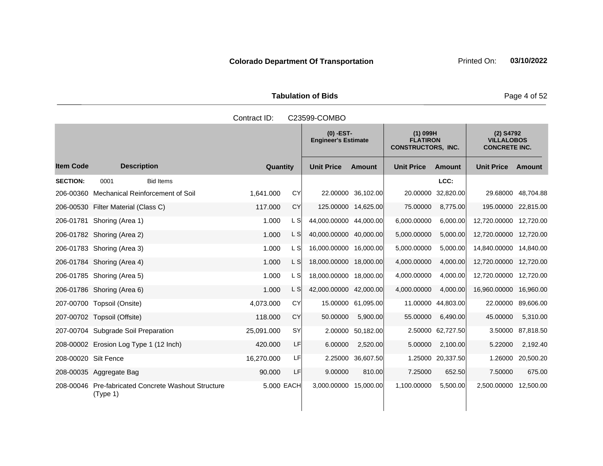Tabulation of Bids **Page 4 of 52** 

|                      |                                                                 | Contract ID: |           | C23599-COMBO                              |                    |                                                            |                    |                                                        |                    |
|----------------------|-----------------------------------------------------------------|--------------|-----------|-------------------------------------------|--------------------|------------------------------------------------------------|--------------------|--------------------------------------------------------|--------------------|
|                      |                                                                 |              |           | $(0)$ -EST-<br><b>Engineer's Estimate</b> |                    | $(1)$ 099H<br><b>FLATIRON</b><br><b>CONSTRUCTORS, INC.</b> |                    | (2) S4792<br><b>VILLALOBOS</b><br><b>CONCRETE INC.</b> |                    |
| <b>Item Code</b>     | <b>Description</b>                                              | Quantity     |           | <b>Unit Price</b>                         | <b>Amount</b>      | <b>Unit Price</b>                                          | <b>Amount</b>      | <b>Unit Price</b>                                      | Amount             |
| <b>SECTION:</b>      | <b>Bid Items</b><br>0001                                        |              |           |                                           |                    |                                                            | LCC:               |                                                        |                    |
|                      | 206-00360 Mechanical Reinforcement of Soil                      | 1,641.000    | CY        |                                           | 22.00000 36,102.00 | 20.00000                                                   | 32,820.00          |                                                        | 29.68000 48,704.88 |
|                      | 206-00530 Filter Material (Class C)                             | 117.000      | CY        | 125.00000 14,625.00                       |                    | 75.00000                                                   | 8,775.00           | 195.00000 22,815.00                                    |                    |
|                      | 206-01781 Shoring (Area 1)                                      | 1.000        | L S       | 44,000.00000 44,000.00                    |                    | 6,000.00000                                                | 6,000.00           | 12,720.00000 12,720.00                                 |                    |
|                      | 206-01782 Shoring (Area 2)                                      | 1.000        | L S       | 40,000.00000 40,000.00                    |                    | 5,000.00000                                                | 5,000.00           | 12,720.00000 12,720.00                                 |                    |
|                      | 206-01783 Shoring (Area 3)                                      | 1.000        | L S       | 16,000.00000 16,000.00                    |                    | 5,000.00000                                                | 5,000.00           | 14,840.00000 14,840.00                                 |                    |
|                      | 206-01784 Shoring (Area 4)                                      | 1.000        | L S       | 18,000.00000 18,000.00                    |                    | 4,000.00000                                                | 4,000.00           | 12,720.00000 12,720.00                                 |                    |
|                      | 206-01785 Shoring (Area 5)                                      | 1.000        | L S       | 18,000.00000 18,000.00                    |                    | 4,000.00000                                                | 4,000.00           | 12,720.00000 12,720.00                                 |                    |
|                      | 206-01786 Shoring (Area 6)                                      | 1.000        | L S       | 42,000.00000 42,000.00                    |                    | 4,000.00000                                                | 4,000.00           | 16,960.00000                                           | 16,960.00          |
|                      | 207-00700 Topsoil (Onsite)                                      | 4,073.000    | CY        |                                           | 15.00000 61,095.00 |                                                            | 11.00000 44,803.00 | 22,00000                                               | 89,606.00          |
|                      | 207-00702 Topsoil (Offsite)                                     | 118.000      | CY        | 50.00000                                  | 5,900.00           | 55.00000                                                   | 6,490.00           | 45.00000                                               | 5,310.00           |
|                      | 207-00704 Subgrade Soil Preparation                             | 25,091.000   | <b>SY</b> | 2.00000                                   | 50,182.00          |                                                            | 2.50000 62,727.50  | 3.50000                                                | 87,818.50          |
|                      | 208-00002 Erosion Log Type 1 (12 Inch)                          | 420.000      | LF        | 6.00000                                   | 2,520.00           | 5.00000                                                    | 2,100.00           | 5.22000                                                | 2,192.40           |
| 208-00020 Silt Fence |                                                                 | 16,270.000   | LF        |                                           | 2.25000 36,607.50  |                                                            | 1.25000 20,337.50  | 1.26000                                                | 20,500.20          |
|                      | 208-00035 Aggregate Bag                                         | 90.000       | LF        | 9.00000                                   | 810.00             | 7.25000                                                    | 652.50             | 7.50000                                                | 675.00             |
|                      | 208-00046 Pre-fabricated Concrete Washout Structure<br>(Type 1) | 5.000 EACH   |           | 3,000.00000 15,000.00                     |                    | 1,100.00000                                                | 5,500.00           | 2,500.00000                                            | 12,500.00          |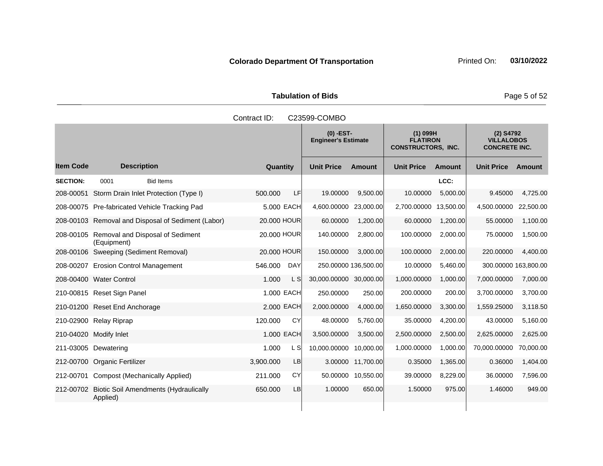Tabulation of Bids **Page 5 of 52** 

|                  |                                                           | Contract ID: |            | C23599-COMBO                              |                    |                                                            |               |                                                          |           |
|------------------|-----------------------------------------------------------|--------------|------------|-------------------------------------------|--------------------|------------------------------------------------------------|---------------|----------------------------------------------------------|-----------|
|                  |                                                           |              |            | $(0)$ -EST-<br><b>Engineer's Estimate</b> |                    | $(1)$ 099H<br><b>FLATIRON</b><br><b>CONSTRUCTORS, INC.</b> |               | $(2)$ S4792<br><b>VILLALOBOS</b><br><b>CONCRETE INC.</b> |           |
| <b>Item Code</b> | <b>Description</b>                                        | Quantity     |            | <b>Unit Price</b>                         | <b>Amount</b>      | <b>Unit Price</b>                                          | <b>Amount</b> | <b>Unit Price</b>                                        | Amount    |
| <b>SECTION:</b>  | <b>Bid Items</b><br>0001                                  |              |            |                                           |                    |                                                            | LCC:          |                                                          |           |
| 208-00051        | Storm Drain Inlet Protection (Type I)                     | 500.000      | <b>LF</b>  | 19.00000                                  | 9,500.00           | 10.00000                                                   | 5,000.00      | 9.45000                                                  | 4,725.00  |
|                  | 208-00075 Pre-fabricated Vehicle Tracking Pad             |              | 5.000 EACH | 4,600.00000                               | 23,000.00          | 2,700.00000 13,500.00                                      |               | 4,500.00000                                              | 22,500.00 |
|                  | 208-00103 Removal and Disposal of Sediment (Labor)        | 20.000 HOUR  |            | 60.00000                                  | 1,200.00           | 60.00000                                                   | 1,200.00      | 55.00000                                                 | 1,100.00  |
|                  | 208-00105 Removal and Disposal of Sediment<br>(Equipment) | 20.000 HOUR  |            | 140.00000                                 | 2,800.00           | 100.00000                                                  | 2,000.00      | 75.00000                                                 | 1,500.00  |
|                  | 208-00106 Sweeping (Sediment Removal)                     | 20,000 HOUR  |            | 150.00000                                 | 3.000.00           | 100.00000                                                  | 2,000.00      | 220.00000                                                | 4,400.00  |
|                  | 208-00207 Erosion Control Management                      | 546.000      | <b>DAY</b> | 250.00000 136,500.00                      |                    | 10.00000                                                   | 5,460.00      | 300.00000 163,800.00                                     |           |
|                  | 208-00400 Water Control                                   | 1.000        | L S        | 30,000.00000 30,000.00                    |                    | 1,000.00000                                                | 1,000.00      | 7,000.00000                                              | 7,000.00  |
|                  | 210-00815 Reset Sign Panel                                |              | 1.000 EACH | 250.00000                                 | 250.00             | 200.00000                                                  | 200.00        | 3,700.00000                                              | 3,700.00  |
|                  | 210-01200 Reset End Anchorage                             |              | 2.000 EACH | 2,000.00000                               | 4,000.00           | 1,650.00000                                                | 3,300.00      | 1,559.25000                                              | 3,118.50  |
|                  | 210-02900 Relay Riprap                                    | 120.000      | CY         | 48.00000                                  | 5,760.00           | 35.00000                                                   | 4,200.00      | 43.00000                                                 | 5,160.00  |
|                  | 210-04020 Modify Inlet                                    |              | 1.000 EACH | 3,500.00000                               | 3,500.00           | 2,500.00000                                                | 2,500.00      | 2,625.00000                                              | 2,625.00  |
|                  | 211-03005 Dewatering                                      | 1.000        | L S        | 10,000.00000 10,000.00                    |                    | 1,000.00000                                                | 1,000.00      | 70,000.00000                                             | 70,000.00 |
| 212-00700        | Organic Fertilizer                                        | 3,900.000    | <b>LB</b>  |                                           | 3.00000 11,700.00  | 0.35000                                                    | 1,365.00      | 0.36000                                                  | 1,404.00  |
| 212-00701        | Compost (Mechanically Applied)                            | 211.000      | CY         |                                           | 50.00000 10,550.00 | 39.00000                                                   | 8,229.00      | 36.00000                                                 | 7,596.00  |
| 212-00702        | <b>Biotic Soil Amendments (Hydraulically</b><br>Applied)  | 650.000      | <b>LB</b>  | 1.00000                                   | 650.00             | 1.50000                                                    | 975.00        | 1.46000                                                  | 949.00    |
|                  |                                                           |              |            |                                           |                    |                                                            |               |                                                          |           |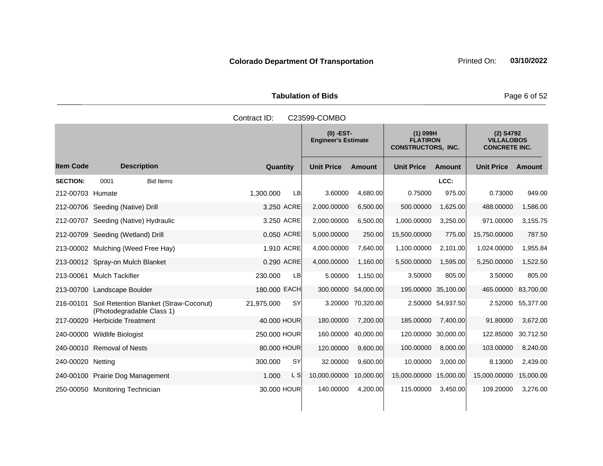Tabulation of Bids **Page 6 of 52** 

|                   |                                                                     | Contract ID:           | C23599-COMBO                              |                   |                                                            |                   |                                                        |           |
|-------------------|---------------------------------------------------------------------|------------------------|-------------------------------------------|-------------------|------------------------------------------------------------|-------------------|--------------------------------------------------------|-----------|
|                   |                                                                     |                        | $(0)$ -EST-<br><b>Engineer's Estimate</b> |                   | $(1)$ 099H<br><b>FLATIRON</b><br><b>CONSTRUCTORS, INC.</b> |                   | (2) S4792<br><b>VILLALOBOS</b><br><b>CONCRETE INC.</b> |           |
| <b>Item Code</b>  | <b>Description</b>                                                  | Quantity               | <b>Unit Price</b>                         | <b>Amount</b>     | <b>Unit Price</b>                                          | <b>Amount</b>     | <b>Unit Price</b>                                      | Amount    |
| <b>SECTION:</b>   | <b>Bid Items</b><br>0001                                            |                        |                                           |                   |                                                            | LCC:              |                                                        |           |
| 212-00703 Humate  |                                                                     | 1,300.000<br><b>LB</b> | 3.60000                                   | 4,680.00          | 0.75000                                                    | 975.00            | 0.73000                                                | 949.00    |
|                   | 212-00706 Seeding (Native) Drill                                    | 3.250 ACRE             | 2,000.00000                               | 6,500.00          | 500.00000                                                  | 1,625.00          | 488.00000                                              | 1,586.00  |
|                   | 212-00707 Seeding (Native) Hydraulic                                | 3.250 ACRE             | 2,000.00000                               | 6,500.00          | 1,000.00000                                                | 3,250.00          | 971.00000                                              | 3,155.75  |
|                   | 212-00709 Seeding (Wetland) Drill                                   | 0.050 ACRE             | 5,000.00000                               | 250.00            | 15,500.00000                                               | 775.00            | 15,750.00000                                           | 787.50    |
|                   | 213-00002 Mulching (Weed Free Hay)                                  | 1.910 ACRE             | 4,000.00000                               | 7,640.00          | 1,100.00000                                                | 2,101.00          | 1,024.00000                                            | 1,955.84  |
|                   | 213-00012 Spray-on Mulch Blanket                                    | 0.290 ACRE             | 4,000.00000                               | 1,160.00          | 5,500.00000                                                | 1,595.00          | 5,250.00000                                            | 1,522.50  |
|                   | 213-00061 Mulch Tackifier                                           | LB<br>230,000          | 5.00000                                   | 1,150.00          | 3.50000                                                    | 805.00            | 3.50000                                                | 805.00    |
|                   | 213-00700 Landscape Boulder                                         | 180.000 EACH           | 300.00000                                 | 54,000.00         | 195.00000 35,100.00                                        |                   | 465.00000                                              | 83,700.00 |
| 216-00101         | Soil Retention Blanket (Straw-Coconut)<br>(Photodegradable Class 1) | SY<br>21,975.000       |                                           | 3.20000 70,320.00 |                                                            | 2.50000 54,937.50 | 2.52000                                                | 55,377.00 |
|                   | 217-00020 Herbicide Treatment                                       | 40.000 HOUR            | 180.00000                                 | 7,200.00          | 185.00000                                                  | 7,400.00          | 91.80000                                               | 3,672.00  |
|                   | 240-00000 Wildlife Biologist                                        | 250.000 HOUR           | 160.00000                                 | 40,000.00         | 120.00000 30,000.00                                        |                   | 122.85000                                              | 30,712.50 |
|                   | 240-00010 Removal of Nests                                          | 80.000 HOUR            | 120.00000                                 | 9,600.00          | 100.00000                                                  | 8,000.00          | 103.00000                                              | 8,240.00  |
| 240-00020 Netting |                                                                     | SY<br>300.000          | 32.00000                                  | 9,600.00          | 10.00000                                                   | 3,000.00          | 8.13000                                                | 2,439.00  |
|                   | 240-00100 Prairie Dog Management                                    | 1.000<br>L S           | 10,000.00000                              | 10,000.00         | 15,000.00000 15,000.00                                     |                   | 15,000.00000                                           | 15,000.00 |
|                   | 250-00050 Monitoring Technician                                     | 30.000 HOUR            | 140.00000                                 | 4,200.00          | 115.00000                                                  | 3,450.00          | 109.20000                                              | 3,276.00  |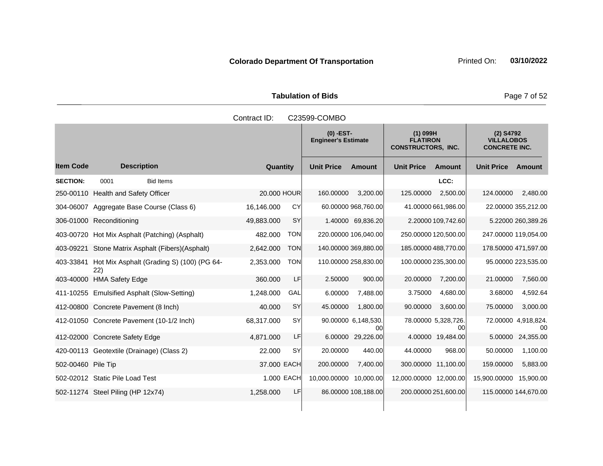Tabulation of Bids **Page 7 of 52** 

|                    |                                                  | Contract ID: |            | C23599-COMBO                              |                           |                                                            |                                                          |                      |                           |
|--------------------|--------------------------------------------------|--------------|------------|-------------------------------------------|---------------------------|------------------------------------------------------------|----------------------------------------------------------|----------------------|---------------------------|
|                    |                                                  |              |            | $(0)$ -EST-<br><b>Engineer's Estimate</b> |                           | $(1)$ 099H<br><b>FLATIRON</b><br><b>CONSTRUCTORS, INC.</b> | $(2)$ S4792<br><b>VILLALOBOS</b><br><b>CONCRETE INC.</b> |                      |                           |
| <b>Item Code</b>   | <b>Description</b>                               | Quantity     |            | <b>Unit Price</b>                         | <b>Amount</b>             | <b>Unit Price</b>                                          | <b>Amount</b>                                            | <b>Unit Price</b>    | Amount                    |
| <b>SECTION:</b>    | 0001<br><b>Bid Items</b>                         |              |            |                                           |                           |                                                            | LCC:                                                     |                      |                           |
|                    | 250-00110 Health and Safety Officer              | 20.000 HOUR  |            | 160.00000                                 | 3,200.00                  | 125.00000                                                  | 2,500.00                                                 | 124.00000            | 2,480.00                  |
|                    | 304-06007 Aggregate Base Course (Class 6)        | 16,146.000   | CY         |                                           | 60.00000 968,760.00       |                                                            | 41.00000 661,986.00                                      |                      | 22.00000 355,212.00       |
|                    | 306-01000 Reconditioning                         | 49,883.000   | <b>SY</b>  |                                           | 1.40000 69,836.20         |                                                            | 2.20000 109,742.60                                       |                      | 5.22000 260,389.26        |
|                    | 403-00720 Hot Mix Asphalt (Patching) (Asphalt)   | 482.000      | <b>TON</b> | 220.00000 106,040.00                      |                           | 250.00000 120,500.00                                       |                                                          | 247.00000 119,054.00 |                           |
| 403-09221          | Stone Matrix Asphalt (Fibers) (Asphalt)          | 2,642.000    | <b>TON</b> | 140.00000 369,880.00                      |                           | 185.00000 488,770.00                                       |                                                          | 178.50000 471,597.00 |                           |
| 403-33841          | Hot Mix Asphalt (Grading S) (100) (PG 64-<br>22) | 2,353.000    | <b>TON</b> | 110.00000 258,830.00                      |                           | 100.00000 235,300.00                                       |                                                          |                      | 95.00000 223,535.00       |
|                    | 403-40000 HMA Safety Edge                        | 360.000      | LF         | 2.50000                                   | 900.00                    | 20.00000                                                   | 7,200.00                                                 | 21.00000             | 7,560.00                  |
|                    | 411-10255 Emulsified Asphalt (Slow-Setting)      | 1,248.000    | GAL        | 6.00000                                   | 7,488.00                  | 3.75000                                                    | 4,680.00                                                 | 3.68000              | 4,592.64                  |
|                    | 412-00800 Concrete Pavement (8 Inch)             | 40.000       | SY         | 45.00000                                  | 1,800.00                  | 90.00000                                                   | 3,600.00                                                 | 75.00000             | 3,000.00                  |
|                    | 412-01050 Concrete Pavement (10-1/2 Inch)        | 68,317.000   | <b>SY</b>  |                                           | 90.00000 6,148,530.<br>00 |                                                            | 78.00000 5,328,726.<br>00                                |                      | 72.00000 4,918,824.<br>00 |
|                    | 412-02000 Concrete Safety Edge                   | 4,871.000    | LF         |                                           | 6.00000 29,226.00         |                                                            | 4.00000 19,484.00                                        | 5.00000              | 24,355.00                 |
|                    | 420-00113 Geotextile (Drainage) (Class 2)        | 22,000       | SY         | 20.00000                                  | 440.00                    | 44.00000                                                   | 968.00                                                   | 50.00000             | 1,100.00                  |
| 502-00460 Pile Tip |                                                  | 37.000 EACH  |            | 200.00000                                 | 7,400.00                  | 300.00000 11,100.00                                        |                                                          | 159.00000            | 5,883.00                  |
|                    | 502-02012 Static Pile Load Test                  | 1.000 EACH   |            | 10,000.00000 10,000.00                    |                           | 12,000.00000 12,000.00                                     |                                                          | 15,900.00000         | 15,900.00                 |
|                    | 502-11274 Steel Piling (HP 12x74)                | 1,258.000    | LF         |                                           | 86.00000 108,188.00       | 200.00000 251,600.00                                       |                                                          | 115.00000 144,670.00 |                           |
|                    |                                                  |              |            |                                           |                           |                                                            |                                                          |                      |                           |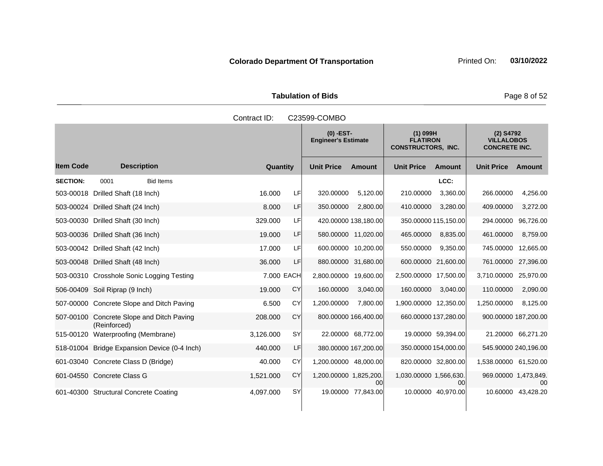Tabulation of Bids **Page 8 of 52** 

|                  |                                                 | Contract ID: |            | C23599-COMBO           |                                                                                                         |                        |                    |                                                          |                    |
|------------------|-------------------------------------------------|--------------|------------|------------------------|---------------------------------------------------------------------------------------------------------|------------------------|--------------------|----------------------------------------------------------|--------------------|
|                  |                                                 |              |            |                        | $(0)$ -EST-<br>$(1)$ 099H<br><b>FLATIRON</b><br><b>Engineer's Estimate</b><br><b>CONSTRUCTORS, INC.</b> |                        |                    | $(2)$ S4792<br><b>VILLALOBOS</b><br><b>CONCRETE INC.</b> |                    |
| <b>Item Code</b> | <b>Description</b>                              | Quantity     |            | <b>Unit Price</b>      | <b>Amount</b>                                                                                           | <b>Unit Price</b>      | <b>Amount</b>      | <b>Unit Price</b>                                        | <b>Amount</b>      |
| <b>SECTION:</b>  | <b>Bid Items</b><br>0001                        |              |            |                        |                                                                                                         |                        | LCC:               |                                                          |                    |
| 503-00018        | Drilled Shaft (18 Inch)                         | 16.000       | LF         | 320.00000              | 5,120.00                                                                                                | 210.00000              | 3,360.00           | 266.00000                                                | 4,256.00           |
|                  | 503-00024 Drilled Shaft (24 Inch)               | 8.000        | LF         | 350.00000              | 2.800.00                                                                                                | 410.00000              | 3,280.00           | 409.00000                                                | 3,272.00           |
|                  | 503-00030 Drilled Shaft (30 Inch)               | 329.000      | LF         |                        | 420.00000 138,180.00                                                                                    | 350.00000 115,150.00   |                    | 294.00000                                                | 96,726.00          |
|                  | 503-00036 Drilled Shaft (36 Inch)               | 19.000       | LF         |                        | 580.00000 11,020.00                                                                                     | 465.00000              | 8,835.00           | 461.00000                                                | 8,759.00           |
|                  | 503-00042 Drilled Shaft (42 Inch)               | 17.000       | LF         |                        | 600.00000 10,200.00                                                                                     | 550.00000              | 9,350.00           | 745.00000                                                | 12,665.00          |
|                  | 503-00048 Drilled Shaft (48 Inch)               | 36.000       | LF         |                        | 880.00000 31,680.00                                                                                     | 600.00000 21,600.00    |                    | 761.00000                                                | 27,396.00          |
|                  | 503-00310 Crosshole Sonic Logging Testing       |              | 7.000 EACH | 2,800.00000            | 19.600.00                                                                                               | 2,500.00000 17,500.00  |                    | 3,710.00000                                              | 25,970.00          |
|                  | 506-00409 Soil Riprap (9 Inch)                  | 19.000       | CY         | 160.00000              | 3,040.00                                                                                                | 160.00000              | 3,040.00           | 110.00000                                                | 2,090.00           |
|                  | 507-00000 Concrete Slope and Ditch Paving       | 6.500        | CY         | 1,200.00000            | 7,800.00                                                                                                | 1,900.00000 12,350.00  |                    | 1,250.00000                                              | 8,125.00           |
| 507-00100        | Concrete Slope and Ditch Paving<br>(Reinforced) | 208.000      | CY         |                        | 800.00000 166,400.00                                                                                    | 660.00000 137,280.00   |                    | 900.00000 187,200.00                                     |                    |
| 515-00120        | Waterproofing (Membrane)                        | 3,126.000    | SY         |                        | 22.00000 68,772.00                                                                                      |                        | 19.00000 59,394.00 |                                                          | 21.20000 66,271.20 |
|                  | 518-01004 Bridge Expansion Device (0-4 Inch)    | 440.000      | LF         |                        | 380.00000 167,200.00                                                                                    | 350.00000 154,000.00   |                    | 545.90000 240,196.00                                     |                    |
|                  | 601-03040 Concrete Class D (Bridge)             | 40.000       | CY         | 1,200.00000 48,000.00  |                                                                                                         | 820.00000 32,800.00    |                    | 1,538.00000 61,520.00                                    |                    |
|                  | 601-04550 Concrete Class G                      | 1,521.000    | CY         | 1,200.00000 1,825,200. | 00                                                                                                      | 1,030.00000 1,566,630. | 00                 | 969.00000 1,473,849.                                     | 00                 |
|                  | 601-40300 Structural Concrete Coating           | 4,097.000    | SY         |                        | 19.00000 77,843.00                                                                                      |                        | 10.00000 40,970.00 |                                                          | 10.60000 43,428.20 |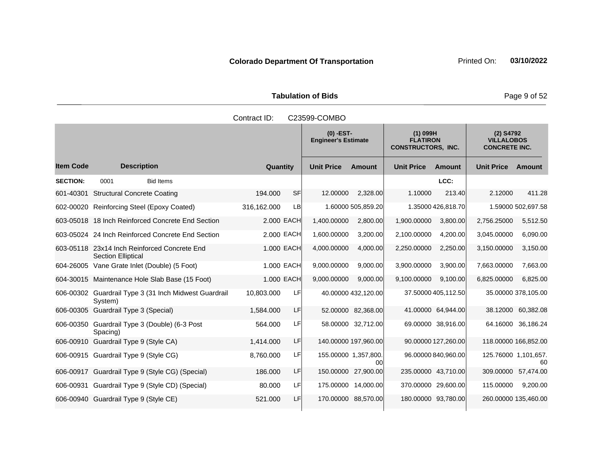Tabulation of Bids **Page 9 of 52** 

|                  |                                                                           | Contract ID: |            | C23599-COMBO                              |                            |                                                            |                     |                                                          |                     |
|------------------|---------------------------------------------------------------------------|--------------|------------|-------------------------------------------|----------------------------|------------------------------------------------------------|---------------------|----------------------------------------------------------|---------------------|
|                  |                                                                           |              |            | $(0)$ -EST-<br><b>Engineer's Estimate</b> |                            | $(1)$ 099H<br><b>FLATIRON</b><br><b>CONSTRUCTORS, INC.</b> |                     | $(2)$ S4792<br><b>VILLALOBOS</b><br><b>CONCRETE INC.</b> |                     |
| <b>Item Code</b> | <b>Description</b>                                                        | Quantity     |            | <b>Unit Price</b>                         | <b>Amount</b>              | <b>Unit Price</b>                                          | <b>Amount</b>       | <b>Unit Price</b>                                        | Amount              |
| <b>SECTION:</b>  | 0001<br><b>Bid Items</b>                                                  |              |            |                                           |                            |                                                            | LCC:                |                                                          |                     |
| 601-40301        | <b>Structural Concrete Coating</b>                                        | 194.000      | SFI        | 12.00000                                  | 2,328.00                   | 1.10000                                                    | 213.40              | 2.12000                                                  | 411.28              |
|                  | 602-00020 Reinforcing Steel (Epoxy Coated)                                | 316,162.000  | LB         |                                           | 1.60000 505,859.20         |                                                            | 1.35000 426,818.70  |                                                          | 1.59000 502,697.58  |
|                  | 603-05018 18 Inch Reinforced Concrete End Section                         |              | 2.000 EACH | 1,400.00000                               | 2,800.00                   | 1,900.00000                                                | 3,800.00            | 2,756.25000                                              | 5,512.50            |
|                  | 603-05024 24 Inch Reinforced Concrete End Section                         |              | 2.000 EACH | 1,600.00000                               | 3,200.00                   | 2,100.00000                                                | 4,200.00            | 3,045.00000                                              | 6,090.00            |
|                  | 603-05118 23x14 Inch Reinforced Concrete End<br><b>Section Elliptical</b> |              | 1.000 EACH | 4,000.00000                               | 4,000.00                   | 2,250.00000                                                | 2,250.00            | 3,150.00000                                              | 3,150.00            |
|                  | 604-26005 Vane Grate Inlet (Double) (5 Foot)                              |              | 1.000 EACH | 9,000.00000                               | 9,000.00                   | 3,900.00000                                                | 3,900.00            | 7,663.00000                                              | 7,663.00            |
|                  | 604-30015 Maintenance Hole Slab Base (15 Foot)                            |              | 1.000 EACH | 9,000.00000                               | 9,000.00                   | 9,100.00000                                                | 9,100.00            | 6,825.00000                                              | 6,825.00            |
|                  | 606-00302 Guardrail Type 3 (31 Inch Midwest Guardrail<br>System)          | 10,803.000   | LF         |                                           | 40.00000 432,120.00        |                                                            | 37.50000 405,112.50 |                                                          | 35.00000 378,105.00 |
|                  | 606-00305 Guardrail Type 3 (Special)                                      | 1,584.000    | LF         |                                           | 52.00000 82,368.00         |                                                            | 41.00000 64,944.00  | 38.12000                                                 | 60,382.08           |
|                  | 606-00350 Guardrail Type 3 (Double) (6-3 Post<br>Spacing)                 | 564.000      | LF         |                                           | 58.00000 32,712.00         |                                                            | 69.00000 38,916.00  |                                                          | 64.16000 36,186.24  |
|                  | 606-00910 Guardrail Type 9 (Style CA)                                     | 1,414.000    | LF         |                                           | 140.00000 197,960.00       |                                                            | 90.00000 127,260.00 | 118.00000 166,852.00                                     |                     |
|                  | 606-00915 Guardrail Type 9 (Style CG)                                     | 8,760.000    | LF         |                                           | 155.00000 1,357,800.<br>00 |                                                            | 96.00000 840,960.00 | 125.76000 1,101,657.                                     | 60                  |
|                  | 606-00917 Guardrail Type 9 (Style CG) (Special)                           | 186,000      | LF         | 150.00000                                 | 27,900.00                  |                                                            | 235.00000 43,710.00 | 309.00000                                                | 57,474.00           |
|                  | 606-00931 Guardrail Type 9 (Style CD) (Special)                           | 80.000       | LF         | 175.00000                                 | 14,000.00                  |                                                            | 370.00000 29,600.00 | 115.00000                                                | 9,200.00            |
|                  | 606-00940 Guardrail Type 9 (Style CE)                                     | 521.000      | LF         |                                           | 170.00000 88,570.00        |                                                            | 180.00000 93,780.00 | 260.00000 135,460.00                                     |                     |

Contract ID: C23599-COMBO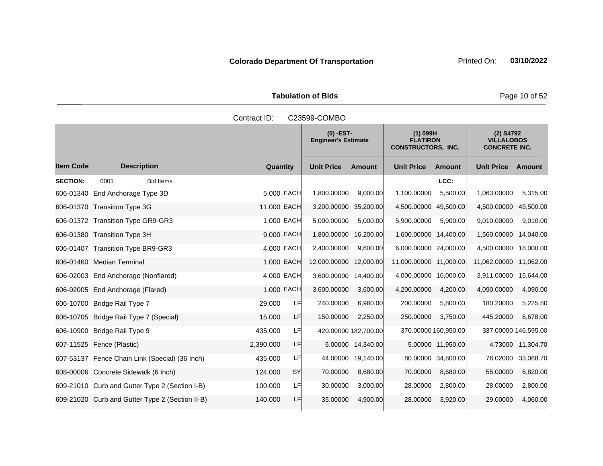**Tabulation of Bids** Page 10 of 52

**Quantity Unit Price Unit Price Item Code Amount Unit Price Amount Ext Ext Unit Price Amount Ext (0) -EST-Engineer's Estimate (1) 099H FLATIRON CONSTRUCTORS, INC. (2) S4792 VILLALOBOS CONCRETE INC. Description SECTION:** 0001 Bid Items **LCC:** 606-01340 End Anchorage Type 3D 5.000 EACH 1,800.00000 9,000.00 1,100.00000 5,500.00 1,063.00000 5,315.00 606-01370 Transition Type 3G 11.000 EACH 3,200.00000 35,200.00 4,500.00000 49,500.00 4,500.00000 49,500.00 606-01372 Transition Type GR9-GR3 1.000 EACH 5,000.00000 5,000.00 5,900.00000 5,900.00 9,010.00000 9,010.00 606-01380 Transition Type 3H 9.000 EACH 1,800.00000 16,200.00 1,600.00000 14,400.00 1,560.00000 14,040.00 606-01407 Transition Type BR9-GR3 4.000 EACH 2,400.00000 9,600.00 6,000.00000 24,000.00 4,500.00000 18,000.00 606-01460 Median Terminal 1.000 EACH 12,000.00000 12,000.00 11,000.00000 11,000.00 11,062.00000 11,062.00 606-02003 End Anchorage (Nonflared) 4.000 EACH 3,600.00000 14,400.00 4,000.00000 16,000.00 3,911.00000 15,644.00 606-02005 End Anchorage (Flared) 1.000 EACH 3,600.00000 3,600.00 4,200.00000 4,200.00 4,090.00000 4,090.00 606-10700 Bridge Rail Type 7  $29.000$  LF  $240.00000$  6,960.00 200.00000 5,800.00 180.20000 5,225.80 606-10705 Bridge Rail Type 7 (Special) 15.000 LF 150.00000 2,250.00 250.00000 3,750.00 445.20000 6,678.00 606-10900 Bridge Rail Type 9 435.000 LF 420.00000 182,700.00 370.00000 160,950.00 337.00000 146,595.00 607-11525 Fence (Plastic) 2,390.000 LF 6.00000 14,340.00 5.00000 11,950.00 4.73000 11,304.70 607-53137 Fence Chain Link (Special) (36 Inch) 435.000 LF 44.00000 19,140.00 80.00000 34,800.00 76.02000 33,068.70 608-00006 Concrete Sidewalk (6 Inch) 124.000 SY 70.00000 8,680.00 70.00000 8,680.00 55.00000 6,820.00 609-21010 Curb and Gutter Type 2 (Section I-B) 100.000 LF 30.00000 3,000.00 28.00000 2,800.00 28.00000 2,800.00 609-21020 Curb and Gutter Type 2 (Section II-B) 140.000 LF 35.00000 4,900.00 28.00000 3,920.00 29.00000 4,060.00 Contract ID: C23599-COMBO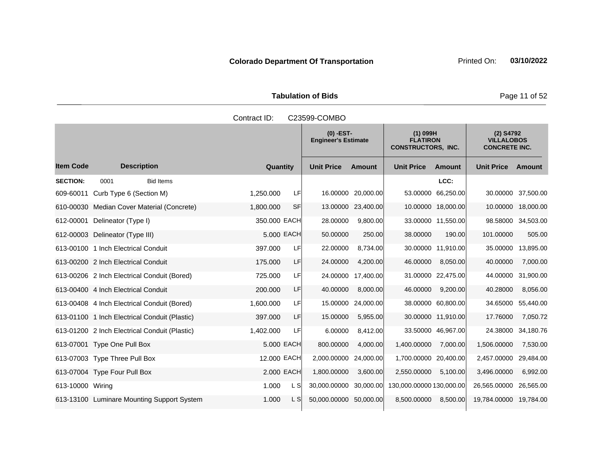Tabulation of Bids **Page 11 of 52** 

|                  | Contract ID:<br>C23599-COMBO                  |              |           |                                           |                    |                                                            |                    |                                                          |                    |  |  |
|------------------|-----------------------------------------------|--------------|-----------|-------------------------------------------|--------------------|------------------------------------------------------------|--------------------|----------------------------------------------------------|--------------------|--|--|
|                  |                                               |              |           | $(0)$ -EST-<br><b>Engineer's Estimate</b> |                    | $(1)$ 099H<br><b>FLATIRON</b><br><b>CONSTRUCTORS, INC.</b> |                    | $(2)$ S4792<br><b>VILLALOBOS</b><br><b>CONCRETE INC.</b> |                    |  |  |
| <b>Item Code</b> | <b>Description</b>                            | Quantity     |           | <b>Unit Price</b>                         | <b>Amount</b>      | <b>Unit Price</b>                                          | <b>Amount</b>      | <b>Unit Price</b>                                        | Amount             |  |  |
| <b>SECTION:</b>  | 0001<br><b>Bid Items</b>                      |              |           |                                           |                    |                                                            | LCC:               |                                                          |                    |  |  |
| 609-60011        | Curb Type 6 (Section M)                       | 1,250.000    | LF        | 16.00000                                  | 20,000.00          |                                                            | 53.00000 66,250.00 |                                                          | 30.00000 37,500.00 |  |  |
|                  | 610-00030 Median Cover Material (Concrete)    | 1,800.000    | <b>SF</b> |                                           | 13.00000 23,400.00 |                                                            | 10.00000 18,000.00 | 10.00000                                                 | 18,000.00          |  |  |
| 612-00001        | Delineator (Type I)                           | 350.000 EACH |           | 28.00000                                  | 9,800.00           |                                                            | 33.00000 11,550.00 |                                                          | 98.58000 34,503.00 |  |  |
|                  | 612-00003 Delineator (Type III)               | 5.000 EACH   |           | 50.00000                                  | 250.00             | 38.00000                                                   | 190.00             | 101.00000                                                | 505.00             |  |  |
|                  | 613-00100 1 Inch Electrical Conduit           | 397.000      | LF        | 22.00000                                  | 8,734.00           |                                                            | 30.00000 11,910.00 | 35.00000                                                 | 13,895.00          |  |  |
|                  | 613-00200 2 Inch Electrical Conduit           | 175.000      | LF        | 24.00000                                  | 4,200.00           | 46.00000                                                   | 8,050.00           | 40.00000                                                 | 7,000.00           |  |  |
|                  | 613-00206 2 Inch Electrical Conduit (Bored)   | 725.000      | LF        | 24.00000                                  | 17,400.00          |                                                            | 31.00000 22,475.00 | 44.00000                                                 | 31,900.00          |  |  |
|                  | 613-00400 4 Inch Electrical Conduit           | 200.000      | LF        | 40.00000                                  | 8,000.00           | 46.00000                                                   | 9,200.00           | 40.28000                                                 | 8,056.00           |  |  |
|                  | 613-00408 4 Inch Electrical Conduit (Bored)   | 1,600.000    | LF        | 15.00000                                  | 24,000.00          |                                                            | 38.00000 60,800.00 | 34.65000                                                 | 55,440.00          |  |  |
|                  | 613-01100 1 Inch Electrical Conduit (Plastic) | 397.000      | LF        | 15.00000                                  | 5,955.00           |                                                            | 30.00000 11,910.00 | 17.76000                                                 | 7,050.72           |  |  |
|                  | 613-01200 2 Inch Electrical Conduit (Plastic) | 1,402.000    | LF        | 6.00000                                   | 8,412.00           |                                                            | 33.50000 46.967.00 | 24.38000                                                 | 34,180.76          |  |  |
|                  | 613-07001 Type One Pull Box                   | 5.000 EACH   |           | 800.00000                                 | 4,000.00           | 1,400.00000                                                | 7,000.00           | 1,506.00000                                              | 7,530.00           |  |  |
|                  | 613-07003 Type Three Pull Box                 | 12.000 EACH  |           | 2,000.00000                               | 24,000.00          | 1,700.00000 20,400.00                                      |                    | 2,457.00000                                              | 29,484.00          |  |  |
|                  | 613-07004 Type Four Pull Box                  | 2.000 EACH   |           | 1,800.00000                               | 3,600.00           | 2,550.00000                                                | 5,100.00           | 3,496.00000                                              | 6,992.00           |  |  |
| 613-10000 Wiring |                                               | 1.000        | L SI      | 30,000.00000                              | 30,000.00          | 130,000.00000 130,000.00                                   |                    | 26,565.00000                                             | 26,565.00          |  |  |
|                  | 613-13100 Luminare Mounting Support System    | 1.000        | L S       | 50,000.00000                              | 50,000.00          | 8,500.00000                                                | 8,500.00           | 19,784.00000                                             | 19.784.00          |  |  |
|                  |                                               |              |           |                                           |                    |                                                            |                    |                                                          |                    |  |  |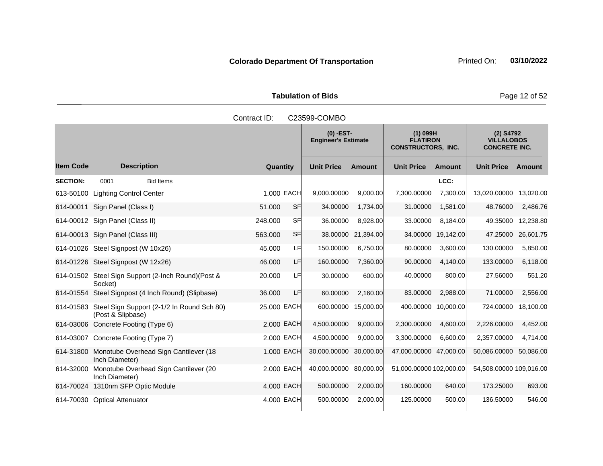Tabulation of Bids **Page 12 of 52** 

|                  |                                                                           | Contract ID: |           | C23599-COMBO                              |               |                                                            |                                                          |                         |           |
|------------------|---------------------------------------------------------------------------|--------------|-----------|-------------------------------------------|---------------|------------------------------------------------------------|----------------------------------------------------------|-------------------------|-----------|
|                  |                                                                           |              |           | $(0)$ -EST-<br><b>Engineer's Estimate</b> |               | $(1)$ 099H<br><b>FLATIRON</b><br><b>CONSTRUCTORS, INC.</b> | $(2)$ S4792<br><b>VILLALOBOS</b><br><b>CONCRETE INC.</b> |                         |           |
| <b>Item Code</b> | <b>Description</b>                                                        | Quantity     |           | <b>Unit Price</b>                         | <b>Amount</b> | <b>Unit Price</b>                                          | <b>Amount</b>                                            | <b>Unit Price</b>       | Amount    |
| <b>SECTION:</b>  | <b>Bid Items</b><br>0001                                                  |              |           |                                           |               |                                                            | LCC:                                                     |                         |           |
|                  | 613-50100 Lighting Control Center                                         | 1.000 EACH   |           | 9,000.00000                               | 9,000.00      | 7,300.00000                                                | 7,300.00                                                 | 13,020.00000            | 13,020.00 |
| 614-00011        | Sign Panel (Class I)                                                      | 51.000       | <b>SF</b> | 34.00000                                  | 1,734.00      | 31.00000                                                   | 1,581.00                                                 | 48.76000                | 2,486.76  |
|                  | 614-00012 Sign Panel (Class II)                                           | 248.000      | <b>SF</b> | 36.00000                                  | 8,928.00      | 33.00000                                                   | 8,184.00                                                 | 49.35000                | 12,238.80 |
|                  | 614-00013 Sign Panel (Class III)                                          | 563.000      | <b>SF</b> | 38.00000                                  | 21,394.00     |                                                            | 34.00000 19,142.00                                       | 47.25000                | 26,601.75 |
|                  | 614-01026 Steel Signpost (W 10x26)                                        | 45.000       | LF        | 150.00000                                 | 6,750.00      | 80.00000                                                   | 3,600.00                                                 | 130.00000               | 5,850.00  |
|                  | 614-01226 Steel Signpost (W 12x26)                                        | 46.000       | LF        | 160.00000                                 | 7,360.00      | 90.00000                                                   | 4,140.00                                                 | 133.00000               | 6,118.00  |
|                  | 614-01502 Steel Sign Support (2-Inch Round) (Post &<br>Socket)            | 20.000       | LF        | 30.00000                                  | 600.00        | 40.00000                                                   | 800.00                                                   | 27.56000                | 551.20    |
|                  | 614-01554 Steel Signpost (4 Inch Round) (Slipbase)                        | 36.000       | LF        | 60.00000                                  | 2,160.00      | 83.00000                                                   | 2,988.00                                                 | 71.00000                | 2,556.00  |
|                  | 614-01583 Steel Sign Support (2-1/2 In Round Sch 80)<br>(Post & Slipbase) | 25.000 EACH  |           | 600.00000 15,000.00                       |               |                                                            | 400.00000 10,000.00                                      | 724.00000               | 18,100.00 |
|                  | 614-03006 Concrete Footing (Type 6)                                       | 2.000 EACH   |           | 4,500.00000                               | 9,000.00      | 2,300.00000                                                | 4,600.00                                                 | 2,226.00000             | 4,452.00  |
|                  | 614-03007 Concrete Footing (Type 7)                                       | 2,000 EACH   |           | 4,500.00000                               | 9,000.00      | 3,300.00000                                                | 6,600.00                                                 | 2,357.00000             | 4,714.00  |
| 614-31800        | Monotube Overhead Sign Cantilever (18)<br>Inch Diameter)                  | 1.000 EACH   |           | 30,000.00000                              | 30,000.00     | 47,000.00000 47,000.00                                     |                                                          | 50,086.00000            | 50,086.00 |
| 614-32000        | Monotube Overhead Sign Cantilever (20<br>Inch Diameter)                   | 2,000 EACH   |           | 40,000.00000                              | 80,000.00     | 51,000.00000 102,000.00                                    |                                                          | 54,508.00000 109,016.00 |           |
|                  | 614-70024 1310nm SFP Optic Module                                         | 4.000 EACH   |           | 500.00000                                 | 2,000.00      | 160.00000                                                  | 640.00                                                   | 173.25000               | 693.00    |
|                  | 614-70030 Optical Attenuator                                              | 4.000 EACH   |           | 500.00000                                 | 2,000.00      | 125.00000                                                  | 500.00                                                   | 136.50000               | 546.00    |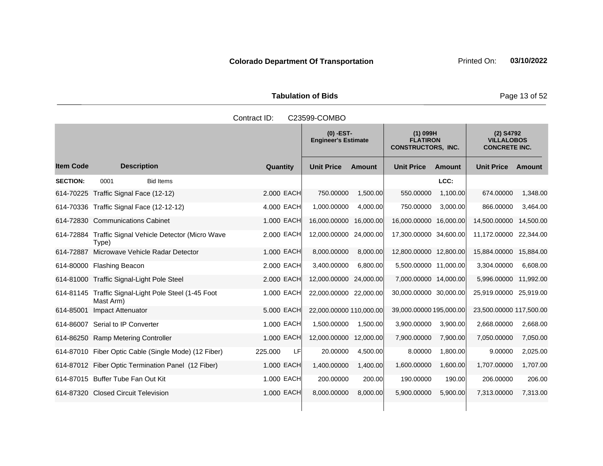Tabulation of Bids **Page 13 of 52** 

|                  | Contract ID:<br>C23599-COMBO                                      |                 |                                           |               |                                                            |               |                                                          |           |  |  |  |
|------------------|-------------------------------------------------------------------|-----------------|-------------------------------------------|---------------|------------------------------------------------------------|---------------|----------------------------------------------------------|-----------|--|--|--|
|                  |                                                                   |                 | $(0)$ -EST-<br><b>Engineer's Estimate</b> |               | $(1)$ 099H<br><b>FLATIRON</b><br><b>CONSTRUCTORS, INC.</b> |               | $(2)$ S4792<br><b>VILLALOBOS</b><br><b>CONCRETE INC.</b> |           |  |  |  |
| <b>Item Code</b> | <b>Description</b>                                                | <b>Quantity</b> | <b>Unit Price</b>                         | <b>Amount</b> | <b>Unit Price</b>                                          | <b>Amount</b> | <b>Unit Price</b>                                        | Amount    |  |  |  |
| <b>SECTION:</b>  | 0001<br><b>Bid Items</b>                                          |                 |                                           |               |                                                            | LCC:          |                                                          |           |  |  |  |
|                  | 614-70225 Traffic Signal Face (12-12)                             | 2.000 EACH      | 750.00000                                 | 1,500.00      | 550.00000                                                  | 1,100.00      | 674.00000                                                | 1,348.00  |  |  |  |
|                  | 614-70336 Traffic Signal Face (12-12-12)                          | 4.000 EACH      | 1,000.00000                               | 4,000.00      | 750.00000                                                  | 3,000.00      | 866.00000                                                | 3,464.00  |  |  |  |
|                  | 614-72830 Communications Cabinet                                  | 1.000 EACH      | 16,000.00000                              | 16,000.00     | 16,000.00000 16,000.00                                     |               | 14,500.00000                                             | 14,500.00 |  |  |  |
|                  | 614-72884 Traffic Signal Vehicle Detector (Micro Wave<br>Type)    | 2.000 EACH      | 12,000.00000                              | 24,000.00     | 17,300.00000 34,600.00                                     |               | 11,172.00000                                             | 22,344.00 |  |  |  |
|                  | 614-72887 Microwave Vehicle Radar Detector                        | 1.000 EACH      | 8,000.00000                               | 8,000.00      | 12,800.00000 12,800.00                                     |               | 15,884.00000                                             | 15,884.00 |  |  |  |
|                  | 614-80000 Flashing Beacon                                         | 2.000 EACH      | 3,400.00000                               | 6.800.00      | 5,500.00000 11,000.00                                      |               | 3,304.00000                                              | 6,608.00  |  |  |  |
|                  | 614-81000 Traffic Signal-Light Pole Steel                         | 2.000 EACH      | 12,000.00000 24,000.00                    |               | 7,000.00000 14,000.00                                      |               | 5,996.00000                                              | 11,992.00 |  |  |  |
|                  | 614-81145 Traffic Signal-Light Pole Steel (1-45 Foot<br>Mast Arm) | 1.000 EACH      | 22,000.00000 22,000.00                    |               | 30,000.00000 30,000.00                                     |               | 25,919.00000 25,919.00                                   |           |  |  |  |
| 614-85001        | Impact Attenuator                                                 | 5.000 EACH      | 22,000.00000 110,000.00                   |               | 39,000.00000 195,000.00                                    |               | 23,500.00000 117,500.00                                  |           |  |  |  |
|                  | 614-86007 Serial to IP Converter                                  | 1.000 EACH      | 1,500.00000                               | 1,500.00      | 3,900.00000                                                | 3,900.00      | 2,668.00000                                              | 2,668.00  |  |  |  |
|                  | 614-86250 Ramp Metering Controller                                | 1.000 EACH      | 12,000.00000                              | 12,000.00     | 7,900.00000                                                | 7,900.00      | 7,050.00000                                              | 7,050.00  |  |  |  |
|                  | 614-87010 Fiber Optic Cable (Single Mode) (12 Fiber)              | 225.000<br>LF   | 20.00000                                  | 4,500.00      | 8.00000                                                    | 1,800.00      | 9.00000                                                  | 2,025.00  |  |  |  |
|                  | 614-87012 Fiber Optic Termination Panel (12 Fiber)                | 1.000 EACH      | 1,400.00000                               | 1,400.00      | 1,600.00000                                                | 1,600.00      | 1,707.00000                                              | 1,707.00  |  |  |  |
|                  | 614-87015 Buffer Tube Fan Out Kit                                 | 1.000 EACH      | 200.00000                                 | 200.00        | 190.00000                                                  | 190.00        | 206.00000                                                | 206.00    |  |  |  |
|                  | 614-87320 Closed Circuit Television                               | 1.000 EACH      | 8,000.00000                               | 8,000.00      | 5,900.00000                                                | 5,900.00      | 7,313.00000                                              | 7,313.00  |  |  |  |
|                  |                                                                   |                 |                                           |               |                                                            |               |                                                          |           |  |  |  |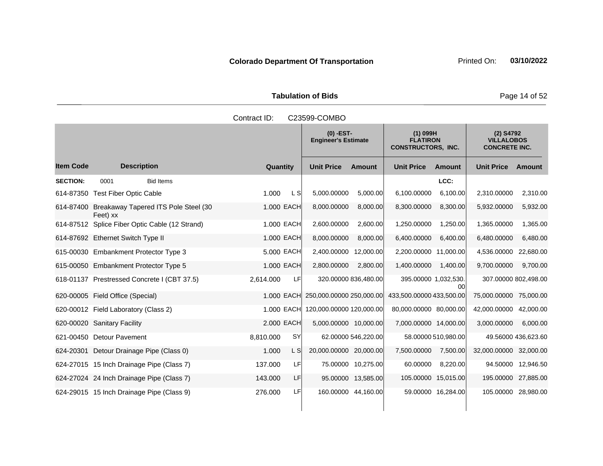Tabulation of Bids **Page 14 of 52** 

|                  |                                                            | Contract ID:    |           | C23599-COMBO                              |                     |                                                            |                     |                                                          |                     |
|------------------|------------------------------------------------------------|-----------------|-----------|-------------------------------------------|---------------------|------------------------------------------------------------|---------------------|----------------------------------------------------------|---------------------|
|                  |                                                            |                 |           | $(0)$ -EST-<br><b>Engineer's Estimate</b> |                     | $(1)$ 099H<br><b>FLATIRON</b><br><b>CONSTRUCTORS, INC.</b> |                     | $(2)$ S4792<br><b>VILLALOBOS</b><br><b>CONCRETE INC.</b> |                     |
| <b>Item Code</b> | <b>Description</b>                                         | <b>Quantity</b> |           | <b>Unit Price</b>                         | Amount              | <b>Unit Price</b>                                          | <b>Amount</b>       | <b>Unit Price</b>                                        | Amount              |
| <b>SECTION:</b>  | 0001<br><b>Bid Items</b>                                   |                 |           |                                           |                     |                                                            | LCC:                |                                                          |                     |
|                  | 614-87350 Test Fiber Optic Cable                           | 1.000           | L S       | 5,000.00000                               | 5,000.00            | 6,100.00000                                                | 6,100.00            | 2,310.00000                                              | 2,310.00            |
|                  | 614-87400 Breakaway Tapered ITS Pole Steel (30<br>Feet) xx | 1.000 EACH      |           | 8,000.00000                               | 8,000.00            | 8,300.00000                                                | 8,300.00            | 5,932.00000                                              | 5,932.00            |
|                  | 614-87512 Splice Fiber Optic Cable (12 Strand)             | 1.000 EACH      |           | 2,600.00000                               | 2,600.00            | 1,250.00000                                                | 1,250.00            | 1,365.00000                                              | 1,365.00            |
|                  | 614-87692 Ethernet Switch Type II                          | 1.000 EACH      |           | 8,000.00000                               | 8,000.00            | 6,400.00000                                                | 6,400.00            | 6,480.00000                                              | 6,480.00            |
|                  | 615-00030 Embankment Protector Type 3                      | 5,000 EACH      |           | 2,400.00000                               | 12,000.00           | 2,200.00000 11,000.00                                      |                     | 4,536.00000                                              | 22,680.00           |
|                  | 615-00050 Embankment Protector Type 5                      | 1.000 EACH      |           | 2,800.00000                               | 2,800.00            | 1,400.00000                                                | 1,400.00            | 9,700.00000                                              | 9,700.00            |
|                  | 618-01137 Prestressed Concrete I (CBT 37.5)                | 2,614.000       | LFI       | 320.00000 836,480.00                      |                     | 395.00000 1,032,530.                                       | 00                  | 307.00000 802,498.00                                     |                     |
|                  | 620-00005 Field Office (Special)                           | 1.000 EACH      |           | 250,000.00000 250,000.00                  |                     | 433,500.00000 433,500.00                                   |                     | 75,000.00000 75,000.00                                   |                     |
|                  | 620-00012 Field Laboratory (Class 2)                       | 1.000 EACH      |           | 120,000.00000 120,000.00                  |                     | 80,000.00000 80,000.00                                     |                     | 42,000.00000                                             | 42,000.00           |
|                  | 620-00020 Sanitary Facility                                | 2.000 EACH      |           | 5,000.00000 10,000.00                     |                     | 7,000.00000 14,000.00                                      |                     | 3,000.00000                                              | 6,000.00            |
|                  | 621-00450 Detour Pavement                                  | 8,810.000       | <b>SY</b> |                                           | 62.00000 546,220.00 |                                                            | 58.00000 510,980.00 |                                                          | 49.56000 436,623.60 |
|                  | 624-20301 Detour Drainage Pipe (Class 0)                   | 1.000           | L SI      | 20,000.00000 20,000.00                    |                     | 7,500.00000                                                | 7,500.00            | 32,000.00000 32,000.00                                   |                     |
|                  | 624-27015 15 Inch Drainage Pipe (Class 7)                  | 137.000         | LF.       |                                           | 75.00000 10,275.00  | 60.00000                                                   | 8,220.00            |                                                          | 94.50000 12,946.50  |
|                  | 624-27024 24 Inch Drainage Pipe (Class 7)                  | 143.000         | LF.       |                                           | 95.00000 13,585.00  | 105.00000 15,015.00                                        |                     | 195.00000 27,885.00                                      |                     |
|                  | 624-29015 15 Inch Drainage Pipe (Class 9)                  | 276.000         | LF        | 160.00000 44,160.00                       |                     |                                                            | 59.00000 16,284.00  | 105.00000 28,980.00                                      |                     |

Contract ID: C23599-COMBO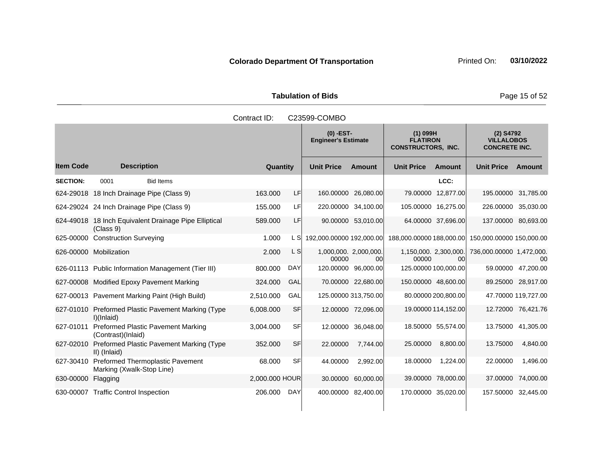Tabulation of Bids **Page 15 of 52** 

|                  |                                                                      | Contract ID:   |            | C23599-COMBO                              |                      |                                                            |                     |                                                          |                     |
|------------------|----------------------------------------------------------------------|----------------|------------|-------------------------------------------|----------------------|------------------------------------------------------------|---------------------|----------------------------------------------------------|---------------------|
|                  |                                                                      |                |            | $(0)$ -EST-<br><b>Engineer's Estimate</b> |                      | $(1)$ 099H<br><b>FLATIRON</b><br><b>CONSTRUCTORS, INC.</b> |                     | $(2)$ S4792<br><b>VILLALOBOS</b><br><b>CONCRETE INC.</b> |                     |
| <b>Item Code</b> | <b>Description</b>                                                   | Quantity       |            | <b>Unit Price</b>                         | <b>Amount</b>        | <b>Unit Price</b>                                          | Amount              | <b>Unit Price Amount</b>                                 |                     |
| <b>SECTION:</b>  | 0001<br><b>Bid Items</b>                                             |                |            |                                           |                      |                                                            | LCC:                |                                                          |                     |
|                  | 624-29018 18 Inch Drainage Pipe (Class 9)                            | 163.000        | LF         |                                           | 160.00000 26,080.00  |                                                            | 79.00000 12,877.00  | 195.00000 31,785.00                                      |                     |
|                  | 624-29024 24 Inch Drainage Pipe (Class 9)                            | 155.000        | LF         |                                           | 220.00000 34,100.00  | 105.00000 16,275.00                                        |                     | 226.00000 35,030.00                                      |                     |
|                  | 624-49018 18 Inch Equivalent Drainage Pipe Elliptical<br>(Class 9)   | 589.000        | LF         |                                           | 90.00000 53,010.00   |                                                            | 64.00000 37,696.00  | 137.00000 80,693.00                                      |                     |
|                  | 625-00000 Construction Surveying                                     | 1.000          | L SI       | 192,000.00000 192,000.00                  |                      |                                                            |                     | 188,000.00000 188,000.00 150,000.00000 150,000.00        |                     |
|                  | 626-00000 Mobilization                                               | 2.000          | L S        | 1,000,000. 2,000,000.<br>00000            | 00l                  | 1,150,000. 2,300,000.<br>00000                             | 00                  | 736,000.00000 1,472,000.                                 | 00                  |
|                  | 626-01113 Public Information Management (Tier III)                   | 800.000        | DAY        |                                           | 120.00000 96,000.00  | 125.00000 100,000.00                                       |                     |                                                          | 59.00000 47,200.00  |
|                  | 627-00008 Modified Epoxy Pavement Marking                            | 324.000        | <b>GAL</b> |                                           | 70.00000 22,680.00   | 150.00000 48,600.00                                        |                     |                                                          | 89.25000 28,917.00  |
|                  | 627-00013 Pavement Marking Paint (High Build)                        | 2,510.000      | GAL        |                                           | 125.00000 313,750.00 |                                                            | 80.00000 200,800.00 |                                                          | 47.70000 119,727.00 |
|                  | 627-01010 Preformed Plastic Pavement Marking (Type<br>I)(Inlaid)     | 6,008.000      | SF         |                                           | 12.00000 72,096.00   |                                                            | 19.00000 114,152.00 |                                                          | 12.72000 76,421.76  |
| 627-01011        | <b>Preformed Plastic Pavement Marking</b><br>(Contrast)(Inlaid)      | 3,004.000      | SFI        |                                           | 12.00000 36,048.00   |                                                            | 18.50000 55,574.00  |                                                          | 13.75000 41,305.00  |
|                  | 627-02010 Preformed Plastic Pavement Marking (Type<br>II) (Inlaid)   | 352.000        | SF         | 22.00000                                  | 7,744.00             | 25.00000                                                   | 8,800.00            | 13.75000                                                 | 4,840.00            |
| 627-30410        | <b>Preformed Thermoplastic Pavement</b><br>Marking (Xwalk-Stop Line) | 68.000         | SF         | 44.00000                                  | 2,992.00             | 18.00000                                                   | 1,224.00            | 22.00000                                                 | 1,496.00            |
| 630-00000        | Flagging                                                             | 2,000.000 HOUR |            | 30.00000                                  | 60,000.00            |                                                            | 39.00000 78,000.00  | 37.00000                                                 | 74,000.00           |
|                  | 630-00007 Traffic Control Inspection                                 | 206.000        | DAY        |                                           | 400.00000 82,400.00  | 170.00000 35,020.00                                        |                     | 157.50000 32,445.00                                      |                     |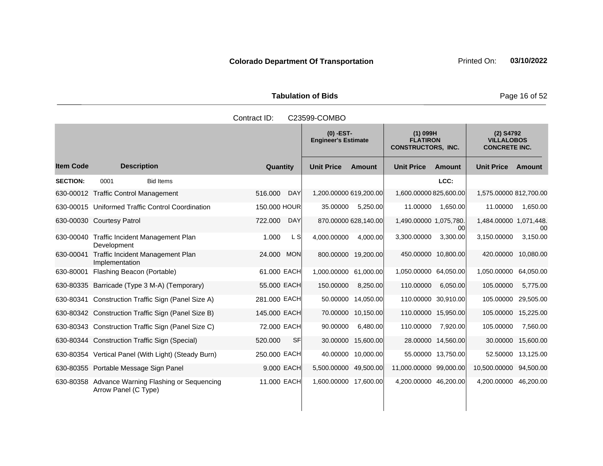Tabulation of Bids **Page 16 of 52** 

|                 |                                                                          | Contract ID: |            | C23599-COMBO                                                                                            |                      |                        |                                                        |                        |           |
|-----------------|--------------------------------------------------------------------------|--------------|------------|---------------------------------------------------------------------------------------------------------|----------------------|------------------------|--------------------------------------------------------|------------------------|-----------|
|                 |                                                                          |              |            | $(0)$ -EST-<br>$(1)$ 099H<br><b>FLATIRON</b><br><b>Engineer's Estimate</b><br><b>CONSTRUCTORS, INC.</b> |                      |                        | (2) S4792<br><b>VILLALOBOS</b><br><b>CONCRETE INC.</b> |                        |           |
| ltem Code       | <b>Description</b>                                                       | Quantity     |            | <b>Unit Price</b>                                                                                       | <b>Amount</b>        | <b>Unit Price</b>      | <b>Amount</b>                                          | <b>Unit Price</b>      | Amount    |
| <b>SECTION:</b> | 0001<br><b>Bid Items</b>                                                 |              |            |                                                                                                         |                      |                        | LCC:                                                   |                        |           |
|                 | 630-00012 Traffic Control Management                                     | 516,000      | <b>DAY</b> | 1,200.00000 619,200.00                                                                                  |                      | 1,600.00000 825,600.00 |                                                        | 1,575.00000 812,700.00 |           |
|                 | 630-00015 Uniformed Traffic Control Coordination                         | 150.000 HOUR |            | 35.00000                                                                                                | 5,250.00             | 11.00000               | 1,650.00                                               | 11.00000               | 1,650.00  |
|                 | 630-00030 Courtesy Patrol                                                | 722,000      | <b>DAY</b> |                                                                                                         | 870.00000 628,140.00 | 1,490.00000 1,075,780. | 00                                                     | 1,484.00000 1,071,448. | 00        |
| 630-00040       | <b>Traffic Incident Management Plan</b><br>Development                   | 1.000        | L S        | 4.000.00000                                                                                             | 4.000.00             | 3.300.00000            | 3,300.00                                               | 3.150.00000            | 3,150.00  |
| 630-00041       | Traffic Incident Management Plan<br>Implementation                       | 24.000       | <b>MON</b> |                                                                                                         | 800.00000 19,200.00  |                        | 450.00000 10,800.00                                    | 420.00000 10,080.00    |           |
| 630-80001       | Flashing Beacon (Portable)                                               | 61.000 EACH  |            | 1,000.00000 61,000.00                                                                                   |                      | 1.050.00000 64.050.00  |                                                        | 1,050.00000            | 64,050.00 |
|                 | 630-80335 Barricade (Type 3 M-A) (Temporary)                             | 55.000 EACH  |            | 150.00000                                                                                               | 8,250.00             | 110.00000              | 6,050.00                                               | 105.00000              | 5,775.00  |
|                 | 630-80341 Construction Traffic Sign (Panel Size A)                       | 281.000 EACH |            | 50.00000                                                                                                | 14,050.00            |                        | 110.00000 30,910.00                                    | 105.00000              | 29,505.00 |
|                 | 630-80342 Construction Traffic Sign (Panel Size B)                       | 145.000 EACH |            |                                                                                                         | 70.00000 10,150.00   |                        | 110.00000 15,950.00                                    | 105.00000              | 15,225.00 |
|                 | 630-80343 Construction Traffic Sign (Panel Size C)                       | 72.000 EACH  |            | 90.00000                                                                                                | 6,480.00             | 110.00000              | 7,920.00                                               | 105.00000              | 7,560.00  |
|                 | 630-80344 Construction Traffic Sign (Special)                            | 520,000      | <b>SF</b>  | 30.00000                                                                                                | 15,600.00            |                        | 28.00000 14,560.00                                     | 30.00000               | 15,600.00 |
|                 | 630-80354 Vertical Panel (With Light) (Steady Burn)                      | 250.000 EACH |            |                                                                                                         | 40.00000 10,000.00   |                        | 55.00000 13,750.00                                     | 52.50000               | 13,125.00 |
|                 | 630-80355 Portable Message Sign Panel                                    | 9.000 EACH   |            | 5,500.00000                                                                                             | 49,500.00            | 11,000.00000 99,000.00 |                                                        | 10,500.00000           | 94,500.00 |
|                 | 630-80358 Advance Warning Flashing or Sequencing<br>Arrow Panel (C Type) | 11,000 EACH  |            | 1,600.00000 17,600.00                                                                                   |                      | 4,200.00000 46,200.00  |                                                        | 4,200.00000            | 46,200.00 |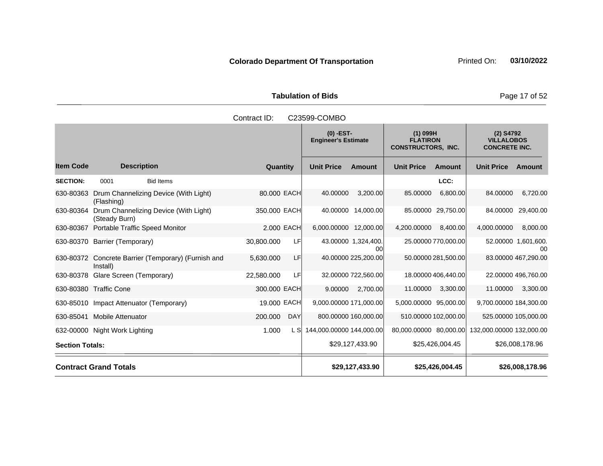Tabulation of Bids **Page 17 of 52** 

|                        |                                                        |                       | $(0)$ -EST-<br><b>Engineer's Estimate</b> |                           | $(1)$ 099H<br><b>FLATIRON</b><br><b>CONSTRUCTORS, INC.</b> |                     | (2) S4792<br><b>VILLALOBOS</b><br><b>CONCRETE INC.</b> |                           |
|------------------------|--------------------------------------------------------|-----------------------|-------------------------------------------|---------------------------|------------------------------------------------------------|---------------------|--------------------------------------------------------|---------------------------|
| <b>Item Code</b>       | <b>Description</b>                                     | Quantity              | <b>Unit Price</b>                         | <b>Amount</b>             | <b>Unit Price</b>                                          | Amount              | <b>Unit Price</b>                                      | Amount                    |
| <b>SECTION:</b>        | <b>Bid Items</b><br>0001                               |                       |                                           |                           |                                                            | LCC:                |                                                        |                           |
| 630-80363              | Drum Channelizing Device (With Light)<br>(Flashing)    | 80.000 EACH           | 40.00000                                  | 3,200.00                  | 85.00000                                                   | 6,800.00            | 84.00000                                               | 6,720.00                  |
| 630-80364              | Drum Channelizing Device (With Light)<br>(Steady Burn) | 350,000 EACH          | 40.00000                                  | 14,000.00                 |                                                            | 85.00000 29,750.00  | 84.00000                                               | 29,400.00                 |
| 630-80367              | <b>Portable Traffic Speed Monitor</b>                  | 2,000 EACH            | 6,000.00000 12,000.00                     |                           | 4,200.00000                                                | 8,400.00            | 4,000.00000                                            | 8,000.00                  |
|                        | 630-80370 Barrier (Temporary)                          | 30,800.000<br>LF      |                                           | 43.00000 1,324,400.<br>00 |                                                            | 25.00000 770,000.00 |                                                        | 52.00000 1,601,600.<br>00 |
| 630-80372              | Concrete Barrier (Temporary) (Furnish and<br>Install)  | LF<br>5,630.000       |                                           | 40.00000 225,200.00       |                                                            | 50.00000 281,500.00 |                                                        | 83.00000 467,290.00       |
| 630-80378              | Glare Screen (Temporary)                               | 22,580.000<br>LFI     |                                           | 32.00000 722,560.00       |                                                            | 18.00000 406,440.00 |                                                        | 22.00000 496,760.00       |
|                        | 630-80380 Traffic Cone                                 | 300,000 EACH          | 9.00000                                   | 2,700.00                  | 11.00000                                                   | 3,300.00            | 11.00000                                               | 3,300.00                  |
| 630-85010              | Impact Attenuator (Temporary)                          | 19.000 EACH           | 9,000.00000 171,000.00                    |                           | 5,000.00000 95,000.00                                      |                     | 9,700.00000 184,300.00                                 |                           |
| 630-85041              | <b>Mobile Attenuator</b>                               | 200.000<br><b>DAY</b> |                                           | 800.00000 160,000.00      | 510.00000 102,000.00                                       |                     | 525.00000 105,000.00                                   |                           |
|                        | 632-00000 Night Work Lighting                          | 1.000<br>L Sl         | 144,000.00000 144,000.00                  |                           |                                                            |                     | 80,000.00000 80,000.00 132,000.00000 132,000.00        |                           |
| <b>Section Totals:</b> |                                                        |                       |                                           | \$29,127,433.90           |                                                            | \$25,426,004.45     |                                                        | \$26,008,178.96           |
|                        | <b>Contract Grand Totals</b>                           |                       |                                           | \$29,127,433.90           |                                                            | \$25,426,004.45     |                                                        | \$26,008,178.96           |

Contract ID: C23599-COMBO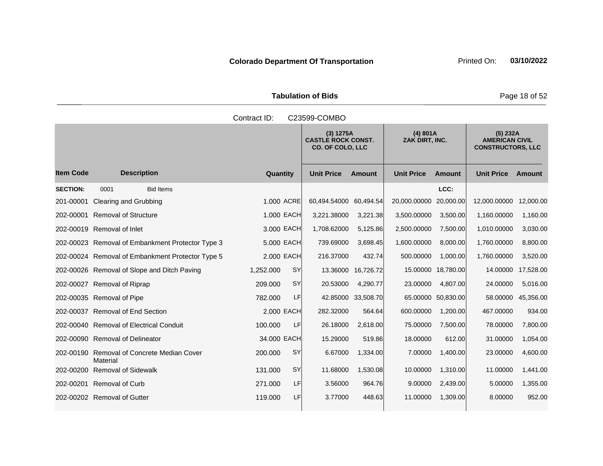Tabulation of Bids **Page 18 of 52** 

| Contract ID:<br>C23599-COMBO |                                                  |                 |           |                                                                   |                    |                            |                    |                                                               |               |  |
|------------------------------|--------------------------------------------------|-----------------|-----------|-------------------------------------------------------------------|--------------------|----------------------------|--------------------|---------------------------------------------------------------|---------------|--|
|                              |                                                  |                 |           | (3) 1275A<br><b>CASTLE ROCK CONST.</b><br><b>CO. OF COLO, LLC</b> |                    | (4) 801A<br>ZAK DIRT, INC. |                    | (5) 232A<br><b>AMERICAN CIVIL</b><br><b>CONSTRUCTORS, LLC</b> |               |  |
| <b>Item Code</b>             | <b>Description</b>                               | <b>Quantity</b> |           | <b>Unit Price</b>                                                 | <b>Amount</b>      | <b>Unit Price</b>          | <b>Amount</b>      | <b>Unit Price</b>                                             | <b>Amount</b> |  |
| <b>SECTION:</b>              | <b>Bid Items</b><br>0001                         |                 |           |                                                                   |                    |                            | LCC:               |                                                               |               |  |
| 201-00001                    | <b>Clearing and Grubbing</b>                     | 1.000 ACRE      |           | 60,494.54000                                                      | 60,494.54          | 20,000.00000               | 20,000.00          | 12,000.00000                                                  | 12,000.00     |  |
|                              | 202-00001 Removal of Structure                   | 1.000 EACH      |           | 3,221.38000                                                       | 3,221.38           | 3,500.00000                | 3,500.00           | 1,160.00000                                                   | 1,160.00      |  |
|                              | 202-00019 Removal of Inlet                       | 3.000 EACH      |           | 1,708.62000                                                       | 5,125.86           | 2,500.00000                | 7,500.00           | 1,010.00000                                                   | 3,030.00      |  |
|                              | 202-00023 Removal of Embankment Protector Type 3 | 5.000 EACH      |           | 739.69000                                                         | 3,698.45           | 1,600.00000                | 8,000.00           | 1,760.00000                                                   | 8,800.00      |  |
|                              | 202-00024 Removal of Embankment Protector Type 5 | 2.000 EACH      |           | 216.37000                                                         | 432.74             | 500.00000                  | 1,000.00           | 1,760.00000                                                   | 3,520.00      |  |
|                              | 202-00026 Removal of Slope and Ditch Paving      | 1,252.000       | SY        | 13.36000                                                          | 16,726.72          | 15.00000                   | 18,780.00          | 14.00000                                                      | 17,528.00     |  |
|                              | 202-00027 Removal of Riprap                      | 209.000         | SY        | 20.53000                                                          | 4,290.77           | 23.00000                   | 4,807.00           | 24.00000                                                      | 5,016.00      |  |
|                              | 202-00035 Removal of Pipe                        | 782.000         | LF        |                                                                   | 42.85000 33,508.70 |                            | 65.00000 50,830.00 | 58.00000                                                      | 45,356.00     |  |
|                              | 202-00037 Removal of End Section                 | 2.000 EACH      |           | 282.32000                                                         | 564.64             | 600.00000                  | 1,200.00           | 467.00000                                                     | 934.00        |  |
|                              | 202-00040 Removal of Electrical Conduit          | 100.000         | LF        | 26.18000                                                          | 2,618.00           | 75.00000                   | 7,500.00           | 78.00000                                                      | 7,800.00      |  |
|                              | 202-00090 Removal of Delineator                  | 34.000 EACH     |           | 15.29000                                                          | 519.86             | 18.00000                   | 612.00             | 31.00000                                                      | 1,054.00      |  |
| 202-00190                    | Removal of Concrete Median Cover<br>Material     | 200.000         | SY        | 6.67000                                                           | 1,334.00           | 7.00000                    | 1,400.00           | 23.00000                                                      | 4,600.00      |  |
|                              | 202-00200 Removal of Sidewalk                    | 131.000         | <b>SY</b> | 11.68000                                                          | 1,530.08           | 10.00000                   | 1,310.00           | 11.00000                                                      | 1,441.00      |  |
|                              | 202-00201 Removal of Curb                        | 271.000         | LF        | 3.56000                                                           | 964.76             | 9.00000                    | 2,439.00           | 5.00000                                                       | 1,355.00      |  |
|                              | 202-00202 Removal of Gutter                      | 119.000         | LF        | 3.77000                                                           | 448.63             | 11.00000                   | 1,309.00           | 8.00000                                                       | 952.00        |  |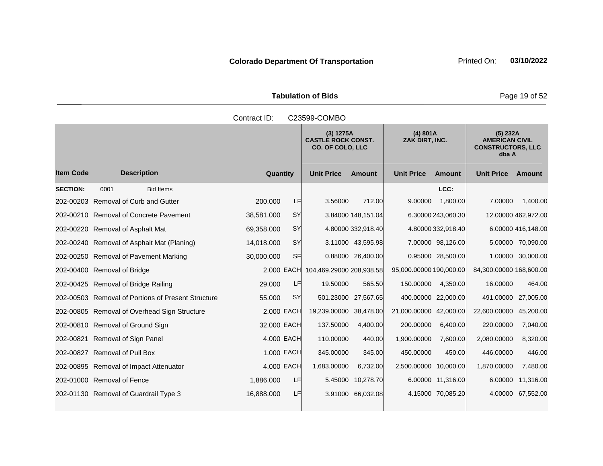Tabulation of Bids **Page 19 of 52** 

|                  | Contract ID:<br>C23599-COMBO                       |                         |                                                                                                 |                     |                         |                                                                        |                         |                     |  |  |  |
|------------------|----------------------------------------------------|-------------------------|-------------------------------------------------------------------------------------------------|---------------------|-------------------------|------------------------------------------------------------------------|-------------------------|---------------------|--|--|--|
|                  |                                                    |                         | (4) 801A<br>(3) 1275A<br><b>CASTLE ROCK CONST.</b><br>ZAK DIRT, INC.<br><b>CO. OF COLO, LLC</b> |                     |                         | (5) 232A<br><b>AMERICAN CIVIL</b><br><b>CONSTRUCTORS, LLC</b><br>dba A |                         |                     |  |  |  |
| <b>Item Code</b> | <b>Description</b>                                 | <b>Quantity</b>         | <b>Unit Price</b>                                                                               | <b>Amount</b>       | <b>Unit Price</b>       | <b>Amount</b>                                                          | <b>Unit Price</b>       | Amount              |  |  |  |
| <b>SECTION:</b>  | <b>Bid Items</b><br>0001                           |                         |                                                                                                 |                     |                         | LCC:                                                                   |                         |                     |  |  |  |
|                  | 202-00203 Removal of Curb and Gutter               | LF<br>200.000           | 3.56000                                                                                         | 712.00              | 9.00000                 | 1,800.00                                                               | 7.00000                 | 1,400.00            |  |  |  |
|                  | 202-00210 Removal of Concrete Pavement             | <b>SY</b><br>38,581.000 |                                                                                                 | 3.84000 148,151.04  |                         | 6.30000 243,060.30                                                     |                         | 12.00000 462,972.00 |  |  |  |
|                  | 202-00220 Removal of Asphalt Mat                   | 69,358.000<br><b>SY</b> |                                                                                                 | 4.80000 332,918.40  |                         | 4.80000 332,918.40                                                     |                         | 6.00000 416,148.00  |  |  |  |
|                  | 202-00240 Removal of Asphalt Mat (Planing)         | 14,018.000<br><b>SY</b> |                                                                                                 | 3.11000 43,595.98   |                         | 7.00000 98,126.00                                                      |                         | 5.00000 70,090.00   |  |  |  |
|                  | 202-00250 Removal of Pavement Marking              | 30,000.000<br><b>SF</b> |                                                                                                 | 0.88000 26,400.00   |                         | 0.95000 28,500.00                                                      | 1.00000                 | 30,000.00           |  |  |  |
|                  | 202-00400 Removal of Bridge                        | 2,000 EACH              | 104,469.29000 208,938.58                                                                        |                     | 95,000.00000 190,000.00 |                                                                        | 84,300.00000 168,600.00 |                     |  |  |  |
|                  | 202-00425 Removal of Bridge Railing                | 29.000<br>LF            | 19.50000                                                                                        | 565.50              | 150.00000               | 4,350.00                                                               | 16.00000                | 464.00              |  |  |  |
|                  | 202-00503 Removal of Portions of Present Structure | SY<br>55.000            |                                                                                                 | 501.23000 27,567.65 | 400.00000 22,000.00     |                                                                        | 491.00000               | 27,005.00           |  |  |  |
|                  | 202-00805 Removal of Overhead Sign Structure       | 2.000 EACH              | 19,239.00000 38,478.00                                                                          |                     | 21,000.00000 42,000.00  |                                                                        | 22,600.00000            | 45,200.00           |  |  |  |
|                  | 202-00810 Removal of Ground Sign                   | 32.000 EACH             | 137.50000                                                                                       | 4,400.00            | 200.00000               | 6,400.00                                                               | 220.00000               | 7,040.00            |  |  |  |
|                  | 202-00821 Removal of Sign Panel                    | 4.000 EACH              | 110.00000                                                                                       | 440.00              | 1,900.00000             | 7,600.00                                                               | 2,080.00000             | 8,320.00            |  |  |  |
|                  | 202-00827 Removal of Pull Box                      | 1.000 EACH              | 345.00000                                                                                       | 345.00              | 450.00000               | 450.00                                                                 | 446.00000               | 446.00              |  |  |  |
|                  | 202-00895 Removal of Impact Attenuator             | 4,000 EACH              | 1,683.00000                                                                                     | 6,732.00            | 2,500.00000 10,000.00   |                                                                        | 1,870.00000             | 7,480.00            |  |  |  |
|                  | 202-01000 Removal of Fence                         | LF<br>1,886.000         | 5.45000                                                                                         | 10,278.70           |                         | 6.00000 11,316.00                                                      | 6.00000                 | 11,316.00           |  |  |  |
|                  | 202-01130 Removal of Guardrail Type 3              | 16,888.000<br>LF        |                                                                                                 | 3.91000 66,032.08   |                         | 4.15000 70,085.20                                                      | 4.00000                 | 67,552.00           |  |  |  |
|                  |                                                    |                         |                                                                                                 |                     |                         |                                                                        |                         |                     |  |  |  |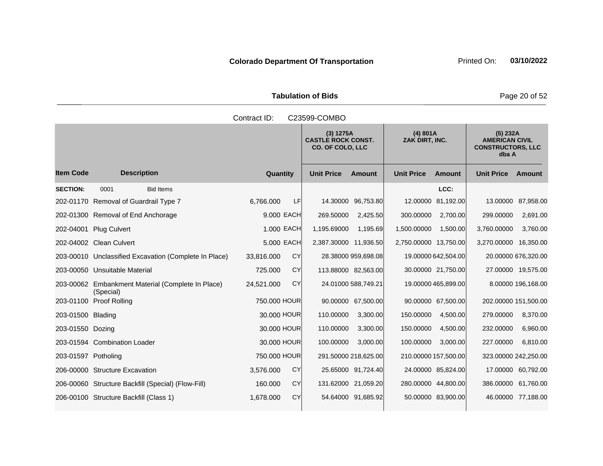Tabulation of Bids **Page 20 of 52** 

|                     | Contract ID:<br>C23599-COMBO                                   |                         |                                                                   |                     |                            |                     |                                                                        |                     |  |  |  |
|---------------------|----------------------------------------------------------------|-------------------------|-------------------------------------------------------------------|---------------------|----------------------------|---------------------|------------------------------------------------------------------------|---------------------|--|--|--|
|                     |                                                                |                         | (3) 1275A<br><b>CASTLE ROCK CONST.</b><br><b>CO. OF COLO, LLC</b> |                     | (4) 801A<br>ZAK DIRT, INC. |                     | (5) 232A<br><b>AMERICAN CIVIL</b><br><b>CONSTRUCTORS, LLC</b><br>dba A |                     |  |  |  |
| <b>Item Code</b>    | <b>Description</b>                                             | <b>Quantity</b>         | <b>Unit Price</b>                                                 | <b>Amount</b>       | <b>Unit Price</b>          | <b>Amount</b>       | <b>Unit Price</b>                                                      | Amount              |  |  |  |
| <b>SECTION:</b>     | 0001<br><b>Bid Items</b>                                       |                         |                                                                   |                     |                            | LCC:                |                                                                        |                     |  |  |  |
|                     | 202-01170 Removal of Guardrail Type 7                          | 6,766.000<br>LF         |                                                                   | 14.30000 96,753.80  |                            | 12.00000 81,192.00  | 13.00000                                                               | 87,958.00           |  |  |  |
|                     | 202-01300 Removal of End Anchorage                             | 9,000 EACH              | 269.50000                                                         | 2,425.50            | 300.00000                  | 2,700.00            | 299.00000                                                              | 2,691.00            |  |  |  |
| 202-04001           | <b>Plug Culvert</b>                                            | 1.000 EACH              | 1,195.69000                                                       | 1,195.69            | 1,500.00000                | 1,500.00            | 3,760.00000                                                            | 3,760.00            |  |  |  |
|                     | 202-04002 Clean Culvert                                        | 5.000 EACH              | 2,387.30000 11,936.50                                             |                     | 2,750.00000 13,750.00      |                     | 3,270.00000 16,350.00                                                  |                     |  |  |  |
|                     | 203-00010 Unclassified Excavation (Complete In Place)          | <b>CY</b><br>33,816.000 |                                                                   | 28.38000 959,698.08 |                            | 19.00000 642,504.00 |                                                                        | 20.00000 676,320.00 |  |  |  |
|                     | 203-00050 Unsuitable Material                                  | CY<br>725.000           | 113.88000 82,563.00                                               |                     |                            | 30.00000 21,750.00  |                                                                        | 27.00000 19,575.00  |  |  |  |
|                     | 203-00062 Embankment Material (Complete In Place)<br>(Special) | CY<br>24,521.000        |                                                                   | 24.01000 588,749.21 |                            | 19.00000 465,899.00 |                                                                        | 8.00000 196.168.00  |  |  |  |
|                     | 203-01100 Proof Rolling                                        | 750.000 HOUR            |                                                                   | 90.00000 67,500.00  |                            | 90.00000 67,500.00  | 202.00000 151,500.00                                                   |                     |  |  |  |
| 203-01500 Blading   |                                                                | 30,000 HOUR             | 110.00000                                                         | 3,300.00            | 150.00000                  | 4,500.00            | 279.00000                                                              | 8,370.00            |  |  |  |
| 203-01550 Dozing    |                                                                | 30.000 HOUR             | 110.00000                                                         | 3,300.00            | 150.00000                  | 4,500.00            | 232.00000                                                              | 6,960.00            |  |  |  |
|                     | 203-01594 Combination Loader                                   | 30.000 HOUR             | 100.00000                                                         | 3,000.00            | 100.00000                  | 3,000.00            | 227.00000                                                              | 6,810.00            |  |  |  |
| 203-01597 Potholing |                                                                | 750.000 HOUR            | 291.50000 218,625.00                                              |                     | 210.00000 157,500.00       |                     | 323.00000 242,250.00                                                   |                     |  |  |  |
|                     | 206-00000 Structure Excavation                                 | CY<br>3,576.000         |                                                                   | 25.65000 91,724.40  |                            | 24.00000 85,824.00  | 17.00000                                                               | 60,792.00           |  |  |  |
|                     | 206-00060 Structure Backfill (Special) (Flow-Fill)             | CY<br>160.000           | 131.62000 21,059.20                                               |                     | 280.00000 44,800.00        |                     | 386.00000                                                              | 61,760.00           |  |  |  |
|                     | 206-00100 Structure Backfill (Class 1)                         | <b>CY</b><br>1,678.000  |                                                                   | 54.64000 91,685.92  |                            | 50.00000 83,900.00  |                                                                        | 46.00000 77,188.00  |  |  |  |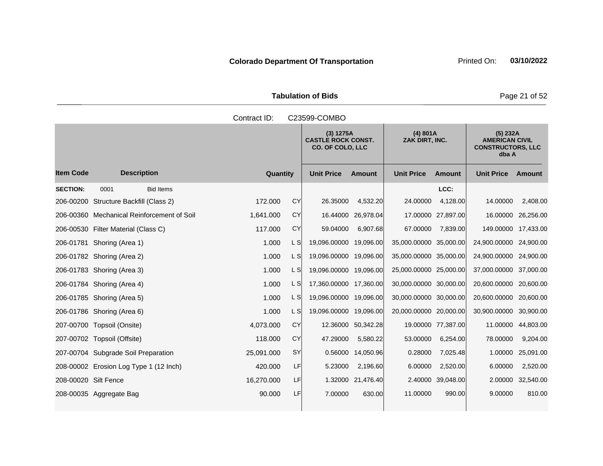Tabulation of Bids **Page 21 of 52** 

|                      | Contract ID:<br>C23599-COMBO               |                 |      |                                                                   |                            |                        |                                                                          |                        |           |  |
|----------------------|--------------------------------------------|-----------------|------|-------------------------------------------------------------------|----------------------------|------------------------|--------------------------------------------------------------------------|------------------------|-----------|--|
|                      |                                            |                 |      | (3) 1275A<br><b>CASTLE ROCK CONST.</b><br><b>CO. OF COLO, LLC</b> | (4) 801A<br>ZAK DIRT, INC. |                        | $(5)$ 232A<br><b>AMERICAN CIVIL</b><br><b>CONSTRUCTORS, LLC</b><br>dba A |                        |           |  |
| <b>Item Code</b>     | <b>Description</b>                         | <b>Quantity</b> |      | <b>Unit Price</b>                                                 | <b>Amount</b>              | <b>Unit Price</b>      | <b>Amount</b>                                                            | <b>Unit Price</b>      | Amount    |  |
| <b>SECTION:</b>      | <b>Bid Items</b><br>0001                   |                 |      |                                                                   |                            |                        | LCC:                                                                     |                        |           |  |
|                      | 206-00200 Structure Backfill (Class 2)     | 172,000         | CY   | 26.35000                                                          | 4,532.20                   | 24.00000               | 4,128.00                                                                 | 14.00000               | 2,408.00  |  |
|                      | 206-00360 Mechanical Reinforcement of Soil | 1,641.000       | CY   | 16.44000                                                          | 26,978.04                  |                        | 17.00000 27,897.00                                                       | 16.00000               | 26,256.00 |  |
|                      | 206-00530 Filter Material (Class C)        | 117.000         | CY   | 59.04000                                                          | 6,907.68                   | 67.00000               | 7,839.00                                                                 | 149.00000 17,433.00    |           |  |
|                      | 206-01781 Shoring (Area 1)                 | 1.000           | L SI | 19,096.00000 19,096.00                                            |                            | 35,000.00000 35,000.00 |                                                                          | 24,900.00000 24,900.00 |           |  |
|                      | 206-01782 Shoring (Area 2)                 | 1.000           | L S  | 19,096.00000 19,096.00                                            |                            | 35,000.00000 35,000.00 |                                                                          | 24,900.00000 24,900.00 |           |  |
|                      | 206-01783 Shoring (Area 3)                 | 1.000           | L SI | 19,096.00000 19,096.00                                            |                            | 25,000.00000 25,000.00 |                                                                          | 37,000.00000 37,000.00 |           |  |
|                      | 206-01784 Shoring (Area 4)                 | 1.000           | L S  | 17,360.00000 17,360.00                                            |                            | 30,000.00000 30,000.00 |                                                                          | 20,600.00000 20,600.00 |           |  |
|                      | 206-01785 Shoring (Area 5)                 | 1.000           | L S  | 19,096.00000 19,096.00                                            |                            | 30,000.00000 30,000.00 |                                                                          | 20,600.00000           | 20,600.00 |  |
|                      | 206-01786 Shoring (Area 6)                 | 1.000           | L SI | 19,096.00000 19,096.00                                            |                            | 20,000.00000 20,000.00 |                                                                          | 30,900.00000           | 30,900.00 |  |
|                      | 207-00700 Topsoil (Onsite)                 | 4,073.000       | CY   | 12.36000                                                          | 50,342.28                  |                        | 19.00000 77,387.00                                                       | 11.00000               | 44,803.00 |  |
|                      | 207-00702 Topsoil (Offsite)                | 118.000         | CY   | 47.29000                                                          | 5,580.22                   | 53.00000               | 6,254.00                                                                 | 78.00000               | 9,204.00  |  |
|                      | 207-00704 Subgrade Soil Preparation        | 25,091.000      | SY   | 0.56000                                                           | 14,050.96                  | 0.28000                | 7,025.48                                                                 | 1.00000                | 25,091.00 |  |
|                      | 208-00002 Erosion Log Type 1 (12 Inch)     | 420.000         | LF   | 5.23000                                                           | 2,196.60                   | 6.00000                | 2,520.00                                                                 | 6.00000                | 2,520.00  |  |
| 208-00020 Silt Fence |                                            | 16,270.000      | LF   | 1.32000                                                           | 21,476.40                  |                        | 2.40000 39,048.00                                                        | 2.00000                | 32,540.00 |  |
|                      | 208-00035 Aggregate Bag                    | 90.000          | LF   | 7.00000                                                           | 630.00                     | 11.00000               | 990.00                                                                   | 9.00000                | 810.00    |  |
|                      |                                            |                 |      |                                                                   |                            |                        |                                                                          |                        |           |  |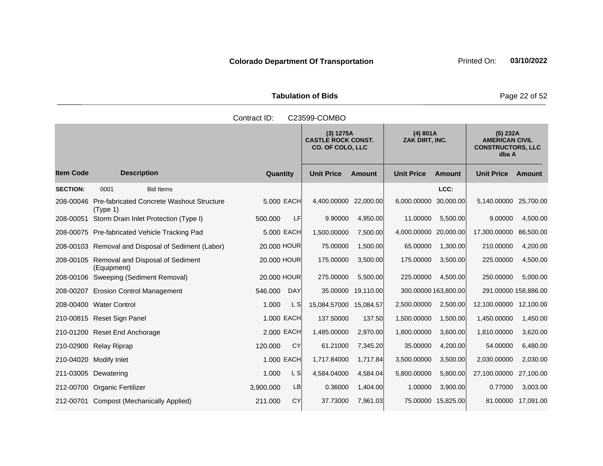Tabulation of Bids **Page 22 of 52** 

|                  |                                                                 | Contract ID:          | C23599-COMBO                                                      |               |                            |                      |                                                                        |                    |
|------------------|-----------------------------------------------------------------|-----------------------|-------------------------------------------------------------------|---------------|----------------------------|----------------------|------------------------------------------------------------------------|--------------------|
|                  |                                                                 |                       | (3) 1275A<br><b>CASTLE ROCK CONST.</b><br><b>CO. OF COLO, LLC</b> |               | (4) 801A<br>ZAK DIRT, INC. |                      | (5) 232A<br><b>AMERICAN CIVIL</b><br><b>CONSTRUCTORS, LLC</b><br>dba A |                    |
| <b>Item Code</b> | <b>Description</b>                                              | Quantity              | <b>Unit Price</b>                                                 | <b>Amount</b> | <b>Unit Price</b>          | <b>Amount</b>        | <b>Unit Price</b>                                                      | Amount             |
| <b>SECTION:</b>  | 0001<br><b>Bid Items</b>                                        |                       |                                                                   |               |                            | LCC:                 |                                                                        |                    |
|                  | 208-00046 Pre-fabricated Concrete Washout Structure<br>(Type 1) | 5,000 EACH            | 4,400.00000 22,000.00                                             |               | 6,000.00000                | 30,000.00            | 5,140.00000                                                            | 25,700.00          |
| 208-00051        | Storm Drain Inlet Protection (Type I)                           | 500.000               | <b>LF</b><br>9.90000                                              | 4,950.00      | 11.00000                   | 5,500.00             | 9.00000                                                                | 4,500.00           |
|                  | 208-00075 Pre-fabricated Vehicle Tracking Pad                   | 5,000 EACH            | 1,500.00000                                                       | 7,500.00      | 4,000.00000                | 20,000,00            | 17,300.00000                                                           | 86,500.00          |
|                  | 208-00103 Removal and Disposal of Sediment (Labor)              | 20.000 HOUR           | 75.00000                                                          | 1,500.00      | 65.00000                   | 1,300.00             | 210.00000                                                              | 4,200.00           |
|                  | 208-00105 Removal and Disposal of Sediment<br>(Equipment)       | 20,000 HOUR           | 175.00000                                                         | 3,500.00      | 175.00000                  | 3,500.00             | 225.00000                                                              | 4,500.00           |
|                  | 208-00106 Sweeping (Sediment Removal)                           | 20,000 HOUR           | 275.00000                                                         | 5,500.00      | 225.00000                  | 4,500.00             | 250.00000                                                              | 5,000.00           |
|                  | 208-00207 Erosion Control Management                            | <b>DAY</b><br>546.000 | 35.00000                                                          | 19,110.00     |                            | 300.00000 163,800.00 | 291.00000 158,886.00                                                   |                    |
|                  | 208-00400 Water Control                                         | 1.000                 | L S<br>15,084.57000 15,084.57                                     |               | 2,500.00000                | 2,500.00             | 12,100.00000                                                           | 12,100.00          |
|                  | 210-00815 Reset Sign Panel                                      | 1,000 EACH            | 137.50000                                                         | 137.50        | 1,500.00000                | 1,500.00             | 1,450.00000                                                            | 1,450.00           |
|                  | 210-01200 Reset End Anchorage                                   | 2,000 EACH            | 1,485.00000                                                       | 2,970.00      | 1,800.00000                | 3,600.00             | 1,810.00000                                                            | 3,620.00           |
|                  | 210-02900 Relay Riprap                                          | 120.000<br><b>CY</b>  | 61.21000                                                          | 7,345.20      | 35.00000                   | 4,200.00             | 54.00000                                                               | 6,480.00           |
|                  | 210-04020 Modify Inlet                                          | 1.000 EACH            | 1,717.84000                                                       | 1,717.84      | 3,500.00000                | 3,500.00             | 2,030.00000                                                            | 2,030.00           |
|                  | 211-03005 Dewatering                                            | 1.000                 | L S<br>4,584.04000                                                | 4,584.04      | 5,800.00000                | 5,800.00             | 27,100.00000                                                           | 27,100.00          |
|                  | 212-00700 Organic Fertilizer                                    | 3,900.000             | <b>LB</b><br>0.36000                                              | 1,404.00      | 1.00000                    | 3,900.00             | 0.77000                                                                | 3,003.00           |
|                  | 212-00701 Compost (Mechanically Applied)                        | 211.000               | <b>CY</b><br>37.73000                                             | 7,961.03      |                            | 75.00000 15,825.00   |                                                                        | 81.00000 17,091.00 |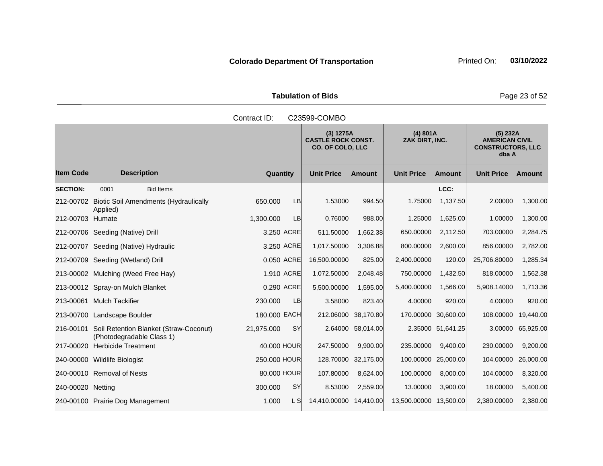Tabulation of Bids **Page 23 of 52** 

|                   |                                                                               | Contract ID:            | C23599-COMBO                                                      |                   |                            |                   |                                                                          |           |
|-------------------|-------------------------------------------------------------------------------|-------------------------|-------------------------------------------------------------------|-------------------|----------------------------|-------------------|--------------------------------------------------------------------------|-----------|
|                   |                                                                               |                         | (3) 1275A<br><b>CASTLE ROCK CONST.</b><br><b>CO. OF COLO, LLC</b> |                   | (4) 801A<br>ZAK DIRT, INC. |                   | $(5)$ 232A<br><b>AMERICAN CIVIL</b><br><b>CONSTRUCTORS, LLC</b><br>dba A |           |
| <b>Item Code</b>  | <b>Description</b>                                                            | <b>Quantity</b>         | <b>Unit Price</b>                                                 | <b>Amount</b>     | <b>Unit Price</b>          | <b>Amount</b>     | <b>Unit Price</b>                                                        | Amount    |
| <b>SECTION:</b>   | 0001<br><b>Bid Items</b>                                                      |                         |                                                                   |                   |                            | LCC:              |                                                                          |           |
|                   | 212-00702 Biotic Soil Amendments (Hydraulically<br>Applied)                   | <b>LB</b><br>650.000    | 1.53000                                                           | 994.50            | 1.75000                    | 1,137.50          | 2.00000                                                                  | 1,300.00  |
| 212-00703 Humate  |                                                                               | <b>LB</b><br>1.300.000  | 0.76000                                                           | 988.00            | 1.25000                    | 1,625.00          | 1.00000                                                                  | 1,300.00  |
|                   | 212-00706 Seeding (Native) Drill                                              | 3.250 ACRE              | 511.50000                                                         | 1,662.38          | 650.00000                  | 2,112.50          | 703.00000                                                                | 2,284.75  |
|                   | 212-00707 Seeding (Native) Hydraulic                                          | 3.250 ACRE              | 1,017.50000                                                       | 3,306.88          | 800.00000                  | 2,600.00          | 856.00000                                                                | 2,782.00  |
|                   | 212-00709 Seeding (Wetland) Drill                                             | 0.050 ACRE              | 16,500.00000                                                      | 825.00            | 2,400.00000                | 120.00            | 25,706.80000                                                             | 1,285.34  |
|                   | 213-00002 Mulching (Weed Free Hay)                                            | 1.910 ACRE              | 1,072.50000                                                       | 2,048.48          | 750.00000                  | 1,432.50          | 818.00000                                                                | 1,562.38  |
|                   | 213-00012 Spray-on Mulch Blanket                                              | 0.290 ACRE              | 5,500.00000                                                       | 1.595.00          | 5,400.00000                | 1,566.00          | 5,908.14000                                                              | 1,713.36  |
|                   | 213-00061 Mulch Tackifier                                                     | 230.000<br><b>LB</b>    | 3.58000                                                           | 823.40            | 4.00000                    | 920.00            | 4.00000                                                                  | 920.00    |
|                   | 213-00700 Landscape Boulder                                                   | 180.000 EACH            | 212.06000                                                         | 38,170.80         | 170.00000 30,600.00        |                   | 108.00000                                                                | 19,440.00 |
|                   | 216-00101 Soil Retention Blanket (Straw-Coconut)<br>(Photodegradable Class 1) | <b>SY</b><br>21,975.000 |                                                                   | 2.64000 58,014.00 |                            | 2.35000 51,641.25 | 3.00000                                                                  | 65,925.00 |
|                   | 217-00020 Herbicide Treatment                                                 | 40,000 HOUR             | 247.50000                                                         | 9.900.00          | 235.00000                  | 9,400.00          | 230.00000                                                                | 9,200.00  |
|                   | 240-00000 Wildlife Biologist                                                  | 250,000 HOUR            | 128.70000 32,175.00                                               |                   | 100.00000 25,000.00        |                   | 104.00000                                                                | 26,000.00 |
|                   | 240-00010 Removal of Nests                                                    | 80,000 HOUR             | 107.80000                                                         | 8,624.00          | 100.00000                  | 8,000.00          | 104.00000                                                                | 8,320.00  |
| 240-00020 Netting |                                                                               | <b>SY</b><br>300.000    | 8.53000                                                           | 2,559.00          | 13.00000                   | 3,900.00          | 18.00000                                                                 | 5,400.00  |
|                   | 240-00100 Prairie Dog Management                                              | 1.000<br>L SI           | 14,410.00000 14,410.00                                            |                   | 13,500.00000 13,500.00     |                   | 2.380.00000                                                              | 2,380.00  |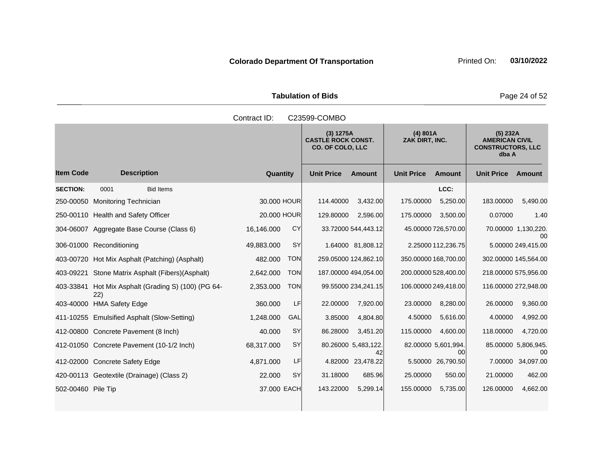Tabulation of Bids **Page 24 of 52** 

|                    |                                                            | Contract ID:            | C23599-COMBO                                                      |                                    |                                                                        |  |  |  |  |
|--------------------|------------------------------------------------------------|-------------------------|-------------------------------------------------------------------|------------------------------------|------------------------------------------------------------------------|--|--|--|--|
|                    |                                                            |                         | (3) 1275A<br><b>CASTLE ROCK CONST.</b><br><b>CO. OF COLO, LLC</b> | (4) 801A<br>ZAK DIRT, INC.         | (5) 232A<br><b>AMERICAN CIVIL</b><br><b>CONSTRUCTORS, LLC</b><br>dba A |  |  |  |  |
| <b>Item Code</b>   | <b>Description</b>                                         | Quantity                | <b>Unit Price</b><br><b>Amount</b>                                | <b>Unit Price</b><br><b>Amount</b> | <b>Unit Price</b><br>Amount                                            |  |  |  |  |
| <b>SECTION:</b>    | 0001<br><b>Bid Items</b>                                   |                         |                                                                   | LCC:                               |                                                                        |  |  |  |  |
|                    | 250-00050 Monitoring Technician                            | 30,000 HOUR             | 114.40000<br>3,432.00                                             | 175.00000<br>5,250.00              | 183.00000<br>5,490.00                                                  |  |  |  |  |
|                    | 250-00110 Health and Safety Officer                        | 20.000 HOUR             | 129.80000<br>2,596.00                                             | 175.00000<br>3,500.00              | 0.07000<br>1.40                                                        |  |  |  |  |
|                    | 304-06007 Aggregate Base Course (Class 6)                  | CY<br>16,146.000        | 33.72000 544,443.12                                               | 45.00000 726,570.00                | 70.00000 1,130,220.<br>00                                              |  |  |  |  |
|                    | 306-01000 Reconditioning                                   | <b>SY</b><br>49,883.000 | 1.64000 81,808.12                                                 | 2.25000 112,236.75                 | 5.00000 249,415.00                                                     |  |  |  |  |
|                    | 403-00720 Hot Mix Asphalt (Patching) (Asphalt)             | <b>TON</b><br>482.000   | 259.05000 124,862.10                                              | 350.00000 168,700.00               | 302.00000 145,564.00                                                   |  |  |  |  |
|                    | 403-09221 Stone Matrix Asphalt (Fibers)(Asphalt)           | 2,642.000<br><b>TON</b> | 187.00000 494,054.00                                              | 200.00000 528,400.00               | 218.00000 575,956.00                                                   |  |  |  |  |
|                    | 403-33841 Hot Mix Asphalt (Grading S) (100) (PG 64-<br>22) | 2,353.000<br><b>TON</b> | 99.55000 234,241.15                                               | 106.00000 249,418.00               | 116.00000 272,948.00                                                   |  |  |  |  |
|                    | 403-40000 HMA Safety Edge                                  | LF<br>360.000           | 22.00000<br>7,920.00                                              | 23.00000<br>8,280.00               | 26.00000<br>9,360.00                                                   |  |  |  |  |
|                    | 411-10255 Emulsified Asphalt (Slow-Setting)                | GAL<br>1,248.000        | 3.85000<br>4,804.80                                               | 4.50000<br>5,616.00                | 4,992.00<br>4.00000                                                    |  |  |  |  |
|                    | 412-00800 Concrete Pavement (8 Inch)                       | SY<br>40.000            | 86.28000<br>3,451.20                                              | 115.00000<br>4,600.00              | 118.00000<br>4,720.00                                                  |  |  |  |  |
|                    | 412-01050 Concrete Pavement (10-1/2 Inch)                  | SY<br>68,317.000        | 80.26000 5,483,122.<br>42                                         | 82.00000 5,601,994.<br>00          | 85.00000 5,806,945.<br>00                                              |  |  |  |  |
|                    | 412-02000 Concrete Safety Edge                             | LF<br>4,871.000         | 4.82000<br>23,478.22                                              | 5.50000 26,790.50                  | 34,097.00<br>7.00000                                                   |  |  |  |  |
|                    | 420-00113 Geotextile (Drainage) (Class 2)                  | SY<br>22.000            | 31.18000<br>685.96                                                | 25.00000<br>550.00                 | 462.00<br>21.00000                                                     |  |  |  |  |
| 502-00460 Pile Tip |                                                            | 37.000 EACH             | 143.22000<br>5,299.14                                             | 155.00000<br>5,735.00              | 126.00000<br>4,662.00                                                  |  |  |  |  |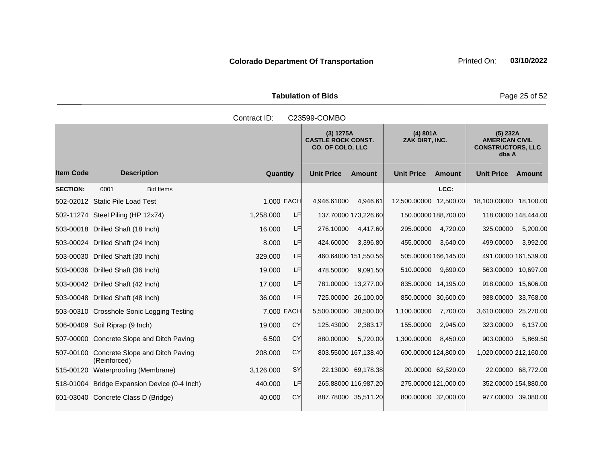Tabulation of Bids **Page 25 of 52** 

|                  |                                                           | Contract ID: | C23599-COMBO |                                                                                                 |                      |                        |                      |                                                                        |                    |  |
|------------------|-----------------------------------------------------------|--------------|--------------|-------------------------------------------------------------------------------------------------|----------------------|------------------------|----------------------|------------------------------------------------------------------------|--------------------|--|
|                  |                                                           |              |              | (4) 801A<br>(3) 1275A<br><b>CASTLE ROCK CONST.</b><br>ZAK DIRT, INC.<br><b>CO. OF COLO, LLC</b> |                      |                        |                      | (5) 232A<br><b>AMERICAN CIVIL</b><br><b>CONSTRUCTORS, LLC</b><br>dba A |                    |  |
| <b>Item Code</b> | <b>Description</b>                                        | Quantity     |              | <b>Unit Price</b>                                                                               | <b>Amount</b>        | <b>Unit Price</b>      | Amount               | <b>Unit Price</b>                                                      | Amount             |  |
| <b>SECTION:</b>  | 0001<br><b>Bid Items</b>                                  |              |              |                                                                                                 |                      |                        | LCC:                 |                                                                        |                    |  |
|                  | 502-02012 Static Pile Load Test                           | 1.000 EACH   |              | 4,946.61000                                                                                     | 4,946.61             | 12,500.00000 12,500.00 |                      | 18,100.00000 18,100.00                                                 |                    |  |
|                  | 502-11274 Steel Piling (HP 12x74)                         | 1,258.000    | LF           |                                                                                                 | 137.70000 173,226.60 |                        | 150.00000 188,700.00 | 118.00000 148,444.00                                                   |                    |  |
|                  | 503-00018 Drilled Shaft (18 Inch)                         | 16.000       | LF           | 276.10000                                                                                       | 4,417.60             | 295.00000              | 4,720.00             | 325.00000                                                              | 5,200.00           |  |
|                  | 503-00024 Drilled Shaft (24 Inch)                         | 8.000        | LF           | 424.60000                                                                                       | 3,396.80             | 455.00000              | 3,640.00             | 499.00000                                                              | 3,992.00           |  |
|                  | 503-00030 Drilled Shaft (30 Inch)                         | 329,000      | <b>LF</b>    |                                                                                                 | 460.64000 151,550.56 |                        | 505.00000 166,145.00 | 491.00000 161,539.00                                                   |                    |  |
|                  | 503-00036 Drilled Shaft (36 Inch)                         | 19.000       | LF           | 478.50000                                                                                       | 9,091.50             | 510.00000              | 9,690.00             | 563.00000 10,697.00                                                    |                    |  |
|                  | 503-00042 Drilled Shaft (42 Inch)                         | 17.000       | LF           |                                                                                                 | 781.00000 13,277.00  |                        | 835.00000 14,195.00  | 918.00000                                                              | 15,606.00          |  |
|                  | 503-00048 Drilled Shaft (48 Inch)                         | 36,000       | LF           |                                                                                                 | 725.00000 26,100.00  |                        | 850.00000 30,600.00  | 938.00000                                                              | 33,768.00          |  |
|                  | 503-00310 Crosshole Sonic Logging Testing                 | 7.000 EACH   |              | 5,500.00000 38,500.00                                                                           |                      | 1,100.00000            | 7,700.00             | 3,610.00000 25,270.00                                                  |                    |  |
|                  | 506-00409 Soil Riprap (9 Inch)                            | 19.000       | CY           | 125.43000                                                                                       | 2,383.17             | 155.00000              | 2,945.00             | 323.00000                                                              | 6,137.00           |  |
|                  | 507-00000 Concrete Slope and Ditch Paving                 | 6.500        | CY           | 880.00000                                                                                       | 5.720.00             | 1,300.00000            | 8,450.00             | 903.00000                                                              | 5,869.50           |  |
|                  | 507-00100 Concrete Slope and Ditch Paving<br>(Reinforced) | 208.000      | CY           |                                                                                                 | 803.55000 167,138.40 |                        | 600.00000 124,800.00 | 1,020.00000 212,160.00                                                 |                    |  |
|                  | 515-00120 Waterproofing (Membrane)                        | 3,126.000    | <b>SY</b>    |                                                                                                 | 22.13000 69,178.38   |                        | 20.00000 62,520.00   |                                                                        | 22.00000 68,772.00 |  |
|                  | 518-01004 Bridge Expansion Device (0-4 Inch)              | 440.000      | <b>LF</b>    |                                                                                                 | 265.88000 116,987.20 |                        | 275.00000 121,000.00 | 352.00000 154,880.00                                                   |                    |  |
|                  | 601-03040 Concrete Class D (Bridge)                       | 40.000       | CY           |                                                                                                 | 887.78000 35,511.20  |                        | 800.00000 32,000.00  | 977.00000 39,080.00                                                    |                    |  |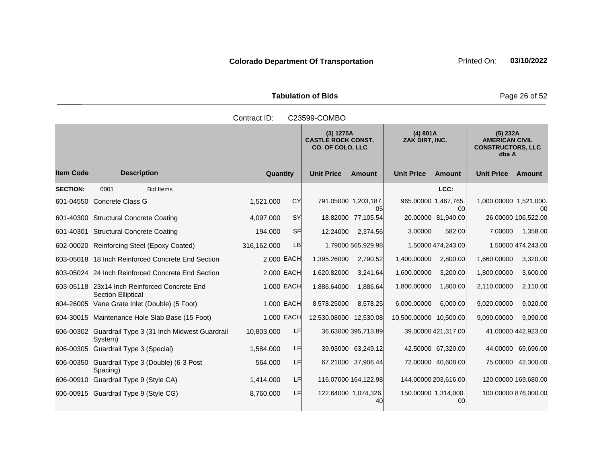Tabulation of Bids **Page 26 of 52** 

| Contract ID:<br>C23599-COMBO |                                                                           |             |     |                                                                   |                            |                            |                      |                                                                        |                     |
|------------------------------|---------------------------------------------------------------------------|-------------|-----|-------------------------------------------------------------------|----------------------------|----------------------------|----------------------|------------------------------------------------------------------------|---------------------|
|                              |                                                                           |             |     | (3) 1275A<br><b>CASTLE ROCK CONST.</b><br><b>CO. OF COLO, LLC</b> |                            | (4) 801A<br>ZAK DIRT, INC. |                      | (5) 232A<br><b>AMERICAN CIVIL</b><br><b>CONSTRUCTORS, LLC</b><br>dba A |                     |
| <b>Item Code</b>             | <b>Description</b>                                                        | Quantity    |     | <b>Unit Price</b>                                                 | <b>Amount</b>              | <b>Unit Price</b>          | <b>Amount</b>        | <b>Unit Price</b>                                                      | Amount              |
| <b>SECTION:</b>              | 0001<br><b>Bid Items</b>                                                  |             |     |                                                                   |                            |                            | LCC:                 |                                                                        |                     |
|                              | 601-04550 Concrete Class G                                                | 1,521.000   | CY  | 791.05000 1,203,187.                                              | 05                         | 965.00000 1,467,765.       | 00                   | 1,000.00000 1,521,000.                                                 | 00                  |
|                              | 601-40300 Structural Concrete Coating                                     | 4,097.000   | SY  |                                                                   | 18.82000 77,105.54         |                            | 20.00000 81,940.00   |                                                                        | 26.00000 106,522.00 |
|                              | 601-40301 Structural Concrete Coating                                     | 194.000     | SF  | 12.24000                                                          | 2,374.56                   | 3.00000                    | 582.00               | 7.00000                                                                | 1,358.00            |
|                              | 602-00020 Reinforcing Steel (Epoxy Coated)                                | 316,162.000 | LB  |                                                                   | 1.79000 565,929.98         |                            | 1.50000 474,243.00   |                                                                        | 1.50000 474,243.00  |
|                              | 603-05018 18 Inch Reinforced Concrete End Section                         | 2,000 EACH  |     | 1,395.26000                                                       | 2,790.52                   | 1,400.00000                | 2,800.00             | 1,660.00000                                                            | 3,320.00            |
|                              | 603-05024 24 Inch Reinforced Concrete End Section                         | 2.000 EACH  |     | 1,620.82000                                                       | 3,241.64                   | 1,600.00000                | 3,200.00             | 1,800.00000                                                            | 3,600.00            |
|                              | 603-05118 23x14 Inch Reinforced Concrete End<br><b>Section Elliptical</b> | 1.000 EACH  |     | 1,886.64000                                                       | 1,886.64                   | 1,800.00000                | 1,800.00             | 2,110.00000                                                            | 2,110.00            |
|                              | 604-26005 Vane Grate Inlet (Double) (5 Foot)                              | 1.000 EACH  |     | 8,578.25000                                                       | 8,578.25                   | 6,000.00000                | 6,000.00             | 9,020.00000                                                            | 9,020.00            |
|                              | 604-30015 Maintenance Hole Slab Base (15 Foot)                            | 1.000 EACH  |     | 12,530.08000 12,530.08                                            |                            | 10,500.00000 10,500.00     |                      | 9,090.00000                                                            | 9,090.00            |
|                              | 606-00302 Guardrail Type 3 (31 Inch Midwest Guardrail<br>System)          | 10,803.000  | LF  |                                                                   | 36.63000 395,713.89        |                            | 39.00000 421,317.00  |                                                                        | 41.00000 442,923.00 |
|                              | 606-00305 Guardrail Type 3 (Special)                                      | 1,584.000   | LF  |                                                                   | 39.93000 63,249.12         |                            | 42.50000 67,320.00   |                                                                        | 44.00000 69,696.00  |
|                              | 606-00350 Guardrail Type 3 (Double) (6-3 Post<br>Spacing)                 | 564.000     | LF  |                                                                   | 67.21000 37,906.44         |                            | 72.00000 40,608.00   |                                                                        | 75.00000 42,300.00  |
|                              | 606-00910 Guardrail Type 9 (Style CA)                                     | 1,414.000   | LF. |                                                                   | 116.07000 164,122.98       |                            | 144.00000 203,616.00 | 120.00000 169,680.00                                                   |                     |
|                              | 606-00915 Guardrail Type 9 (Style CG)                                     | 8,760.000   | LF  |                                                                   | 122.64000 1,074,326.<br>40 | 150.00000 1,314,000.       | 00                   | 100.00000 876,000.00                                                   |                     |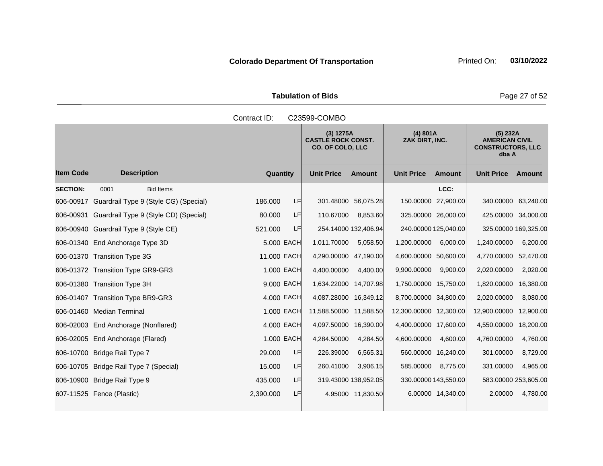Tabulation of Bids **Page 27 of 52** 

|                  |                                                 | Contract ID:    |                                                            | C23599-COMBO                       |                                                                        |  |  |  |  |  |  |  |
|------------------|-------------------------------------------------|-----------------|------------------------------------------------------------|------------------------------------|------------------------------------------------------------------------|--|--|--|--|--|--|--|
|                  |                                                 |                 | (3) 1275A<br><b>CASTLE ROCK CONST.</b><br>CO. OF COLO, LLC | (4) 801A<br>ZAK DIRT, INC.         | (5) 232A<br><b>AMERICAN CIVIL</b><br><b>CONSTRUCTORS, LLC</b><br>dba A |  |  |  |  |  |  |  |
| <b>Item Code</b> | <b>Description</b>                              | Quantity        | <b>Unit Price</b><br><b>Amount</b>                         | <b>Unit Price</b><br><b>Amount</b> | <b>Unit Price</b><br>Amount                                            |  |  |  |  |  |  |  |
| <b>SECTION:</b>  | <b>Bid Items</b><br>0001                        |                 |                                                            | LCC:                               |                                                                        |  |  |  |  |  |  |  |
|                  | 606-00917 Guardrail Type 9 (Style CG) (Special) | LF<br>186,000   | 301.48000 56,075.28                                        | 150.00000 27,900.00                | 340.00000 63,240.00                                                    |  |  |  |  |  |  |  |
|                  | 606-00931 Guardrail Type 9 (Style CD) (Special) | LF<br>80.000    | 110.67000<br>8,853.60                                      | 325.00000 26,000.00                | 425.00000 34,000.00                                                    |  |  |  |  |  |  |  |
|                  | 606-00940 Guardrail Type 9 (Style CE)           | LF<br>521.000   | 254.14000 132,406.94                                       | 240.00000 125,040.00               | 325.00000 169,325.00                                                   |  |  |  |  |  |  |  |
|                  | 606-01340 End Anchorage Type 3D                 | 5.000 EACH      | 1,011.70000<br>5,058.50                                    | 6,000.00<br>1,200.00000            | 1,240.00000<br>6,200.00                                                |  |  |  |  |  |  |  |
|                  | 606-01370 Transition Type 3G                    | 11.000 EACH     | 4,290.00000 47,190.00                                      | 4,600.00000 50,600.00              | 4,770.00000<br>52,470.00                                               |  |  |  |  |  |  |  |
|                  | 606-01372 Transition Type GR9-GR3               | 1.000 EACH      | 4,400.00000<br>4,400.00                                    | 9,900.00<br>9,900.00000            | 2,020.00<br>2,020.00000                                                |  |  |  |  |  |  |  |
|                  | 606-01380 Transition Type 3H                    | 9.000 EACH      | 1,634.22000 14,707.98                                      | 1,750.00000 15,750.00              | 16,380.00<br>1,820.00000                                               |  |  |  |  |  |  |  |
|                  | 606-01407 Transition Type BR9-GR3               | 4.000 EACH      | 4,087.28000 16,349.12                                      | 8,700.00000 34,800.00              | 2,020.00000<br>8,080.00                                                |  |  |  |  |  |  |  |
|                  | 606-01460 Median Terminal                       | 1.000 EACH      | 11,588.50000 11,588.50                                     | 12,300.00000 12,300.00             | 12,900.00<br>12,900.00000                                              |  |  |  |  |  |  |  |
|                  | 606-02003 End Anchorage (Nonflared)             | 4.000 EACH      | 4,097.50000 16,390.00                                      | 4,400.00000 17,600.00              | 4,550.00000<br>18,200.00                                               |  |  |  |  |  |  |  |
|                  | 606-02005 End Anchorage (Flared)                | 1.000 EACH      | 4,284.50000<br>4,284.50                                    | 4,600.00000<br>4,600.00            | 4,760.00000<br>4,760.00                                                |  |  |  |  |  |  |  |
| 606-10700        | Bridge Rail Type 7                              | LF<br>29.000    | 226.39000<br>6,565.31                                      | 560.00000 16,240.00                | 8,729.00<br>301.00000                                                  |  |  |  |  |  |  |  |
|                  | 606-10705 Bridge Rail Type 7 (Special)          | LF<br>15,000    | 260.41000<br>3,906.15                                      | 585.00000<br>8,775.00              | 331.00000<br>4,965.00                                                  |  |  |  |  |  |  |  |
|                  | 606-10900 Bridge Rail Type 9                    | LF<br>435.000   | 319.43000 138,952.05                                       | 330.00000 143,550.00               | 583.00000 253,605.00                                                   |  |  |  |  |  |  |  |
|                  | 607-11525 Fence (Plastic)                       | 2,390.000<br>LF | 4.95000 11,830.50                                          | 6.00000 14,340.00                  | 4,780.00<br>2.00000                                                    |  |  |  |  |  |  |  |
|                  |                                                 |                 |                                                            |                                    |                                                                        |  |  |  |  |  |  |  |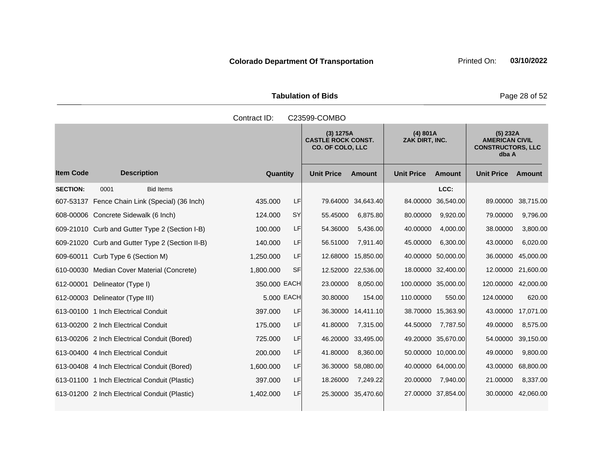Tabulation of Bids **Page 28 of 52** 

|                  |                                                 | Contract ID: |           | C23599-COMBO                                                      |                    |                            |                     |                                                                        |                    |
|------------------|-------------------------------------------------|--------------|-----------|-------------------------------------------------------------------|--------------------|----------------------------|---------------------|------------------------------------------------------------------------|--------------------|
|                  |                                                 |              |           | (3) 1275A<br><b>CASTLE ROCK CONST.</b><br><b>CO. OF COLO, LLC</b> |                    | (4) 801A<br>ZAK DIRT, INC. |                     | (5) 232A<br><b>AMERICAN CIVIL</b><br><b>CONSTRUCTORS, LLC</b><br>dba A |                    |
| <b>Item Code</b> | <b>Description</b>                              | Quantity     |           | <b>Unit Price</b>                                                 | <b>Amount</b>      | <b>Unit Price</b>          | <b>Amount</b>       | <b>Unit Price</b>                                                      | <b>Amount</b>      |
| <b>SECTION:</b>  | <b>Bid Items</b><br>0001                        |              |           |                                                                   |                    |                            | LCC:                |                                                                        |                    |
|                  | 607-53137 Fence Chain Link (Special) (36 Inch)  | 435.000      | LF        | 79.64000                                                          | 34,643.40          | 84.00000                   | 36,540.00           | 89.00000                                                               | 38,715.00          |
|                  | 608-00006 Concrete Sidewalk (6 Inch)            | 124.000      | SY        | 55.45000                                                          | 6,875.80           | 80.00000                   | 9,920.00            | 79.00000                                                               | 9,796.00           |
|                  | 609-21010 Curb and Gutter Type 2 (Section I-B)  | 100.000      | LF        | 54.36000                                                          | 5,436.00           | 40.00000                   | 4,000.00            | 38.00000                                                               | 3,800.00           |
|                  | 609-21020 Curb and Gutter Type 2 (Section II-B) | 140.000      | LF        | 56.51000                                                          | 7,911.40           | 45.00000                   | 6,300.00            | 43.00000                                                               | 6,020.00           |
| 609-60011        | Curb Type 6 (Section M)                         | 1,250.000    | LF        | 12.68000                                                          | 15,850.00          | 40.00000                   | 50,000.00           | 36.00000                                                               | 45,000.00          |
|                  | 610-00030 Median Cover Material (Concrete)      | 1,800.000    | <b>SF</b> | 12.52000                                                          | 22,536.00          |                            | 18.00000 32,400.00  | 12.00000                                                               | 21,600.00          |
| 612-00001        | Delineator (Type I)                             | 350.000 EACH |           | 23.00000                                                          | 8,050.00           |                            | 100.00000 35,000.00 | 120.00000                                                              | 42,000.00          |
|                  | 612-00003 Delineator (Type III)                 | 5,000 EACH   |           | 30.80000                                                          | 154.00             | 110.00000                  | 550.00              | 124.00000                                                              | 620.00             |
|                  | 613-00100 1 Inch Electrical Conduit             | 397.000      | LF        |                                                                   | 36.30000 14,411.10 |                            | 38.70000 15,363.90  | 43.00000                                                               | 17,071.00          |
|                  | 613-00200 2 Inch Electrical Conduit             | 175.000      | LF        | 41.80000                                                          | 7,315.00           | 44.50000                   | 7,787.50            | 49.00000                                                               | 8,575.00           |
|                  | 613-00206 2 Inch Electrical Conduit (Bored)     | 725.000      | LF        | 46.20000                                                          | 33,495.00          |                            | 49.20000 35,670.00  | 54.00000                                                               | 39,150.00          |
|                  | 613-00400 4 Inch Electrical Conduit             | 200.000      | LF        | 41.80000                                                          | 8,360.00           |                            | 50.00000 10,000.00  | 49.00000                                                               | 9,800.00           |
|                  | 613-00408 4 Inch Electrical Conduit (Bored)     | 1,600.000    | LF        | 36.30000                                                          | 58,080.00          |                            | 40.00000 64,000.00  | 43.00000                                                               | 68,800.00          |
|                  | 613-01100 1 Inch Electrical Conduit (Plastic)   | 397.000      | LF        | 18.26000                                                          | 7,249.22           | 20.00000                   | 7,940.00            | 21.00000                                                               | 8,337.00           |
|                  | 613-01200 2 Inch Electrical Conduit (Plastic)   | 1,402.000    | LF        |                                                                   | 25.30000 35,470.60 |                            | 27.00000 37,854.00  |                                                                        | 30.00000 42,060.00 |
|                  |                                                 |              |           |                                                                   |                    |                            |                     |                                                                        |                    |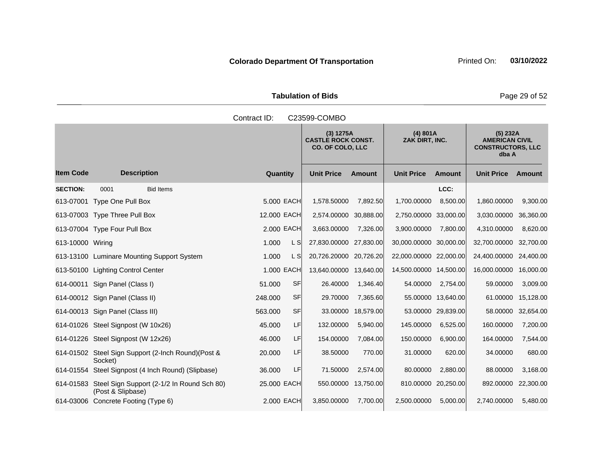Tabulation of Bids **Page 29 of 52** 

|                  |                                                                           | Contract ID: |            | C23599-COMBO                                                      |                     |                            |                     |                                                                          |           |
|------------------|---------------------------------------------------------------------------|--------------|------------|-------------------------------------------------------------------|---------------------|----------------------------|---------------------|--------------------------------------------------------------------------|-----------|
|                  |                                                                           |              |            | (3) 1275A<br><b>CASTLE ROCK CONST.</b><br><b>CO. OF COLO, LLC</b> |                     | (4) 801A<br>ZAK DIRT, INC. |                     | $(5)$ 232A<br><b>AMERICAN CIVIL</b><br><b>CONSTRUCTORS, LLC</b><br>dba A |           |
| <b>Item Code</b> | <b>Description</b>                                                        | Quantity     |            | <b>Unit Price</b>                                                 | <b>Amount</b>       | <b>Unit Price</b>          | <b>Amount</b>       | <b>Unit Price</b>                                                        | Amount    |
| <b>SECTION:</b>  | 0001<br><b>Bid Items</b>                                                  |              |            |                                                                   |                     |                            | LCC:                |                                                                          |           |
|                  | 613-07001 Type One Pull Box                                               |              | 5,000 EACH | 1,578.50000                                                       | 7,892.50            | 1,700.00000                | 8,500.00            | 1,860.00000                                                              | 9,300.00  |
|                  | 613-07003 Type Three Pull Box                                             | 12,000 EACH  |            | 2,574.00000 30,888.00                                             |                     | 2,750.00000 33,000.00      |                     | 3,030.00000                                                              | 36,360.00 |
|                  | 613-07004 Type Four Pull Box                                              |              | 2,000 EACH | 3,663.00000                                                       | 7,326.00            | 3,900.00000                | 7,800.00            | 4,310.00000                                                              | 8,620.00  |
| 613-10000 Wiring |                                                                           | 1.000        | L S        | 27,830.00000 27,830.00                                            |                     | 30,000.00000 30,000.00     |                     | 32,700.00000                                                             | 32,700.00 |
|                  | 613-13100 Luminare Mounting Support System                                | 1.000        | L S        | 20,726.20000 20,726.20                                            |                     | 22,000.00000 22,000.00     |                     | 24,400.00000                                                             | 24,400.00 |
|                  | 613-50100 Lighting Control Center                                         |              | 1.000 EACH | 13,640.00000 13,640.00                                            |                     | 14,500.00000 14,500.00     |                     | 16,000.00000                                                             | 16,000.00 |
|                  | 614-00011 Sign Panel (Class I)                                            | 51.000       | SF         | 26.40000                                                          | 1,346.40            | 54.00000                   | 2,754.00            | 59.00000                                                                 | 3,009.00  |
|                  | 614-00012 Sign Panel (Class II)                                           | 248.000      | <b>SF</b>  | 29.70000                                                          | 7,365.60            |                            | 55.00000 13,640.00  | 61.00000                                                                 | 15,128.00 |
|                  | 614-00013 Sign Panel (Class III)                                          | 563.000      | SF         | 33.00000                                                          | 18,579.00           |                            | 53.00000 29,839.00  | 58.00000                                                                 | 32,654.00 |
|                  | 614-01026 Steel Signpost (W 10x26)                                        | 45.000       | LF         | 132.00000                                                         | 5,940.00            | 145.00000                  | 6,525.00            | 160.00000                                                                | 7,200.00  |
|                  | 614-01226 Steel Signpost (W 12x26)                                        | 46.000       | LF.        | 154.00000                                                         | 7,084.00            | 150.00000                  | 6,900.00            | 164.00000                                                                | 7,544.00  |
|                  | 614-01502 Steel Sign Support (2-Inch Round)(Post &<br>Socket)             | 20.000       | LF         | 38.50000                                                          | 770.00              | 31.00000                   | 620.00              | 34.00000                                                                 | 680.00    |
|                  | 614-01554 Steel Signpost (4 Inch Round) (Slipbase)                        | 36.000       | LF.        | 71.50000                                                          | 2,574.00            | 80.00000                   | 2,880.00            | 88.00000                                                                 | 3,168.00  |
|                  | 614-01583 Steel Sign Support (2-1/2 In Round Sch 80)<br>(Post & Slipbase) | 25.000 EACH  |            |                                                                   | 550.00000 13,750.00 |                            | 810.00000 20,250.00 | 892.00000                                                                | 22,300.00 |
|                  | 614-03006 Concrete Footing (Type 6)                                       |              | 2.000 EACH | 3,850.00000                                                       | 7,700.00            | 2.500.00000                | 5,000.00            | 2.740.00000                                                              | 5,480.00  |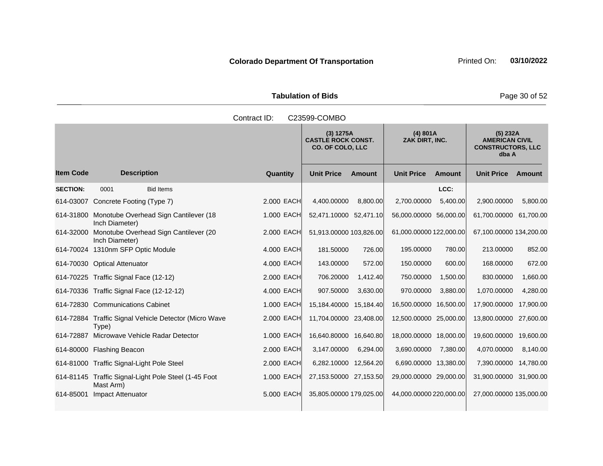Tabulation of Bids **Page 30 of 52** 

|                 |                                                                   | Contract ID: | C23599-COMBO                                               |               |                            |               |                                                                        |           |
|-----------------|-------------------------------------------------------------------|--------------|------------------------------------------------------------|---------------|----------------------------|---------------|------------------------------------------------------------------------|-----------|
|                 |                                                                   |              | (3) 1275A<br><b>CASTLE ROCK CONST.</b><br>CO. OF COLO, LLC |               | (4) 801A<br>ZAK DIRT, INC. |               | (5) 232A<br><b>AMERICAN CIVIL</b><br><b>CONSTRUCTORS, LLC</b><br>dba A |           |
| ltem Code       | <b>Description</b>                                                | Quantity     | <b>Unit Price</b>                                          | <b>Amount</b> | <b>Unit Price</b>          | <b>Amount</b> | <b>Unit Price</b>                                                      | Amount    |
| <b>SECTION:</b> | 0001<br><b>Bid Items</b>                                          |              |                                                            |               |                            | LCC:          |                                                                        |           |
|                 | 614-03007 Concrete Footing (Type 7)                               | 2,000 EACH   | 4,400.00000                                                | 8,800.00      | 2,700.00000                | 5,400.00      | 2,900.00000                                                            | 5,800.00  |
|                 | 614-31800 Monotube Overhead Sign Cantilever (18<br>Inch Diameter) | 1.000 EACH   | 52,471.10000 52,471.10                                     |               | 56,000.00000 56,000.00     |               | 61,700.00000 61,700.00                                                 |           |
|                 | 614-32000 Monotube Overhead Sign Cantilever (20<br>Inch Diameter) | 2.000 EACH   | 51,913.00000 103,826.00                                    |               | 61,000.00000 122,000.00    |               | 67,100.00000 134,200.00                                                |           |
|                 | 614-70024 1310nm SFP Optic Module                                 | 4.000 EACH   | 181.50000                                                  | 726.00        | 195.00000                  | 780.00        | 213.00000                                                              | 852.00    |
|                 | 614-70030 Optical Attenuator                                      | 4.000 EACH   | 143.00000                                                  | 572.00        | 150.00000                  | 600.00        | 168.00000                                                              | 672.00    |
|                 | 614-70225 Traffic Signal Face (12-12)                             | 2.000 EACH   | 706.20000                                                  | 1,412.40      | 750.00000                  | 1,500.00      | 830.00000                                                              | 1,660.00  |
|                 | 614-70336 Traffic Signal Face (12-12-12)                          | 4.000 EACH   | 907.50000                                                  | 3,630.00      | 970.00000                  | 3,880.00      | 1,070.00000                                                            | 4,280.00  |
|                 | 614-72830 Communications Cabinet                                  | 1.000 EACH   | 15,184.40000 15,184.40                                     |               | 16,500.00000 16,500.00     |               | 17,900.00000                                                           | 17,900.00 |
|                 | 614-72884 Traffic Signal Vehicle Detector (Micro Wave<br>Type)    | 2,000 EACH   | 11,704.00000 23,408.00                                     |               | 12,500.00000 25,000.00     |               | 13,800.00000                                                           | 27,600.00 |
|                 | 614-72887 Microwave Vehicle Radar Detector                        | 1.000 EACH   | 16,640.80000 16,640.80                                     |               | 18,000.00000 18,000.00     |               | 19,600.00000                                                           | 19,600.00 |
|                 | 614-80000 Flashing Beacon                                         | 2,000 EACH   | 3,147.00000                                                | 6,294.00      | 3,690.00000                | 7,380.00      | 4,070.00000                                                            | 8,140.00  |
|                 | 614-81000 Traffic Signal-Light Pole Steel                         | 2.000 EACH   | 6,282.10000 12,564.20                                      |               | 6,690.00000 13,380.00      |               | 7,390.00000 14,780.00                                                  |           |
|                 | 614-81145 Traffic Signal-Light Pole Steel (1-45 Foot<br>Mast Arm) | 1.000 EACH   | 27,153.50000 27,153.50                                     |               | 29,000.00000 29,000.00     |               | 31,900.00000 31,900.00                                                 |           |
|                 | 614-85001 Impact Attenuator                                       | 5.000 EACH   | 35,805.00000 179,025.00                                    |               | 44,000.00000 220,000.00    |               | 27,000.00000 135,000.00                                                |           |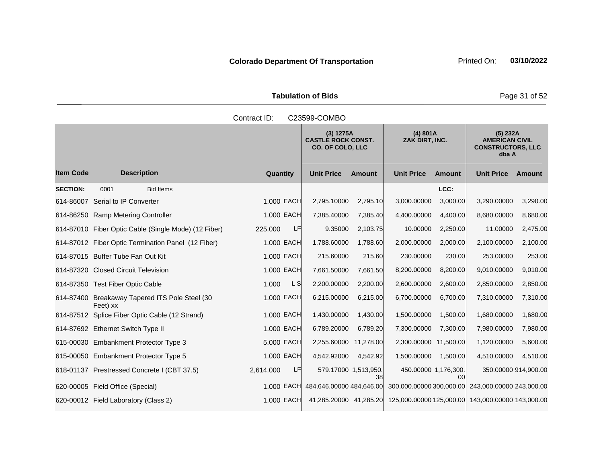Tabulation of Bids **Page 31 of 52** 

|                  | Contract ID:<br>C23599-COMBO                               |                        |                                                                   |               |                                                                         |               |                                                                        |                      |  |  |
|------------------|------------------------------------------------------------|------------------------|-------------------------------------------------------------------|---------------|-------------------------------------------------------------------------|---------------|------------------------------------------------------------------------|----------------------|--|--|
|                  |                                                            |                        | (3) 1275A<br><b>CASTLE ROCK CONST.</b><br><b>CO. OF COLO, LLC</b> |               | (4) 801A<br>ZAK DIRT, INC.                                              |               | (5) 232A<br><b>AMERICAN CIVIL</b><br><b>CONSTRUCTORS, LLC</b><br>dba A |                      |  |  |
| <b>Item Code</b> | <b>Description</b>                                         | Quantity               | <b>Unit Price</b>                                                 | <b>Amount</b> | <b>Unit Price</b>                                                       | <b>Amount</b> | <b>Unit Price</b>                                                      | Amount               |  |  |
| <b>SECTION:</b>  | <b>Bid Items</b><br>0001                                   |                        |                                                                   |               |                                                                         | LCC:          |                                                                        |                      |  |  |
|                  | 614-86007 Serial to IP Converter                           | 1.000 EACH             | 2,795.10000                                                       | 2,795.10      | 3,000.00000                                                             | 3,000.00      | 3,290.00000                                                            | 3,290.00             |  |  |
|                  | 614-86250 Ramp Metering Controller                         | 1,000 EACH             | 7,385.40000                                                       | 7,385.40      | 4,400.00000                                                             | 4,400.00      | 8,680.00000                                                            | 8,680.00             |  |  |
|                  | 614-87010 Fiber Optic Cable (Single Mode) (12 Fiber)       | LF<br>225.000          | 9.35000                                                           | 2,103.75      | 10.00000                                                                | 2,250.00      | 11.00000                                                               | 2,475.00             |  |  |
|                  | 614-87012 Fiber Optic Termination Panel (12 Fiber)         | 1.000 EACH             | 1,788.60000                                                       | 1,788.60      | 2,000.00000                                                             | 2,000.00      | 2,100.00000                                                            | 2,100.00             |  |  |
|                  | 614-87015 Buffer Tube Fan Out Kit                          | 1.000 EACH             | 215.60000                                                         | 215.60        | 230.00000                                                               | 230.00        | 253.00000                                                              | 253.00               |  |  |
|                  | 614-87320 Closed Circuit Television                        | 1.000 EACH             | 7,661.50000                                                       | 7,661.50      | 8,200.00000                                                             | 8,200.00      | 9,010.00000                                                            | 9,010.00             |  |  |
|                  | 614-87350 Test Fiber Optic Cable                           | L S<br>1.000           | 2,200.00000                                                       | 2,200.00      | 2,600.00000                                                             | 2,600.00      | 2,850.00000                                                            | 2,850.00             |  |  |
|                  | 614-87400 Breakaway Tapered ITS Pole Steel (30<br>Feet) xx | 1.000 EACH             | 6,215.00000                                                       | 6,215.00      | 6,700.00000                                                             | 6,700.00      | 7,310.00000                                                            | 7,310.00             |  |  |
|                  | 614-87512 Splice Fiber Optic Cable (12 Strand)             | 1.000 EACH             | 1,430.00000                                                       | 1,430.00      | 1,500.00000                                                             | 1,500.00      | 1,680.00000                                                            | 1,680.00             |  |  |
|                  | 614-87692 Ethernet Switch Type II                          | 1,000 EACH             | 6,789.20000                                                       | 6,789.20      | 7,300.00000                                                             | 7,300.00      | 7,980.00000                                                            | 7,980.00             |  |  |
|                  | 615-00030 Embankment Protector Type 3                      | 5.000 EACH             | 2,255.60000 11,278.00                                             |               | 2,300.00000 11,500.00                                                   |               | 1,120.00000                                                            | 5,600.00             |  |  |
|                  | 615-00050 Embankment Protector Type 5                      | 1,000 EACH             | 4,542.92000                                                       | 4,542.92      | 1,500.00000                                                             | 1,500.00      | 4,510.00000                                                            | 4,510.00             |  |  |
|                  | 618-01137 Prestressed Concrete I (CBT 37.5)                | 2,614.000<br><b>LF</b> | 579.17000 1,513,950.                                              | 38l           | 450.00000 1,176,300.                                                    | 00            |                                                                        | 350.00000 914,900.00 |  |  |
|                  | 620-00005 Field Office (Special)                           | 1.000 EACH             | 484,646.00000 484,646.00                                          |               | 300,000.00000 300,000.00                                                |               | 243,000.00000 243,000.00                                               |                      |  |  |
|                  | 620-00012 Field Laboratory (Class 2)                       | 1.000 EACH             |                                                                   |               | 41,285.20000 41,285.20 125,000.00000 125,000.00 143,000.0000 143,000.00 |               |                                                                        |                      |  |  |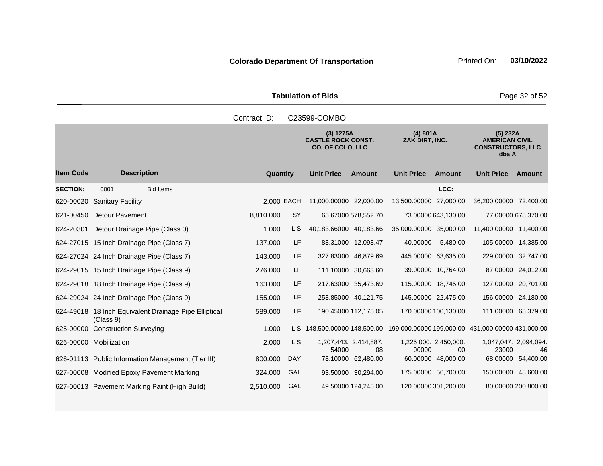Tabulation of Bids **Page 32 of 52** 

|                  |                                                                    | Contract ID: |            | C23599-COMBO                                                      |                             |                                |                     |                                                                        |                     |
|------------------|--------------------------------------------------------------------|--------------|------------|-------------------------------------------------------------------|-----------------------------|--------------------------------|---------------------|------------------------------------------------------------------------|---------------------|
|                  |                                                                    |              |            | (3) 1275A<br><b>CASTLE ROCK CONST.</b><br><b>CO. OF COLO, LLC</b> |                             | (4) 801A<br>ZAK DIRT, INC.     |                     | (5) 232A<br><b>AMERICAN CIVIL</b><br><b>CONSTRUCTORS, LLC</b><br>dba A |                     |
| <b>Item Code</b> | <b>Description</b>                                                 | Quantity     |            | <b>Unit Price</b>                                                 | <b>Amount</b>               | <b>Unit Price</b>              | <b>Amount</b>       | <b>Unit Price</b>                                                      | Amount              |
| <b>SECTION:</b>  | 0001<br><b>Bid Items</b>                                           |              |            |                                                                   |                             |                                | LCC:                |                                                                        |                     |
|                  | 620-00020 Sanitary Facility                                        | 2.000 EACH   |            | 11,000.00000 22,000.00                                            |                             | 13,500.00000 27,000.00         |                     | 36,200.00000 72,400.00                                                 |                     |
|                  | 621-00450 Detour Pavement                                          | 8,810.000    | <b>SY</b>  |                                                                   | 65.67000 578,552.70         |                                | 73.00000 643,130.00 |                                                                        | 77.00000 678,370.00 |
|                  | 624-20301 Detour Drainage Pipe (Class 0)                           | 1.000        | L SI       | 40,183.66000 40,183.66                                            |                             | 35,000.00000 35,000.00         |                     | 11,400.00000 11,400.00                                                 |                     |
|                  | 624-27015 15 Inch Drainage Pipe (Class 7)                          | 137.000      | LF         |                                                                   | 88.31000 12,098.47          | 40.00000                       | 5,480.00            | 105.00000 14,385.00                                                    |                     |
|                  | 624-27024 24 Inch Drainage Pipe (Class 7)                          | 143.000      | LF         |                                                                   | 327.83000 46,879.69         | 445.00000 63,635.00            |                     | 229.00000 32,747.00                                                    |                     |
|                  | 624-29015 15 Inch Drainage Pipe (Class 9)                          | 276.000      | LF         |                                                                   | 111.10000 30,663.60         |                                | 39.00000 10,764.00  |                                                                        | 87.00000 24,012.00  |
|                  | 624-29018 18 Inch Drainage Pipe (Class 9)                          | 163.000      | LF         |                                                                   | 217.63000 35,473.69         | 115.00000 18,745.00            |                     | 127.00000 20,701.00                                                    |                     |
|                  | 624-29024 24 Inch Drainage Pipe (Class 9)                          | 155.000      | LF         |                                                                   | 258.85000 40,121.75         | 145.00000 22,475.00            |                     | 156.00000 24,180.00                                                    |                     |
|                  | 624-49018 18 Inch Equivalent Drainage Pipe Elliptical<br>(Class 9) | 589.000      | LF         |                                                                   | 190.45000 112,175.05        | 170.00000 100.130.00           |                     | 111.00000 65,379.00                                                    |                     |
|                  | 625-00000 Construction Surveying                                   | 1.000        | L SI       | 148,500.00000 148,500.00                                          |                             |                                |                     | 199,000.00000 199,000.00 431,000.00000 431,000.00                      |                     |
|                  | 626-00000 Mobilization                                             | 2.000        | L SI       | 54000                                                             | 1,207,443. 2,414,887.<br>08 | 1,225,000. 2,450,000.<br>00000 | 00                  | 1,047,047. 2,094,094.<br>23000                                         | 46                  |
|                  | 626-01113 Public Information Management (Tier III)                 | 800.000      | <b>DAY</b> |                                                                   | 78.10000 62,480.00          |                                | 60.00000 48,000.00  | 68.00000                                                               | 54,400.00           |
|                  | 627-00008 Modified Epoxy Pavement Marking                          | 324.000      | GAL        |                                                                   | 93.50000 30,294.00          | 175.00000 56,700.00            |                     | 150.00000 48,600.00                                                    |                     |
|                  | 627-00013 Pavement Marking Paint (High Build)                      | 2,510.000    | GAL        |                                                                   | 49.50000 124,245.00         | 120.00000 301,200.00           |                     |                                                                        | 80.00000 200,800.00 |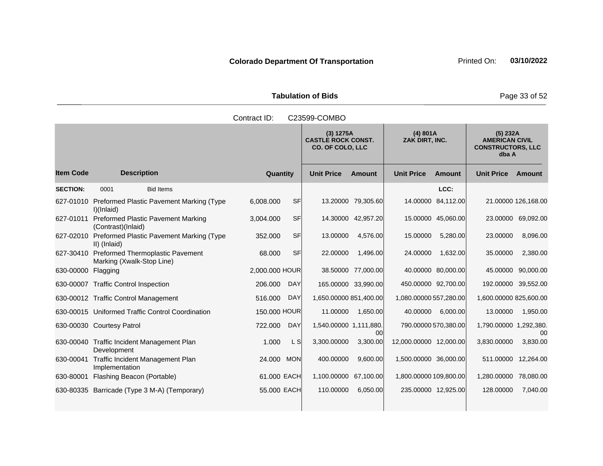Tabulation of Bids **Page 33 of 52** 

|                           |                    |                                                                         | Contract ID:   |                                                            | C23599-COMBO           |                            |                        |                                                                        |                        |                     |
|---------------------------|--------------------|-------------------------------------------------------------------------|----------------|------------------------------------------------------------|------------------------|----------------------------|------------------------|------------------------------------------------------------------------|------------------------|---------------------|
|                           |                    |                                                                         |                | (3) 1275A<br><b>CASTLE ROCK CONST.</b><br>CO. OF COLO, LLC |                        | (4) 801A<br>ZAK DIRT, INC. |                        | (5) 232A<br><b>AMERICAN CIVIL</b><br><b>CONSTRUCTORS, LLC</b><br>dba A |                        |                     |
| <b>Item Code</b>          |                    | <b>Description</b>                                                      | Quantity       |                                                            | <b>Unit Price</b>      | <b>Amount</b>              | <b>Unit Price</b>      | <b>Amount</b>                                                          | <b>Unit Price</b>      | Amount              |
| <b>SECTION:</b>           | 0001               | <b>Bid Items</b>                                                        |                |                                                            |                        |                            |                        | LCC:                                                                   |                        |                     |
|                           | I)(Inlaid)         | 627-01010 Preformed Plastic Pavement Marking (Type                      | 6,008.000      | <b>SF</b>                                                  |                        | 13.20000 79,305.60         |                        | 14.00000 84,112.00                                                     |                        | 21.00000 126,168.00 |
| 627-01011                 | (Contrast)(Inlaid) | <b>Preformed Plastic Pavement Marking</b>                               | 3,004.000      | <b>SF</b>                                                  |                        | 14.30000 42,957.20         |                        | 15.00000 45,060.00                                                     |                        | 23.00000 69,092.00  |
|                           | II) (Inlaid)       | 627-02010 Preformed Plastic Pavement Marking (Type                      | 352.000        | <b>SF</b>                                                  | 13.00000               | 4,576.00                   | 15.00000               | 5,280.00                                                               | 23.00000               | 8,096.00            |
|                           |                    | 627-30410 Preformed Thermoplastic Pavement<br>Marking (Xwalk-Stop Line) | 68.000         | <b>SF</b>                                                  | 22.00000               | 1,496.00                   | 24.00000               | 1,632.00                                                               | 35.00000               | 2,380.00            |
| 630-00000 Flagging        |                    |                                                                         | 2,000.000 HOUR |                                                            |                        | 38.50000 77,000.00         |                        | 40.00000 80,000.00                                                     | 45.00000               | 90,000.00           |
|                           |                    | 630-00007 Traffic Control Inspection                                    | 206.000        | <b>DAY</b>                                                 |                        | 165.00000 33,990.00        |                        | 450.00000 92,700.00                                                    | 192.00000 39,552.00    |                     |
|                           |                    | 630-00012 Traffic Control Management                                    | 516.000        | <b>DAY</b>                                                 | 1,650.00000 851,400.00 |                            | 1,080.00000 557,280.00 |                                                                        | 1,600.00000 825,600.00 |                     |
|                           |                    | 630-00015 Uniformed Traffic Control Coordination                        | 150.000 HOUR   |                                                            | 11.00000               | 1,650.00                   | 40.00000               | 6,000.00                                                               | 13.00000               | 1,950.00            |
| 630-00030 Courtesy Patrol |                    |                                                                         | 722.000        | <b>DAY</b>                                                 | 1,540.00000 1,111,880. | 00                         |                        | 790.00000 570,380.00                                                   | 1,790.00000 1,292,380. | 00                  |
|                           | Development        | 630-00040 Traffic Incident Management Plan                              | 1.000          | L S                                                        | 3,300.00000            | 3,300.00                   | 12,000.00000 12,000.00 |                                                                        | 3,830.00000            | 3,830.00            |
| 630-00041                 | Implementation     | Traffic Incident Management Plan                                        | 24.000         | <b>MON</b>                                                 | 400.00000              | 9,600.00                   | 1,500.00000 36,000.00  |                                                                        | 511.00000              | 12,264.00           |
| 630-80001                 |                    | Flashing Beacon (Portable)                                              | 61.000 EACH    |                                                            | 1,100.00000 67,100.00  |                            | 1,800.00000 109,800.00 |                                                                        | 1,280.00000            | 78,080.00           |
|                           |                    | 630-80335 Barricade (Type 3 M-A) (Temporary)                            | 55.000 EACH    |                                                            | 110.00000              | 6,050.00                   |                        | 235.00000 12,925.00                                                    | 128.00000              | 7,040.00            |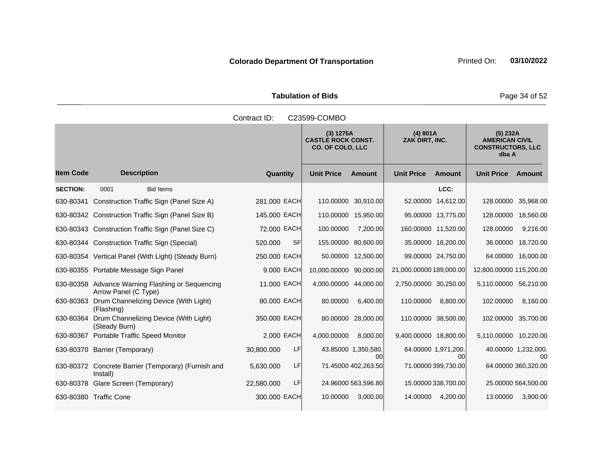Tabulation of Bids **Page 34 of 52** 

|                  |                                                                          | Contract ID:           | C23599-COMBO                                                      |                             |                                                                        |
|------------------|--------------------------------------------------------------------------|------------------------|-------------------------------------------------------------------|-----------------------------|------------------------------------------------------------------------|
|                  |                                                                          |                        | (3) 1275A<br><b>CASTLE ROCK CONST.</b><br><b>CO. OF COLO, LLC</b> | (4) 801A<br>ZAK DIRT, INC.  | (5) 232A<br><b>AMERICAN CIVIL</b><br><b>CONSTRUCTORS, LLC</b><br>dba A |
| <b>Item Code</b> | <b>Description</b>                                                       | Quantity               | <b>Unit Price</b><br><b>Amount</b>                                | <b>Unit Price</b><br>Amount | <b>Unit Price Amount</b>                                               |
| <b>SECTION:</b>  | <b>Bid Items</b><br>0001                                                 |                        |                                                                   | LCC:                        |                                                                        |
|                  | 630-80341 Construction Traffic Sign (Panel Size A)                       | 281.000 EACH           | 110.00000 30,910.00                                               | 52.00000 14,612.00          | 128.00000 35,968.00                                                    |
|                  | 630-80342 Construction Traffic Sign (Panel Size B)                       | 145.000 EACH           | 110.00000 15,950.00                                               | 95.00000 13,775.00          | 128.00000 18,560.00                                                    |
|                  | 630-80343 Construction Traffic Sign (Panel Size C)                       | 72.000 EACH            | 100.00000<br>7,200.00                                             | 160.00000 11,520.00         | 9,216.00<br>128.00000                                                  |
|                  | 630-80344 Construction Traffic Sign (Special)                            | 520.000<br><b>SF</b>   | 155.00000 80,600.00                                               | 35.00000 18,200.00          | 36.00000 18,720.00                                                     |
|                  | 630-80354 Vertical Panel (With Light) (Steady Burn)                      | 250.000 EACH           | 50.00000 12,500.00                                                | 99.00000 24,750.00          | 64.00000 16,000.00                                                     |
|                  | 630-80355 Portable Message Sign Panel                                    | 9.000 EACH             | 10.000.00000 90.000.00                                            | 21,000.00000 189,000.00     | 12,800.00000 115,200.00                                                |
|                  | 630-80358 Advance Warning Flashing or Sequencing<br>Arrow Panel (C Type) | 11.000 EACH            | 4,000.00000 44,000.00                                             | 2,750.00000 30,250.00       | 5,110.00000 56,210.00                                                  |
|                  | 630-80363 Drum Channelizing Device (With Light)<br>(Flashing)            | 80.000 EACH            | 80.00000<br>6,400.00                                              | 110.00000<br>8,800.00       | 102.00000<br>8,160.00                                                  |
|                  | 630-80364 Drum Channelizing Device (With Light)<br>(Steady Burn)         | 350.000 EACH           | 80.00000 28,000.00                                                | 110.00000 38,500.00         | 102.00000 35,700.00                                                    |
|                  | 630-80367 Portable Traffic Speed Monitor                                 | 2,000 EACH             | 4,000.00000<br>8,000.00                                           | 9,400.00000 18,800.00       | 5,110.00000 10,220.00                                                  |
|                  | 630-80370 Barrier (Temporary)                                            | LF.<br>30,800.000      | 43.85000 1,350,580.<br>00                                         | 64.00000 1,971,200.<br>00   | 40.00000 1,232,000.<br>00                                              |
|                  | 630-80372 Concrete Barrier (Temporary) (Furnish and<br>Install)          | <b>LF</b><br>5,630.000 | 71.45000 402,263.50                                               | 71.00000 399,730.00         | 64.00000 360,320.00                                                    |
|                  | 630-80378 Glare Screen (Temporary)                                       | LF<br>22,580.000       | 24.96000 563,596.80                                               | 15.00000 338,700.00         | 25.00000 564,500.00                                                    |
|                  | 630-80380 Traffic Cone                                                   | 300.000 EACH           | 10.00000<br>3,000.00                                              | 14.00000<br>4,200.00        | 3,900.00<br>13.00000                                                   |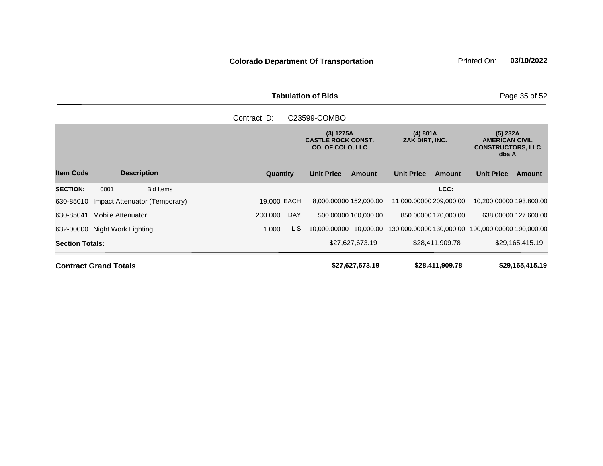Tabulation of Bids **Page 35 of 52** 

|                                             | Contract ID:<br>C23599-COMBO |                                                                   |                             |                                                                        |  |  |  |  |  |  |
|---------------------------------------------|------------------------------|-------------------------------------------------------------------|-----------------------------|------------------------------------------------------------------------|--|--|--|--|--|--|
|                                             |                              | (3) 1275A<br><b>CASTLE ROCK CONST.</b><br><b>CO. OF COLO, LLC</b> | (4) 801A<br>ZAK DIRT, INC.  | (5) 232A<br><b>AMERICAN CIVIL</b><br><b>CONSTRUCTORS, LLC</b><br>dba A |  |  |  |  |  |  |
| <b>Item Code</b><br><b>Description</b>      | <b>Quantity</b>              | <b>Unit Price</b><br><b>Amount</b>                                | <b>Unit Price</b><br>Amount | <b>Unit Price</b><br>Amount                                            |  |  |  |  |  |  |
| <b>SECTION:</b><br>0001<br><b>Bid Items</b> |                              |                                                                   | LCC:                        |                                                                        |  |  |  |  |  |  |
| 630-85010 Impact Attenuator (Temporary)     | 19,000 EACH                  | 8,000.00000 152,000.00                                            | 11,000.00000 209,000.00     | 10,200.00000 193,800.00                                                |  |  |  |  |  |  |
| 630-85041<br>Mobile Attenuator              | <b>DAY</b><br>200.000        | 500.00000 100,000.00                                              | 850.00000 170,000.00        | 638.00000 127,600.00                                                   |  |  |  |  |  |  |
| 632-00000 Night Work Lighting               | L SI<br>1.000                | 10,000.00000 10,000.00                                            |                             | 130,000.00000 130,000.00 190,000.00000 190,000.00                      |  |  |  |  |  |  |
| <b>Section Totals:</b>                      |                              | \$27,627,673.19                                                   | \$28,411,909.78             | \$29,165,415.19                                                        |  |  |  |  |  |  |
| <b>Contract Grand Totals</b>                |                              | \$27,627,673.19                                                   | \$28,411,909.78             | \$29,165,415.19                                                        |  |  |  |  |  |  |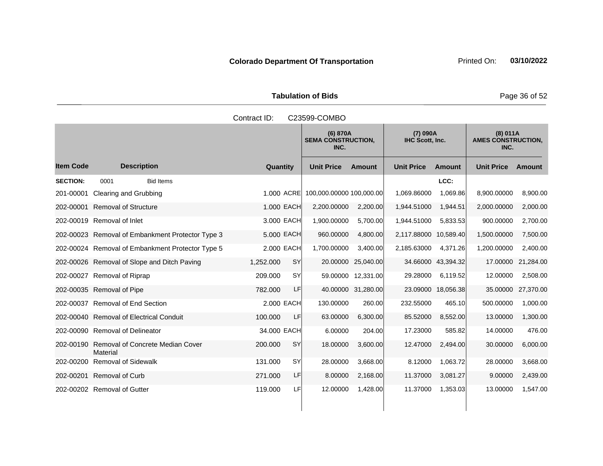Tabulation of Bids **Page 36 of 52** 

|                  |                                                  | Contract ID: |           | C23599-COMBO                                  |                    |                       |                             |                   |                                       |
|------------------|--------------------------------------------------|--------------|-----------|-----------------------------------------------|--------------------|-----------------------|-----------------------------|-------------------|---------------------------------------|
|                  |                                                  |              |           | (6) 870A<br><b>SEMA CONSTRUCTION,</b><br>INC. |                    |                       | (7) 090A<br>IHC Scott, Inc. |                   | (8) 011A<br><b>AMES CONSTRUCTION,</b> |
| <b>Item Code</b> | <b>Description</b>                               | Quantity     |           | <b>Unit Price</b>                             | <b>Amount</b>      | <b>Unit Price</b>     | Amount                      | <b>Unit Price</b> | Amount                                |
| <b>SECTION:</b>  | 0001<br><b>Bid Items</b>                         |              |           |                                               |                    |                       | LCC:                        |                   |                                       |
| 201-00001        | Clearing and Grubbing                            | 1.000 ACRE   |           | 100,000.00000 100,000.00                      |                    | 1,069.86000           | 1,069.86                    | 8,900.00000       | 8,900.00                              |
| 202-00001        | <b>Removal of Structure</b>                      | 1.000 EACH   |           | 2,200.00000                                   | 2,200.00           | 1,944.51000           | 1,944.51                    | 2,000.00000       | 2,000.00                              |
|                  | 202-00019 Removal of Inlet                       | 3.000 EACH   |           | 1,900.00000                                   | 5,700.00           | 1,944.51000           | 5,833.53                    | 900.00000         | 2,700.00                              |
|                  | 202-00023 Removal of Embankment Protector Type 3 | 5,000 EACH   |           | 960.00000                                     | 4,800.00           | 2,117.88000 10,589.40 |                             | 1,500.00000       | 7,500.00                              |
|                  | 202-00024 Removal of Embankment Protector Type 5 | 2.000 EACH   |           | 1,700.00000                                   | 3,400.00           | 2,185.63000           | 4,371.26                    | 1,200.00000       | 2,400.00                              |
|                  | 202-00026 Removal of Slope and Ditch Paving      | 1,252.000    | <b>SY</b> | 20.00000                                      | 25,040.00          |                       | 34.66000 43,394.32          | 17.00000          | 21,284.00                             |
|                  | 202-00027 Removal of Riprap                      | 209.000      | <b>SY</b> |                                               | 59.00000 12,331.00 | 29.28000              | 6,119.52                    | 12.00000          | 2,508.00                              |
|                  | 202-00035 Removal of Pipe                        | 782.000      | LF        |                                               | 40.00000 31,280.00 |                       | 23.09000 18,056.38          | 35.00000          | 27,370.00                             |
|                  | 202-00037 Removal of End Section                 | 2.000 EACH   |           | 130.00000                                     | 260.00             | 232.55000             | 465.10                      | 500.00000         | 1,000.00                              |
|                  | 202-00040 Removal of Electrical Conduit          | 100.000      | LF        | 63.00000                                      | 6,300.00           | 85.52000              | 8,552.00                    | 13.00000          | 1,300.00                              |
|                  | 202-00090 Removal of Delineator                  | 34,000 EACH  |           | 6.00000                                       | 204.00             | 17.23000              | 585.82                      | 14.00000          | 476.00                                |
| 202-00190        | Removal of Concrete Median Cover<br>Material     | 200.000      | <b>SY</b> | 18.00000                                      | 3,600.00           | 12.47000              | 2,494.00                    | 30.00000          | 6,000.00                              |
| 202-00200        | <b>Removal of Sidewalk</b>                       | 131.000      | <b>SY</b> | 28.00000                                      | 3,668.00           | 8.12000               | 1,063.72                    | 28.00000          | 3,668.00                              |
| 202-00201        | <b>Removal of Curb</b>                           | 271.000      | LF        | 8.00000                                       | 2,168.00           | 11.37000              | 3,081.27                    | 9.00000           | 2,439.00                              |
|                  | 202-00202 Removal of Gutter                      | 119.000      | LFI       | 12.00000                                      | 1,428.00           | 11.37000              | 1,353.03                    | 13.00000          | 1,547.00                              |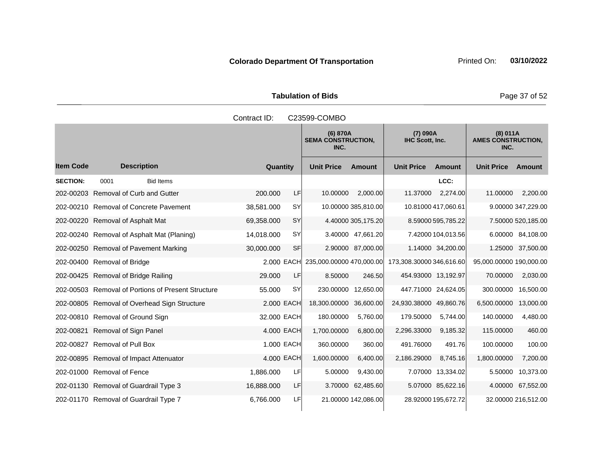Tabulation of Bids **Page 37 of 52** 

|                  |                                                    | Contract ID: |            | C23599-COMBO                                  |                     |                             |                     |                                               |                     |
|------------------|----------------------------------------------------|--------------|------------|-----------------------------------------------|---------------------|-----------------------------|---------------------|-----------------------------------------------|---------------------|
|                  |                                                    |              |            | (6) 870A<br><b>SEMA CONSTRUCTION,</b><br>INC. |                     | (7) 090A<br>IHC Scott, Inc. |                     | (8) 011A<br><b>AMES CONSTRUCTION,</b><br>INC. |                     |
| <b>Item Code</b> | <b>Description</b>                                 | Quantity     |            | <b>Unit Price</b>                             | <b>Amount</b>       | <b>Unit Price</b>           | <b>Amount</b>       | <b>Unit Price</b>                             | Amount              |
| <b>SECTION:</b>  | 0001<br><b>Bid Items</b>                           |              |            |                                               |                     |                             | LCC:                |                                               |                     |
|                  | 202-00203 Removal of Curb and Gutter               | 200,000      | LF         | 10.00000                                      | 2,000.00            | 11.37000                    | 2,274.00            | 11.00000                                      | 2,200.00            |
|                  | 202-00210 Removal of Concrete Pavement             | 38,581.000   | <b>SY</b>  |                                               | 10.00000 385,810.00 |                             | 10.81000 417,060.61 |                                               | 9.00000 347,229.00  |
|                  | 202-00220 Removal of Asphalt Mat                   | 69,358.000   | <b>SY</b>  |                                               | 4.40000 305,175.20  |                             | 8.59000 595,785.22  |                                               | 7.50000 520,185.00  |
|                  | 202-00240 Removal of Asphalt Mat (Planing)         | 14,018.000   | <b>SY</b>  |                                               | 3.40000 47,661.20   |                             | 7.42000 104,013.56  |                                               | 6.00000 84,108.00   |
|                  | 202-00250 Removal of Pavement Marking              | 30,000.000   | <b>SF</b>  |                                               | 2.90000 87,000.00   |                             | 1.14000 34,200.00   |                                               | 1.25000 37,500.00   |
|                  | 202-00400 Removal of Bridge                        |              | 2,000 EACH | 235,000.00000 470,000.00                      |                     | 173,308.30000 346,616.60    |                     | 95,000.00000 190,000.00                       |                     |
|                  | 202-00425 Removal of Bridge Railing                | 29.000       | LF         | 8.50000                                       | 246.50              | 454.93000 13,192.97         |                     | 70.00000                                      | 2,030.00            |
|                  | 202-00503 Removal of Portions of Present Structure | 55.000       | <b>SY</b>  |                                               | 230.00000 12,650.00 | 447.71000 24,624.05         |                     | 300.00000                                     | 16,500.00           |
|                  | 202-00805 Removal of Overhead Sign Structure       |              | 2.000 EACH | 18,300.00000 36,600.00                        |                     | 24,930.38000 49,860.76      |                     | 6,500.00000                                   | 13,000.00           |
|                  | 202-00810 Removal of Ground Sign                   | 32.000 EACH  |            | 180.00000                                     | 5,760.00            | 179.50000                   | 5,744.00            | 140.00000                                     | 4,480.00            |
|                  | 202-00821 Removal of Sign Panel                    |              | 4.000 EACH | 1,700.00000                                   | 6,800.00            | 2,296.33000                 | 9,185.32            | 115.00000                                     | 460.00              |
|                  | 202-00827 Removal of Pull Box                      |              | 1.000 EACH | 360.00000                                     | 360.00              | 491.76000                   | 491.76              | 100.00000                                     | 100.00              |
|                  | 202-00895 Removal of Impact Attenuator             |              | 4.000 EACH | 1,600.00000                                   | 6,400.00            | 2,186.29000                 | 8,745.16            | 1,800.00000                                   | 7,200.00            |
|                  | 202-01000 Removal of Fence                         | 1,886.000    | LF         | 5.00000                                       | 9,430.00            |                             | 7.07000 13,334.02   | 5.50000                                       | 10,373.00           |
|                  | 202-01130 Removal of Guardrail Type 3              | 16,888.000   | LF         | 3.70000                                       | 62,485.60           |                             | 5.07000 85,622.16   | 4.00000                                       | 67,552.00           |
|                  | 202-01170 Removal of Guardrail Type 7              | 6,766.000    | LF         |                                               | 21.00000 142,086.00 |                             | 28.92000 195.672.72 |                                               | 32.00000 216,512.00 |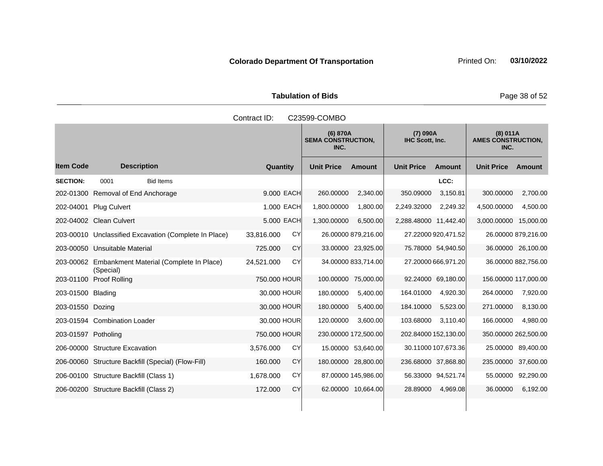Tabulation of Bids **Page 38 of 52** 

|                     |                                                                | Contract ID:            | C23599-COMBO                                  |                                    |                                               |
|---------------------|----------------------------------------------------------------|-------------------------|-----------------------------------------------|------------------------------------|-----------------------------------------------|
|                     |                                                                |                         | (6) 870A<br><b>SEMA CONSTRUCTION,</b><br>INC. | (7) 090A<br>IHC Scott, Inc.        | (8) 011A<br><b>AMES CONSTRUCTION,</b><br>INC. |
| <b>Item Code</b>    | <b>Description</b>                                             | Quantity                | <b>Unit Price</b><br>Amount                   | <b>Unit Price</b><br><b>Amount</b> | <b>Unit Price</b><br>Amount                   |
| <b>SECTION:</b>     | 0001<br><b>Bid Items</b>                                       |                         |                                               | LCC:                               |                                               |
|                     | 202-01300 Removal of End Anchorage                             | 9.000 EACH              | 260.00000<br>2,340.00                         | 350.09000<br>3,150.81              | 300.00000<br>2,700.00                         |
| 202-04001           | <b>Plug Culvert</b>                                            | 1.000 EACH              | 1,800.00000<br>1,800.00                       | 2,249.32000<br>2,249.32            | 4,500.00000<br>4,500.00                       |
|                     | 202-04002 Clean Culvert                                        | 5.000 EACH              | 1,300.00000<br>6,500.00                       | 2,288.48000 11,442.40              | 3,000.00000 15,000.00                         |
|                     | 203-00010 Unclassified Excavation (Complete In Place)          | <b>CY</b><br>33,816.000 | 26.00000 879,216.00                           | 27.22000 920,471.52                | 26.00000 879,216.00                           |
|                     | 203-00050 Unsuitable Material                                  | CY<br>725.000           | 33.00000 23,925.00                            | 75.78000 54,940.50                 | 36.00000 26,100.00                            |
|                     | 203-00062 Embankment Material (Complete In Place)<br>(Special) | 24,521.000<br><b>CY</b> | 34.00000 833,714.00                           | 27.20000 666,971.20                | 36.00000 882,756.00                           |
|                     | 203-01100 Proof Rolling                                        | 750.000 HOUR            | 100.00000 75,000.00                           | 92.24000 69,180.00                 | 156.00000 117,000.00                          |
| 203-01500 Blading   |                                                                | 30.000 HOUR             | 180.00000<br>5,400.00                         | 164.01000<br>4,920.30              | 264.00000<br>7,920.00                         |
| 203-01550 Dozing    |                                                                | 30.000 HOUR             | 180.00000<br>5,400.00                         | 184.10000<br>5,523.00              | 8,130.00<br>271.00000                         |
|                     | 203-01594 Combination Loader                                   | 30.000 HOUR             | 3,600.00<br>120.00000                         | 3,110.40<br>103.68000              | 4,980.00<br>166.00000                         |
| 203-01597 Potholing |                                                                | 750.000 HOUR            | 230.00000 172,500.00                          | 202.84000 152,130.00               | 350.00000 262,500.00                          |
|                     | 206-00000 Structure Excavation                                 | CY<br>3,576.000         | 15.00000 53,640.00                            | 30.11000 107,673.36                | 25.00000 89,400.00                            |
|                     | 206-00060 Structure Backfill (Special) (Flow-Fill)             | CY<br>160,000           | 180.00000 28,800.00                           | 236.68000 37,868.80                | 235.00000<br>37,600.00                        |
|                     | 206-00100 Structure Backfill (Class 1)                         | CY<br>1,678.000         | 87.00000 145,986.00                           | 56.33000 94,521.74                 | 92,290.00<br>55.00000                         |
|                     | 206-00200 Structure Backfill (Class 2)                         | 172.000<br><b>CY</b>    | 62.00000 10,664.00                            | 28.89000<br>4,969.08               | 36.00000<br>6,192.00                          |
|                     |                                                                |                         |                                               |                                    |                                               |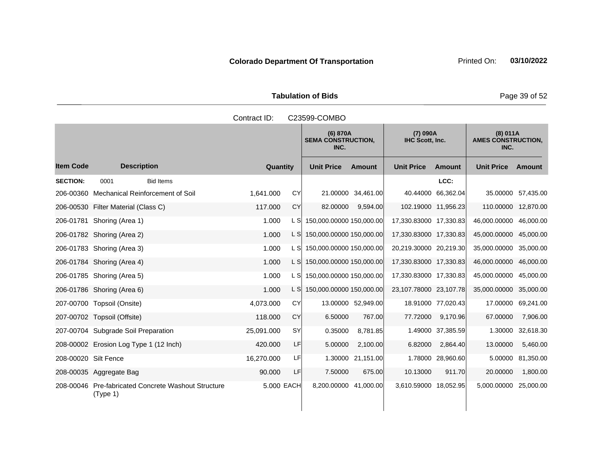Tabulation of Bids **Page 39 of 52** 

|                      |                                                                 | Contract ID: |           | C23599-COMBO                                  |                    |                                    |                    |                                               |                    |
|----------------------|-----------------------------------------------------------------|--------------|-----------|-----------------------------------------------|--------------------|------------------------------------|--------------------|-----------------------------------------------|--------------------|
|                      |                                                                 |              |           | (6) 870A<br><b>SEMA CONSTRUCTION,</b><br>INC. |                    | (7) 090A<br><b>IHC Scott, Inc.</b> |                    | (8) 011A<br><b>AMES CONSTRUCTION,</b><br>INC. |                    |
| <b>Item Code</b>     | <b>Description</b>                                              | Quantity     |           | <b>Unit Price</b>                             | <b>Amount</b>      | <b>Unit Price</b>                  | <b>Amount</b>      | <b>Unit Price</b>                             | Amount             |
| <b>SECTION:</b>      | <b>Bid Items</b><br>0001                                        |              |           |                                               |                    |                                    | LCC:               |                                               |                    |
|                      | 206-00360 Mechanical Reinforcement of Soil                      | 1,641.000    | <b>CY</b> |                                               | 21.00000 34,461.00 |                                    | 40.44000 66,362.04 |                                               | 35.00000 57,435.00 |
|                      | 206-00530 Filter Material (Class C)                             | 117.000      | <b>CY</b> | 82.00000                                      | 9.594.00           | 102.19000 11,956.23                |                    | 110.00000 12,870.00                           |                    |
|                      | 206-01781 Shoring (Area 1)                                      | 1.000        | L SI      | 150,000.00000 150,000.00                      |                    | 17,330.83000 17,330.83             |                    | 46,000.00000                                  | 46,000.00          |
|                      | 206-01782 Shoring (Area 2)                                      | 1.000        | L SI      | 150,000.00000 150,000.00                      |                    | 17,330.83000 17,330.83             |                    | 45,000.00000                                  | 45,000.00          |
|                      | 206-01783 Shoring (Area 3)                                      | 1.000        | L SI      | 150,000.00000 150,000.00                      |                    | 20,219.30000 20,219.30             |                    | 35,000.00000 35,000.00                        |                    |
|                      | 206-01784 Shoring (Area 4)                                      | 1.000        | L SI      | 150,000.00000 150,000.00                      |                    | 17,330.83000 17,330.83             |                    | 46,000.00000                                  | 46,000.00          |
|                      | 206-01785 Shoring (Area 5)                                      | 1.000        | L S       | 150,000.00000 150,000.00                      |                    | 17,330.83000 17,330.83             |                    | 45,000.00000                                  | 45,000.00          |
|                      | 206-01786 Shoring (Area 6)                                      | 1.000        | L SI      | 150,000.00000 150,000.00                      |                    | 23,107.78000 23,107.78             |                    | 35,000.00000                                  | 35,000.00          |
|                      | 207-00700 Topsoil (Onsite)                                      | 4,073.000    | <b>CY</b> |                                               | 13.00000 52,949.00 |                                    | 18.91000 77,020.43 | 17.00000                                      | 69,241.00          |
|                      | 207-00702 Topsoil (Offsite)                                     | 118.000      | <b>CY</b> | 6.50000                                       | 767.00             | 77.72000                           | 9,170.96           | 67.00000                                      | 7,906.00           |
|                      | 207-00704 Subgrade Soil Preparation                             | 25,091.000   | SY        | 0.35000                                       | 8,781.85           |                                    | 1.49000 37,385.59  | 1.30000                                       | 32,618.30          |
|                      | 208-00002 Erosion Log Type 1 (12 Inch)                          | 420.000      | LF        | 5.00000                                       | 2,100.00           | 6.82000                            | 2,864.40           | 13.00000                                      | 5,460.00           |
| 208-00020 Silt Fence |                                                                 | 16,270.000   | LF        |                                               | 1.30000 21,151.00  |                                    | 1.78000 28,960.60  | 5.00000                                       | 81,350.00          |
|                      | 208-00035 Aggregate Bag                                         | 90.000       | LF        | 7.50000                                       | 675.00             | 10.13000                           | 911.70             | 20.00000                                      | 1,800.00           |
|                      | 208-00046 Pre-fabricated Concrete Washout Structure<br>(Type 1) | 5.000 EACH   |           | 8,200.00000 41,000.00                         |                    | 3,610.59000 18,052.95              |                    | 5,000.00000                                   | 25,000.00          |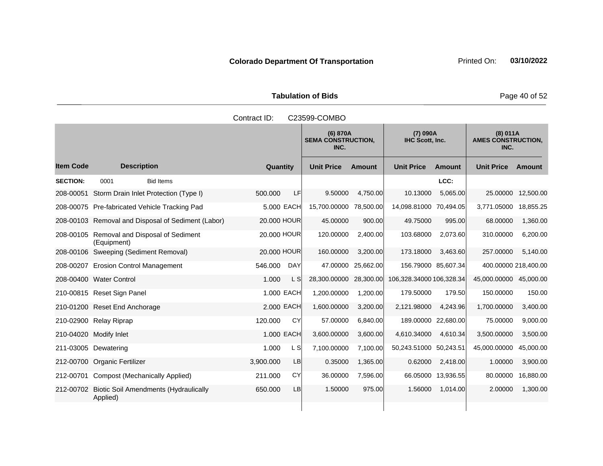Tabulation of Bids **Page 40 of 52** 

|                  | Contract ID:<br>C23599-COMBO                             |             |            |                                               |               |                                    |                    |                                               |               |  |
|------------------|----------------------------------------------------------|-------------|------------|-----------------------------------------------|---------------|------------------------------------|--------------------|-----------------------------------------------|---------------|--|
|                  |                                                          |             |            | (6) 870A<br><b>SEMA CONSTRUCTION,</b><br>INC. |               | (7) 090A<br><b>IHC Scott, Inc.</b> |                    | (8) 011A<br><b>AMES CONSTRUCTION,</b><br>INC. |               |  |
| <b>Item Code</b> | <b>Description</b>                                       | Quantity    |            | <b>Unit Price</b>                             | <b>Amount</b> | <b>Unit Price</b>                  | <b>Amount</b>      | <b>Unit Price</b>                             | <b>Amount</b> |  |
| <b>SECTION:</b>  | 0001<br><b>Bid Items</b>                                 |             |            |                                               |               |                                    | LCC:               |                                               |               |  |
| 208-00051        | Storm Drain Inlet Protection (Type I)                    | 500.000     | LF         | 9.50000                                       | 4,750.00      | 10.13000                           | 5,065.00           | 25.00000                                      | 12,500.00     |  |
|                  | 208-00075 Pre-fabricated Vehicle Tracking Pad            |             | 5,000 EACH | 15,700.00000                                  | 78,500.00     | 14,098.81000 70,494.05             |                    | 3,771.05000                                   | 18,855.25     |  |
|                  | 208-00103 Removal and Disposal of Sediment (Labor)       | 20.000 HOUR |            | 45.00000                                      | 900.00        | 49.75000                           | 995.00             | 68.00000                                      | 1,360.00      |  |
| 208-00105        | Removal and Disposal of Sediment<br>(Equipment)          | 20.000 HOUR |            | 120.00000                                     | 2,400.00      | 103.68000                          | 2,073.60           | 310.00000                                     | 6,200.00      |  |
|                  | 208-00106 Sweeping (Sediment Removal)                    | 20,000 HOUR |            | 160.00000                                     | 3.200.00      | 173.18000                          | 3.463.60           | 257.00000                                     | 5,140.00      |  |
|                  | 208-00207 Erosion Control Management                     | 546.000     | <b>DAY</b> | 47.00000                                      | 25,662.00     | 156.79000 85,607.34                |                    | 400.00000 218,400.00                          |               |  |
|                  | 208-00400 Water Control                                  | 1.000       | L S        | 28,300.00000                                  | 28,300.00     | 106,328.34000 106,328.34           |                    | 45,000.00000 45,000.00                        |               |  |
|                  | 210-00815 Reset Sign Panel                               |             | 1.000 EACH | 1,200.00000                                   | 1,200.00      | 179.50000                          | 179.50             | 150.00000                                     | 150.00        |  |
|                  | 210-01200 Reset End Anchorage                            |             | 2.000 EACH | 1,600.00000                                   | 3,200.00      | 2,121.98000                        | 4,243.96           | 1,700.00000                                   | 3,400.00      |  |
|                  | 210-02900 Relay Riprap                                   | 120.000     | CY         | 57.00000                                      | 6,840.00      | 189.00000 22,680.00                |                    | 75.00000                                      | 9,000.00      |  |
|                  | 210-04020 Modify Inlet                                   |             | 1.000 EACH | 3,600.00000                                   | 3,600.00      | 4,610.34000                        | 4,610.34           | 3,500.00000                                   | 3,500.00      |  |
|                  | 211-03005 Dewatering                                     | 1.000       | L S        | 7,100.00000                                   | 7,100.00      | 50,243.51000 50,243.51             |                    | 45,000.00000                                  | 45,000.00     |  |
|                  | 212-00700 Organic Fertilizer                             | 3,900.000   | LB         | 0.35000                                       | 1,365.00      | 0.62000                            | 2,418.00           | 1.00000                                       | 3,900.00      |  |
| 212-00701        | <b>Compost (Mechanically Applied)</b>                    | 211.000     | CY         | 36.00000                                      | 7,596.00      |                                    | 66.05000 13,936.55 | 80.00000                                      | 16,880.00     |  |
| 212-00702        | <b>Biotic Soil Amendments (Hydraulically</b><br>Applied) | 650,000     | LB         | 1.50000                                       | 975.00        | 1.56000                            | 1,014.00           | 2.00000                                       | 1,300.00      |  |
|                  |                                                          |             |            |                                               |               |                                    |                    |                                               |               |  |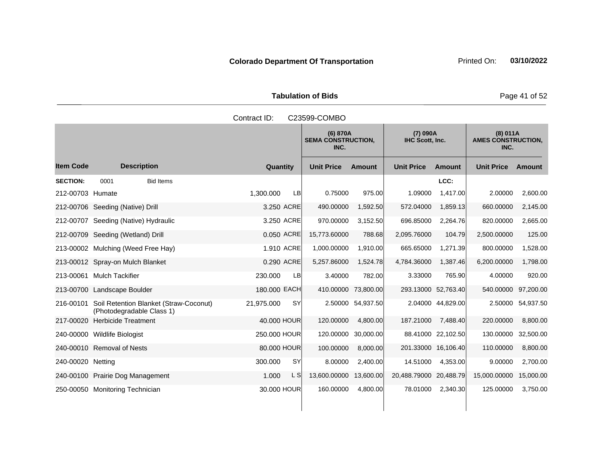Tabulation of Bids **Page 41 of 52** 

|                   |                                                                     | Contract ID:            | C23599-COMBO      |                                                                      |                        |                    |                   |                                       |
|-------------------|---------------------------------------------------------------------|-------------------------|-------------------|----------------------------------------------------------------------|------------------------|--------------------|-------------------|---------------------------------------|
|                   |                                                                     |                         | INC.              | (7) 090A<br>(6) 870A<br><b>SEMA CONSTRUCTION,</b><br>IHC Scott, Inc. |                        |                    |                   | (8) 011A<br><b>AMES CONSTRUCTION,</b> |
| <b>Item Code</b>  | <b>Description</b>                                                  | Quantity                | <b>Unit Price</b> | <b>Amount</b>                                                        | <b>Unit Price</b>      | <b>Amount</b>      | <b>Unit Price</b> | Amount                                |
| <b>SECTION:</b>   | <b>Bid Items</b><br>0001                                            |                         |                   |                                                                      |                        | LCC:               |                   |                                       |
| 212-00703 Humate  |                                                                     | 1.300.000<br>LB         | 0.75000           | 975.00                                                               | 1.09000                | 1,417.00           | 2.00000           | 2,600.00                              |
|                   | 212-00706 Seeding (Native) Drill                                    | 3.250 ACRE              | 490.00000         | 1,592.50                                                             | 572.04000              | 1,859.13           | 660.00000         | 2,145.00                              |
|                   | 212-00707 Seeding (Native) Hydraulic                                | 3.250 ACRE              | 970.00000         | 3,152.50                                                             | 696.85000              | 2,264.76           | 820.00000         | 2,665.00                              |
|                   | 212-00709 Seeding (Wetland) Drill                                   | 0.050 ACRE              | 15,773.60000      | 788.68                                                               | 2,095.76000            | 104.79             | 2,500.00000       | 125.00                                |
|                   | 213-00002 Mulching (Weed Free Hay)                                  | 1.910 ACRE              | 1,000.00000       | 1,910.00                                                             | 665.65000              | 1,271.39           | 800.00000         | 1,528.00                              |
|                   | 213-00012 Spray-on Mulch Blanket                                    | 0.290 ACRE              | 5,257.86000       | 1,524.78                                                             | 4,784.36000            | 1,387.46           | 6,200.00000       | 1,798.00                              |
|                   | 213-00061 Mulch Tackifier                                           | 230.000<br>LB           | 3.40000           | 782.00                                                               | 3.33000                | 765.90             | 4.00000           | 920.00                                |
|                   | 213-00700 Landscape Boulder                                         | 180.000 EACH            | 410.00000         | 73,800.00                                                            | 293.13000 52,763.40    |                    | 540.00000         | 97,200.00                             |
| 216-00101         | Soil Retention Blanket (Straw-Coconut)<br>(Photodegradable Class 1) | <b>SY</b><br>21,975.000 | 2.50000           | 54,937.50                                                            |                        | 2.04000 44,829.00  | 2.50000           | 54,937.50                             |
| 217-00020         | <b>Herbicide Treatment</b>                                          | 40.000 HOUR             | 120.00000         | 4,800.00                                                             | 187.21000              | 7,488.40           | 220.00000         | 8,800.00                              |
|                   | 240-00000 Wildlife Biologist                                        | 250.000 HOUR            | 120.00000         | 30,000.00                                                            |                        | 88.41000 22,102.50 | 130.00000         | 32,500.00                             |
|                   | 240-00010 Removal of Nests                                          | 80.000 HOUR             | 100.00000         | 8,000.00                                                             | 201.33000 16,106.40    |                    | 110.00000         | 8,800.00                              |
| 240-00020 Netting |                                                                     | 300.000<br><b>SY</b>    | 8.00000           | 2,400.00                                                             | 14.51000               | 4,353.00           | 9.00000           | 2,700.00                              |
|                   | 240-00100 Prairie Dog Management                                    | 1.000<br>L S            | 13,600.00000      | 13,600.00                                                            | 20,488.79000 20,488.79 |                    | 15,000.00000      | 15,000.00                             |
|                   | 250-00050 Monitoring Technician                                     | 30.000 HOUR             | 160.00000         | 4,800.00                                                             | 78.01000               | 2,340.30           | 125.00000         | 3,750.00                              |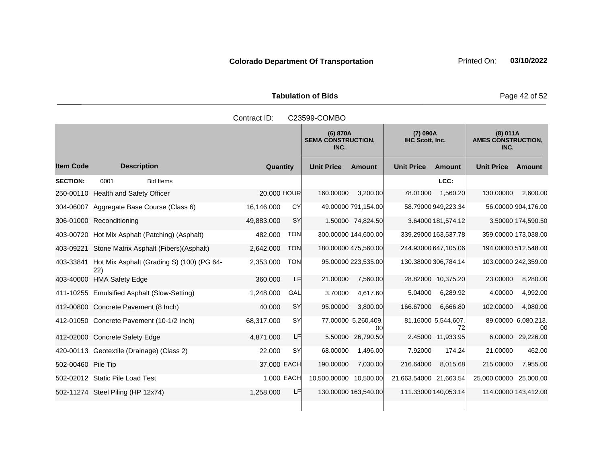Tabulation of Bids **Page 42 of 52** 

|                    |                                                  | Contract ID: |            | C23599-COMBO           |                                                                      |                        |                           |                                               |                           |  |
|--------------------|--------------------------------------------------|--------------|------------|------------------------|----------------------------------------------------------------------|------------------------|---------------------------|-----------------------------------------------|---------------------------|--|
|                    |                                                  |              |            | INC.                   | (7) 090A<br>(6) 870A<br><b>SEMA CONSTRUCTION,</b><br>IHC Scott, Inc. |                        |                           | (8) 011A<br><b>AMES CONSTRUCTION,</b><br>INC. |                           |  |
| <b>Item Code</b>   | <b>Description</b>                               | Quantity     |            | <b>Unit Price</b>      | <b>Amount</b>                                                        | <b>Unit Price</b>      | <b>Amount</b>             | <b>Unit Price</b>                             | Amount                    |  |
| <b>SECTION:</b>    | 0001<br><b>Bid Items</b>                         |              |            |                        |                                                                      |                        | LCC:                      |                                               |                           |  |
|                    | 250-00110 Health and Safety Officer              | 20.000 HOUR  |            | 160.00000              | 3,200.00                                                             | 78.01000               | 1,560.20                  | 130.00000                                     | 2,600.00                  |  |
|                    | 304-06007 Aggregate Base Course (Class 6)        | 16,146.000   | CY         |                        | 49.00000 791,154.00                                                  |                        | 58.79000 949,223.34       |                                               | 56.00000 904,176.00       |  |
|                    | 306-01000 Reconditioning                         | 49,883.000   | SY         |                        | 1.50000 74,824.50                                                    |                        | 3.64000 181,574.12        |                                               | 3.50000 174,590.50        |  |
|                    | 403-00720 Hot Mix Asphalt (Patching) (Asphalt)   | 482.000      | <b>TON</b> | 300.00000 144,600.00   |                                                                      |                        | 339.29000 163,537.78      | 359.00000 173,038.00                          |                           |  |
| 403-09221          | Stone Matrix Asphalt (Fibers) (Asphalt)          | 2,642.000    | <b>TON</b> |                        | 180.00000 475,560.00                                                 |                        | 244.93000 647,105.06      | 194.00000 512,548.00                          |                           |  |
| 403-33841          | Hot Mix Asphalt (Grading S) (100) (PG 64-<br>22) | 2,353.000    | <b>TON</b> |                        | 95.00000 223,535.00                                                  |                        | 130.38000 306,784.14      | 103.00000 242,359.00                          |                           |  |
|                    | 403-40000 HMA Safety Edge                        | 360.000      | LF         | 21.00000               | 7,560.00                                                             |                        | 28.82000 10,375.20        | 23.00000                                      | 8,280.00                  |  |
|                    | 411-10255 Emulsified Asphalt (Slow-Setting)      | 1,248.000    | GAL        | 3.70000                | 4,617.60                                                             | 5.04000                | 6,289.92                  | 4.00000                                       | 4,992.00                  |  |
|                    | 412-00800 Concrete Pavement (8 Inch)             | 40.000       | SY         | 95.00000               | 3,800.00                                                             | 166.67000              | 6,666.80                  | 102.00000                                     | 4,080.00                  |  |
|                    | 412-01050 Concrete Pavement (10-1/2 Inch)        | 68,317.000   | <b>SY</b>  |                        | 77.00000 5,260,409.<br>00                                            |                        | 81.16000 5,544,607.<br>72 |                                               | 89.00000 6,080,213.<br>00 |  |
|                    | 412-02000 Concrete Safety Edge                   | 4,871.000    | LF         | 5.50000                | 26,790.50                                                            |                        | 2.45000 11,933.95         | 6.00000                                       | 29,226.00                 |  |
|                    | 420-00113 Geotextile (Drainage) (Class 2)        | 22,000       | SY         | 68.00000               | 1,496.00                                                             | 7.92000                | 174.24                    | 21.00000                                      | 462.00                    |  |
| 502-00460 Pile Tip |                                                  | 37.000 EACH  |            | 190.00000              | 7,030.00                                                             | 216.64000              | 8,015.68                  | 215.00000                                     | 7,955.00                  |  |
|                    | 502-02012 Static Pile Load Test                  | 1.000 EACH   |            | 10.500.00000 10,500.00 |                                                                      | 21,663.54000 21,663.54 |                           | 25,000.00000                                  | 25,000.00                 |  |
|                    | 502-11274 Steel Piling (HP 12x74)                | 1,258.000    | LF         | 130.00000 163,540.00   |                                                                      |                        | 111.33000 140,053.14      | 114.00000 143,412.00                          |                           |  |
|                    |                                                  |              |            |                        |                                                                      |                        |                           |                                               |                           |  |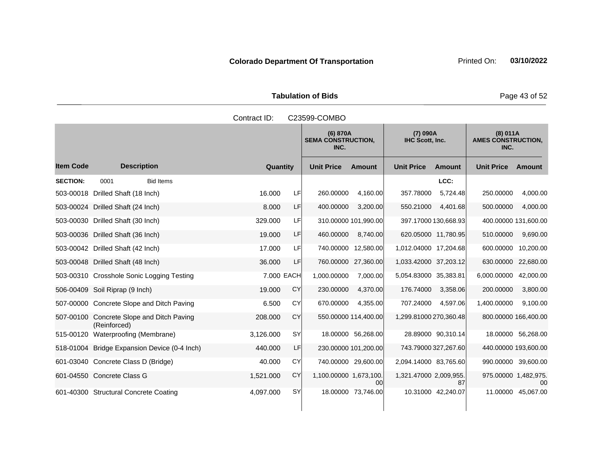Tabulation of Bids **Page 43 of 52** 

|                  |                                                 | Contract ID: |           | C23599-COMBO                                  |                      |                                    |                      |                                               |                    |
|------------------|-------------------------------------------------|--------------|-----------|-----------------------------------------------|----------------------|------------------------------------|----------------------|-----------------------------------------------|--------------------|
|                  |                                                 |              |           | (6) 870A<br><b>SEMA CONSTRUCTION.</b><br>INC. |                      | (7) 090A<br><b>IHC Scott. Inc.</b> |                      | (8) 011A<br><b>AMES CONSTRUCTION,</b><br>INC. |                    |
| <b>Item Code</b> | <b>Description</b>                              | Quantity     |           | <b>Unit Price</b>                             | <b>Amount</b>        | <b>Unit Price</b>                  | <b>Amount</b>        | <b>Unit Price</b>                             | Amount             |
| <b>SECTION:</b>  | <b>Bid Items</b><br>0001                        |              |           |                                               |                      |                                    | LCC:                 |                                               |                    |
| 503-00018        | Drilled Shaft (18 Inch)                         | 16.000       | LF        | 260.00000                                     | 4,160.00             | 357.78000                          | 5,724.48             | 250.00000                                     | 4,000.00           |
|                  | 503-00024 Drilled Shaft (24 Inch)               | 8.000        | LF        | 400.00000                                     | 3,200.00             | 550.21000                          | 4,401.68             | 500.00000                                     | 4,000.00           |
| 503-00030        | Drilled Shaft (30 Inch)                         | 329,000      | LF        |                                               | 310.00000 101,990.00 |                                    | 397.17000 130,668.93 | 400.00000 131,600.00                          |                    |
|                  | 503-00036 Drilled Shaft (36 Inch)               | 19.000       | LF        | 460.00000                                     | 8,740.00             |                                    | 620.05000 11,780.95  | 510.00000                                     | 9,690.00           |
|                  | 503-00042 Drilled Shaft (42 Inch)               | 17.000       | LF        |                                               | 740.00000 12,580.00  | 1,012.04000 17,204.68              |                      | 600.00000                                     | 10,200.00          |
|                  | 503-00048 Drilled Shaft (48 Inch)               | 36.000       | LF        |                                               | 760.00000 27,360.00  | 1,033.42000 37,203.12              |                      | 630.00000                                     | 22,680.00          |
|                  | 503-00310 Crosshole Sonic Logging Testing       | 7.000 EACH   |           | 1,000.00000                                   | 7,000.00             | 5,054.83000 35,383.81              |                      | 6,000.00000                                   | 42,000.00          |
|                  | 506-00409 Soil Riprap (9 Inch)                  | 19.000       | <b>CY</b> | 230.00000                                     | 4,370.00             | 176.74000                          | 3,358.06             | 200.00000                                     | 3,800.00           |
|                  | 507-00000 Concrete Slope and Ditch Paving       | 6.500        | CY        | 670.00000                                     | 4,355.00             | 707.24000                          | 4,597.06             | 1,400.00000                                   | 9,100.00           |
| 507-00100        | Concrete Slope and Ditch Paving<br>(Reinforced) | 208.000      | CY        |                                               | 550.00000 114,400.00 | 1,299.81000 270,360.48             |                      | 800.00000 166,400.00                          |                    |
| 515-00120        | Waterproofing (Membrane)                        | 3,126.000    | SY        |                                               | 18.00000 56,268.00   |                                    | 28.89000 90,310.14   |                                               | 18.00000 56,268.00 |
|                  | 518-01004 Bridge Expansion Device (0-4 Inch)    | 440.000      | LF        |                                               | 230.00000 101,200.00 |                                    | 743.79000 327,267.60 | 440.00000 193,600.00                          |                    |
|                  | 601-03040 Concrete Class D (Bridge)             | 40.000       | <b>CY</b> |                                               | 740.00000 29,600.00  | 2,094.14000 83,765.60              |                      | 990.00000 39,600.00                           |                    |
|                  | 601-04550 Concrete Class G                      | 1,521.000    | CY        | 1,100.00000 1,673,100.                        | 00                   | 1,321.47000 2,009,955.             | 87                   | 975.00000 1,482,975.                          | 00                 |
|                  | 601-40300 Structural Concrete Coating           | 4,097.000    | SY        |                                               | 18.00000 73,746.00   |                                    | 10.31000 42,240.07   | 11.00000                                      | 45,067.00          |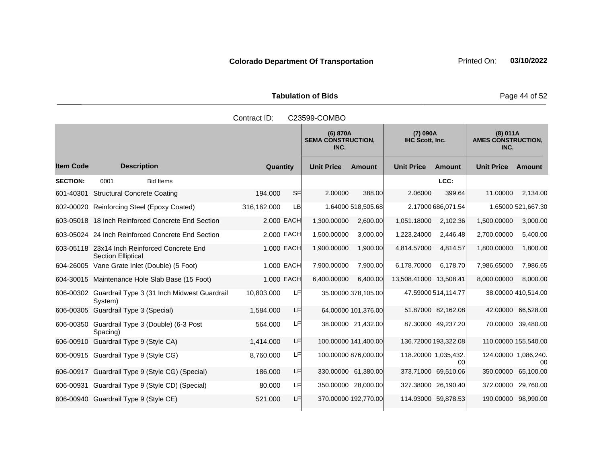Tabulation of Bids **Page 44 of 52** 

|                  |                                                                           | Contract ID: |            | C23599-COMBO                                  |                      |                                    |                     |                                               |                     |
|------------------|---------------------------------------------------------------------------|--------------|------------|-----------------------------------------------|----------------------|------------------------------------|---------------------|-----------------------------------------------|---------------------|
|                  |                                                                           |              |            | (6) 870A<br><b>SEMA CONSTRUCTION,</b><br>INC. |                      | (7) 090A<br><b>IHC Scott, Inc.</b> |                     | (8) 011A<br><b>AMES CONSTRUCTION,</b><br>INC. |                     |
| <b>Item Code</b> | <b>Description</b>                                                        | Quantity     |            | <b>Unit Price</b>                             | <b>Amount</b>        | <b>Unit Price</b>                  | <b>Amount</b>       | <b>Unit Price</b>                             | <b>Amount</b>       |
| <b>SECTION:</b>  | 0001<br><b>Bid Items</b>                                                  |              |            |                                               |                      |                                    | LCC:                |                                               |                     |
| 601-40301        | <b>Structural Concrete Coating</b>                                        | 194.000      | <b>SF</b>  | 2.00000                                       | 388.00               | 2.06000                            | 399.64              | 11.00000                                      | 2,134.00            |
|                  | 602-00020 Reinforcing Steel (Epoxy Coated)                                | 316,162.000  | <b>LB</b>  |                                               | 1.64000 518,505.68   |                                    | 2.17000 686,071.54  |                                               | 1.65000 521,667.30  |
|                  | 603-05018 18 Inch Reinforced Concrete End Section                         |              | 2.000 EACH | 1,300.00000                                   | 2,600.00             | 1,051.18000                        | 2,102.36            | 1,500.00000                                   | 3,000.00            |
|                  | 603-05024 24 Inch Reinforced Concrete End Section                         |              | 2.000 EACH | 1,500.00000                                   | 3,000.00             | 1,223.24000                        | 2,446.48            | 2,700.00000                                   | 5,400.00            |
|                  | 603-05118 23x14 Inch Reinforced Concrete End<br><b>Section Elliptical</b> |              | 1.000 EACH | 1,900.00000                                   | 1,900.00             | 4,814.57000                        | 4,814.57            | 1,800.00000                                   | 1,800.00            |
|                  | 604-26005 Vane Grate Inlet (Double) (5 Foot)                              |              | 1.000 EACH | 7,900.00000                                   | 7,900.00             | 6,178.70000                        | 6.178.70            | 7,986.65000                                   | 7,986.65            |
|                  | 604-30015 Maintenance Hole Slab Base (15 Foot)                            |              | 1.000 EACH | 6,400.00000                                   | 6,400.00             | 13,508.41000 13,508.41             |                     | 8,000.00000                                   | 8,000.00            |
|                  | 606-00302 Guardrail Type 3 (31 Inch Midwest Guardrail<br>System)          | 10,803.000   | LF         |                                               | 35.00000 378,105.00  |                                    | 47.59000 514,114.77 |                                               | 38.00000 410,514.00 |
|                  | 606-00305 Guardrail Type 3 (Special)                                      | 1,584.000    | LF         |                                               | 64.00000 101,376.00  |                                    | 51.87000 82,162.08  |                                               | 42.00000 66,528.00  |
|                  | 606-00350 Guardrail Type 3 (Double) (6-3 Post<br>Spacing)                 | 564.000      | LF         |                                               | 38.00000 21,432.00   |                                    | 87.30000 49,237.20  |                                               | 70.00000 39,480.00  |
|                  | 606-00910 Guardrail Type 9 (Style CA)                                     | 1,414.000    | LF         |                                               | 100.00000 141,400.00 | 136.72000 193,322.08               |                     | 110.00000 155,540.00                          |                     |
|                  | 606-00915 Guardrail Type 9 (Style CG)                                     | 8,760.000    | LF         |                                               | 100.00000 876,000.00 | 118.20000 1,035,432.               | 00                  | 124.00000 1,086,240.                          | 00                  |
|                  | 606-00917 Guardrail Type 9 (Style CG) (Special)                           | 186,000      | LF         |                                               | 330.00000 61,380.00  | 373.71000 69,510.06                |                     | 350.00000                                     | 65,100.00           |
|                  | 606-00931 Guardrail Type 9 (Style CD) (Special)                           | 80,000       | LF         |                                               | 350.00000 28,000.00  | 327.38000 26,190.40                |                     | 372.00000                                     | 29,760.00           |
|                  | 606-00940 Guardrail Type 9 (Style CE)                                     | 521.000      | LF         |                                               | 370.00000 192,770.00 | 114.93000 59,878.53                |                     | 190.00000                                     | 98,990.00           |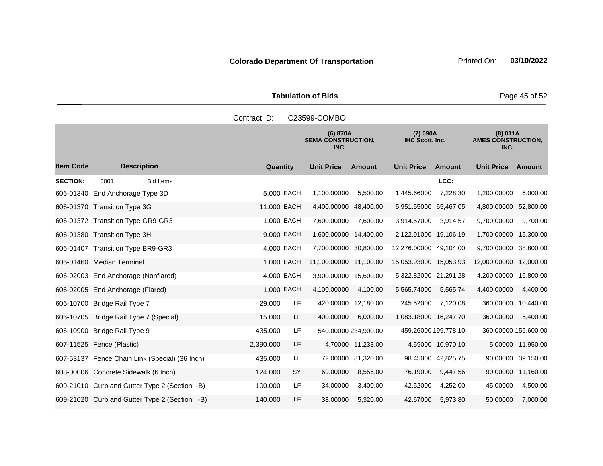Tabulation of Bids **Page 45 of 52** 

|                  | Contract ID:<br>C23599-COMBO                    |                      |                        |                                       |                        |                             |                                               |                      |  |
|------------------|-------------------------------------------------|----------------------|------------------------|---------------------------------------|------------------------|-----------------------------|-----------------------------------------------|----------------------|--|
|                  |                                                 |                      | INC.                   | (6) 870A<br><b>SEMA CONSTRUCTION,</b> |                        | (7) 090A<br>IHC Scott, Inc. | (8) 011A<br><b>AMES CONSTRUCTION,</b><br>INC. |                      |  |
| <b>Item Code</b> | <b>Description</b>                              | Quantity             | <b>Unit Price</b>      | <b>Amount</b>                         | <b>Unit Price</b>      | <b>Amount</b>               | <b>Unit Price</b>                             | <b>Amount</b>        |  |
| <b>SECTION:</b>  | <b>Bid Items</b><br>0001                        |                      |                        |                                       |                        | LCC:                        |                                               |                      |  |
|                  | 606-01340 End Anchorage Type 3D                 | 5.000 EACH           | 1,100.00000            | 5,500.00                              | 1,445.66000            | 7,228.30                    | 1,200.00000                                   | 6,000.00             |  |
|                  | 606-01370 Transition Type 3G                    | 11.000 EACH          | 4,400.00000 48,400.00  |                                       | 5,951.55000 65,467.05  |                             | 4,800.00000 52,800.00                         |                      |  |
|                  | 606-01372 Transition Type GR9-GR3               | 1.000 EACH           | 7,600.00000            | 7,600.00                              | 3,914.57000            | 3,914.57                    | 9,700.00000                                   | 9,700.00             |  |
|                  | 606-01380 Transition Type 3H                    | 9.000 EACH           | 1,600.00000 14,400.00  |                                       | 2,122.91000 19,106.19  |                             | 1,700.00000                                   | 15,300.00            |  |
|                  | 606-01407 Transition Type BR9-GR3               | 4.000 EACH           | 7,700.00000 30,800.00  |                                       | 12,276.00000 49,104.00 |                             | 9,700.00000                                   | 38,800.00            |  |
|                  | 606-01460 Median Terminal                       | 1.000 EACH           | 11,100.00000 11,100.00 |                                       | 15,053.93000 15,053.93 |                             | 12,000.00000                                  | 12,000.00            |  |
|                  | 606-02003 End Anchorage (Nonflared)             | 4.000 EACH           | 3,900.00000 15,600.00  |                                       | 5,322.82000 21,291.28  |                             | 4,200.00000                                   | 16,800.00            |  |
|                  | 606-02005 End Anchorage (Flared)                | 1.000 EACH           | 4,100.00000            | 4,100.00                              | 5,565.74000            | 5,565.74                    | 4,400.00000                                   | 4,400.00             |  |
|                  | 606-10700 Bridge Rail Type 7                    | 29.000<br>LF         |                        | 420.00000 12,180.00                   | 245.52000              | 7,120.08                    | 360.00000                                     | 10,440.00            |  |
|                  | 606-10705 Bridge Rail Type 7 (Special)          | LF<br>15.000         | 400.00000              | 6.000.00                              | 1,083.18000 16,247.70  |                             | 360.00000                                     | 5,400.00             |  |
|                  | 606-10900 Bridge Rail Type 9                    | LF<br>435.000        |                        | 540.00000 234,900.00                  |                        | 459.26000 199,778.10        |                                               | 360.00000 156,600.00 |  |
|                  | 607-11525 Fence (Plastic)                       | 2,390.000<br>LF      |                        | 4.70000 11,233.00                     |                        | 4.59000 10,970.10           |                                               | 5.00000 11,950.00    |  |
|                  | 607-53137 Fence Chain Link (Special) (36 Inch)  | 435.000<br>LF        |                        | 72.00000 31,320.00                    |                        | 98.45000 42,825.75          |                                               | 90.00000 39,150.00   |  |
|                  | 608-00006 Concrete Sidewalk (6 Inch)            | <b>SY</b><br>124.000 | 69.00000               | 8,556.00                              | 76.19000               | 9,447.56                    | 90.00000                                      | 11,160.00            |  |
|                  | 609-21010 Curb and Gutter Type 2 (Section I-B)  | LF<br>100.000        | 34.00000               | 3,400.00                              | 42.52000               | 4,252.00                    | 45.00000                                      | 4,500.00             |  |
|                  | 609-21020 Curb and Gutter Type 2 (Section II-B) | LF<br>140.000        | 38.00000               | 5,320.00                              | 42.67000               | 5,973.80                    | 50.00000                                      | 7,000.00             |  |
|                  |                                                 |                      |                        |                                       |                        |                             |                                               |                      |  |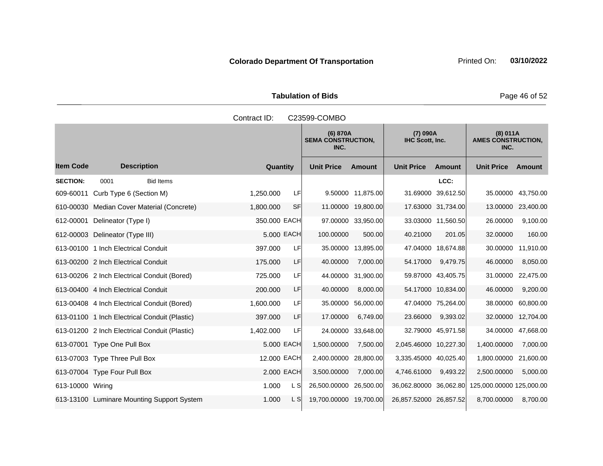Tabulation of Bids **Page 46 of 52** 

|                  | Contract ID:<br>C23599-COMBO                  |              |           |                                               |                    |                             |                    |                                               |                    |
|------------------|-----------------------------------------------|--------------|-----------|-----------------------------------------------|--------------------|-----------------------------|--------------------|-----------------------------------------------|--------------------|
|                  |                                               |              |           | (6) 870A<br><b>SEMA CONSTRUCTION,</b><br>INC. |                    | (7) 090A<br>IHC Scott, Inc. |                    | (8) 011A<br><b>AMES CONSTRUCTION,</b><br>INC. |                    |
| <b>Item Code</b> | <b>Description</b>                            | Quantity     |           | <b>Unit Price</b>                             | <b>Amount</b>      | <b>Unit Price</b>           | <b>Amount</b>      | <b>Unit Price</b>                             | <b>Amount</b>      |
| <b>SECTION:</b>  | 0001<br><b>Bid Items</b>                      |              |           |                                               |                    |                             | LCC:               |                                               |                    |
|                  | 609-60011 Curb Type 6 (Section M)             | 1,250.000    | LFI       |                                               | 9.50000 11,875.00  |                             | 31.69000 39,612.50 | 35.00000                                      | 43,750.00          |
|                  | 610-00030 Median Cover Material (Concrete)    | 1,800.000    | <b>SF</b> |                                               | 11.00000 19,800.00 |                             | 17.63000 31,734.00 |                                               | 13.00000 23,400.00 |
| 612-00001        | Delineator (Type I)                           | 350.000 EACH |           |                                               | 97.00000 33,950.00 |                             | 33.03000 11,560.50 | 26.00000                                      | 9,100.00           |
|                  | 612-00003 Delineator (Type III)               | 5.000 EACH   |           | 100.00000                                     | 500.00             | 40.21000                    | 201.05             | 32.00000                                      | 160.00             |
|                  | 613-00100 1 Inch Electrical Conduit           | 397.000      | LF        |                                               | 35.00000 13,895.00 |                             | 47.04000 18,674.88 | 30.00000                                      | 11,910.00          |
|                  | 613-00200 2 Inch Electrical Conduit           | 175.000      | LF        | 40.00000                                      | 7,000.00           | 54.17000                    | 9,479.75           | 46.00000                                      | 8,050.00           |
|                  | 613-00206 2 Inch Electrical Conduit (Bored)   | 725.000      | LF        | 44.00000                                      | 31,900.00          |                             | 59.87000 43,405.75 | 31.00000                                      | 22,475.00          |
|                  | 613-00400 4 Inch Electrical Conduit           | 200.000      | LF        | 40.00000                                      | 8,000.00           |                             | 54.17000 10.834.00 | 46.00000                                      | 9,200.00           |
|                  | 613-00408 4 Inch Electrical Conduit (Bored)   | 1,600.000    | LF        | 35.00000                                      | 56,000.00          |                             | 47.04000 75,264.00 | 38.00000                                      | 60,800.00          |
|                  | 613-01100 1 Inch Electrical Conduit (Plastic) | 397.000      | LF        | 17.00000                                      | 6,749.00           | 23.66000                    | 9,393.02           | 32.00000                                      | 12,704.00          |
|                  | 613-01200 2 Inch Electrical Conduit (Plastic) | 1,402.000    | LF        | 24.00000                                      | 33,648.00          |                             | 32.79000 45,971.58 | 34.00000                                      | 47,668.00          |
|                  | 613-07001 Type One Pull Box                   | 5.000 EACH   |           | 1,500.00000                                   | 7,500.00           | 2,045.46000 10,227.30       |                    | 1,400.00000                                   | 7,000.00           |
|                  | 613-07003 Type Three Pull Box                 | 12,000 EACH  |           | 2,400.00000                                   | 28,800.00          | 3,335.45000 40,025.40       |                    | 1,800.00000                                   | 21,600.00          |
|                  | 613-07004 Type Four Pull Box                  | 2.000 EACH   |           | 3,500.00000                                   | 7,000.00           | 4,746.61000                 | 9,493.22           | 2,500.00000                                   | 5,000.00           |
| 613-10000 Wiring |                                               | 1.000        | L S       | 26,500.00000                                  | 26,500.00          | 36,062.80000 36,062.80      |                    | 125,000.00000 125,000.00                      |                    |
|                  | 613-13100 Luminare Mounting Support System    | 1.000        | L S       | 19,700.00000                                  | 19,700.00          | 26,857.52000 26,857.52      |                    | 8,700.00000                                   | 8,700.00           |
|                  |                                               |              |           |                                               |                    |                             |                    |                                               |                    |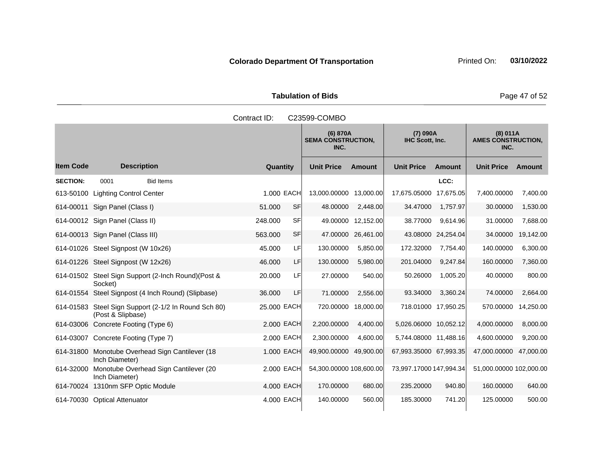Tabulation of Bids **Page 47 of 52** 

|                  |                                                                           | Contract ID: |            | C23599-COMBO                                  |                    |                             |                                               |                         |               |
|------------------|---------------------------------------------------------------------------|--------------|------------|-----------------------------------------------|--------------------|-----------------------------|-----------------------------------------------|-------------------------|---------------|
|                  |                                                                           |              |            | (6) 870A<br><b>SEMA CONSTRUCTION,</b><br>INC. |                    | (7) 090A<br>IHC Scott, Inc. | (8) 011A<br><b>AMES CONSTRUCTION,</b><br>INC. |                         |               |
| <b>Item Code</b> | <b>Description</b>                                                        | Quantity     |            | <b>Unit Price</b>                             | <b>Amount</b>      | <b>Unit Price</b>           | <b>Amount</b>                                 | <b>Unit Price</b>       | <b>Amount</b> |
| <b>SECTION:</b>  | <b>Bid Items</b><br>0001                                                  |              |            |                                               |                    |                             | LCC:                                          |                         |               |
| 613-50100        | <b>Lighting Control Center</b>                                            |              | 1.000 EACH | 13,000.00000 13,000.00                        |                    | 17,675.05000 17,675.05      |                                               | 7,400.00000             | 7,400.00      |
| 614-00011        | Sign Panel (Class I)                                                      | 51.000       | SF         | 48.00000                                      | 2,448.00           | 34.47000                    | 1,757.97                                      | 30.00000                | 1,530.00      |
|                  | 614-00012 Sign Panel (Class II)                                           | 248.000      | SFI        |                                               | 49.00000 12,152.00 | 38.77000                    | 9,614.96                                      | 31.00000                | 7,688.00      |
|                  | 614-00013 Sign Panel (Class III)                                          | 563.000      | SF         | 47.00000                                      | 26,461.00          |                             | 43.08000 24,254.04                            | 34.00000                | 19,142.00     |
|                  | 614-01026 Steel Signpost (W 10x26)                                        | 45.000       | LF         | 130.00000                                     | 5,850.00           | 172.32000                   | 7,754.40                                      | 140.00000               | 6,300.00      |
|                  | 614-01226 Steel Signpost (W 12x26)                                        | 46,000       | LF         | 130.00000                                     | 5,980.00           | 201.04000                   | 9,247.84                                      | 160.00000               | 7,360.00      |
|                  | 614-01502 Steel Sign Support (2-Inch Round) (Post &<br>Socket)            | 20.000       | LF         | 27.00000                                      | 540.00             | 50.26000                    | 1,005.20                                      | 40.00000                | 800.00        |
|                  | 614-01554 Steel Signpost (4 Inch Round) (Slipbase)                        | 36.000       | LF         | 71.00000                                      | 2,556.00           | 93.34000                    | 3,360.24                                      | 74.00000                | 2,664.00      |
|                  | 614-01583 Steel Sign Support (2-1/2 In Round Sch 80)<br>(Post & Slipbase) | 25.000 EACH  |            | 720.00000                                     | 18,000.00          |                             | 718.01000 17,950.25                           | 570.00000               | 14,250.00     |
|                  | 614-03006 Concrete Footing (Type 6)                                       |              | 2.000 EACH | 2,200.00000                                   | 4,400.00           | 5,026.06000 10,052.12       |                                               | 4,000.00000             | 8,000.00      |
|                  | 614-03007 Concrete Footing (Type 7)                                       |              | 2.000 EACH | 2,300.00000                                   | 4,600.00           | 5,744.08000 11,488.16       |                                               | 4,600.00000             | 9,200.00      |
| 614-31800        | Monotube Overhead Sign Cantilever (18<br>Inch Diameter)                   |              | 1.000 EACH | 49,900.00000 49,900.00                        |                    | 67,993.35000 67,993.35      |                                               | 47,000.00000            | 47,000.00     |
| 614-32000        | Monotube Overhead Sign Cantilever (20<br>Inch Diameter)                   |              | 2,000 EACH | 54,300.00000 108,600.00                       |                    | 73,997.17000 147,994.34     |                                               | 51,000.00000 102,000.00 |               |
|                  | 614-70024 1310nm SFP Optic Module                                         | 4.000 EACH   |            | 170.00000                                     | 680.00             | 235.20000                   | 940.80                                        | 160.00000               | 640.00        |
|                  | 614-70030 Optical Attenuator                                              |              | 4.000 EACH | 140.00000                                     | 560.00             | 185.30000                   | 741.20                                        | 125.00000               | 500.00        |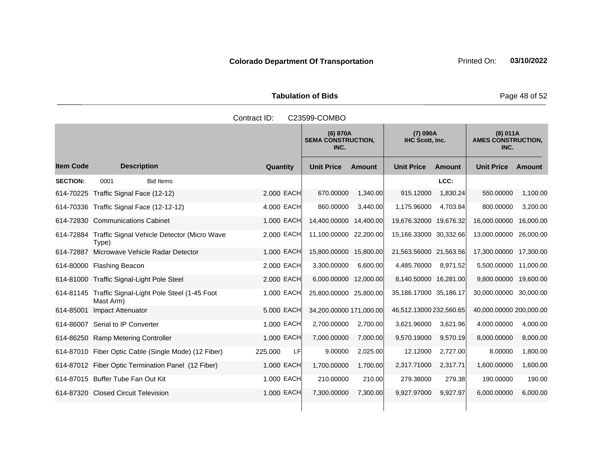Tabulation of Bids **Page 48 of 52** 

|                  |                                                                   | Contract ID:  | C23599-COMBO                                                                 |               |                                               |               |                         |           |
|------------------|-------------------------------------------------------------------|---------------|------------------------------------------------------------------------------|---------------|-----------------------------------------------|---------------|-------------------------|-----------|
|                  |                                                                   |               | (7) 090A<br>(6) 870A<br>IHC Scott, Inc.<br><b>SEMA CONSTRUCTION,</b><br>INC. |               | (8) 011A<br><b>AMES CONSTRUCTION,</b><br>INC. |               |                         |           |
| <b>Item Code</b> | <b>Description</b>                                                | Quantity      | <b>Unit Price</b>                                                            | <b>Amount</b> | <b>Unit Price</b>                             | <b>Amount</b> | <b>Unit Price</b>       | Amount    |
| <b>SECTION:</b>  | <b>Bid Items</b><br>0001                                          |               |                                                                              |               |                                               | LCC:          |                         |           |
|                  | 614-70225 Traffic Signal Face (12-12)                             | 2.000 EACH    | 670.00000                                                                    | 1,340.00      | 915.12000                                     | 1,830.24      | 550.00000               | 1,100.00  |
|                  | 614-70336 Traffic Signal Face (12-12-12)                          | 4.000 EACH    | 860.00000                                                                    | 3,440.00      | 1,175.96000                                   | 4,703.84      | 800.00000               | 3,200.00  |
|                  | 614-72830 Communications Cabinet                                  | 1.000 EACH    | 14,400.00000                                                                 | 14,400.00     | 19,676.32000 19,676.32                        |               | 16,000.00000            | 16,000.00 |
|                  | 614-72884 Traffic Signal Vehicle Detector (Micro Wave<br>Type)    | 2.000 EACH    | 11,100.00000                                                                 | 22,200.00     | 15,166.33000 30,332.66                        |               | 13,000.00000            | 26,000.00 |
|                  | 614-72887 Microwave Vehicle Radar Detector                        | 1.000 EACH    | 15,800.00000 15,800.00                                                       |               | 21,563.56000 21,563.56                        |               | 17,300.00000 17,300.00  |           |
|                  | 614-80000 Flashing Beacon                                         | 2.000 EACH    | 3,300.00000                                                                  | 6.600.00      | 4,485.76000                                   | 8,971.52      | 5,500.00000 11,000.00   |           |
|                  | 614-81000 Traffic Signal-Light Pole Steel                         | 2.000 EACH    | 6,000.00000 12,000.00                                                        |               | 8,140.50000 16,281.00                         |               | 9,800.00000 19,600.00   |           |
|                  | 614-81145 Traffic Signal-Light Pole Steel (1-45 Foot<br>Mast Arm) | 1.000 EACH    | 25,800.00000 25,800.00                                                       |               | 35,186.17000 35,186.17                        |               | 30,000.00000 30,000.00  |           |
| 614-85001        | Impact Attenuator                                                 | 5.000 EACH    | 34,200.00000 171,000.00                                                      |               | 46,512.13000 232,560.65                       |               | 40,000.00000 200,000.00 |           |
|                  | 614-86007 Serial to IP Converter                                  | 1.000 EACH    | 2,700.00000                                                                  | 2,700.00      | 3,621.96000                                   | 3,621.96      | 4,000.00000             | 4,000.00  |
|                  | 614-86250 Ramp Metering Controller                                | 1.000 EACH    | 7,000.00000                                                                  | 7,000.00      | 9,570.19000                                   | 9,570.19      | 8,000.00000             | 8,000.00  |
|                  | 614-87010 Fiber Optic Cable (Single Mode) (12 Fiber)              | 225.000<br>LF | 9.00000                                                                      | 2,025.00      | 12.12000                                      | 2,727.00      | 8.00000                 | 1,800.00  |
|                  | 614-87012 Fiber Optic Termination Panel (12 Fiber)                | 1.000 EACH    | 1,700.00000                                                                  | 1,700.00      | 2,317.71000                                   | 2,317.71      | 1,600.00000             | 1,600.00  |
|                  | 614-87015 Buffer Tube Fan Out Kit                                 | 1.000 EACH    | 210.00000                                                                    | 210.00        | 279.38000                                     | 279.38        | 190.00000               | 190.00    |
|                  | 614-87320 Closed Circuit Television                               | 1.000 EACH    | 7,300.00000                                                                  | 7,300.00      | 9,927.97000                                   | 9,927.97      | 6,000.00000             | 6,000.00  |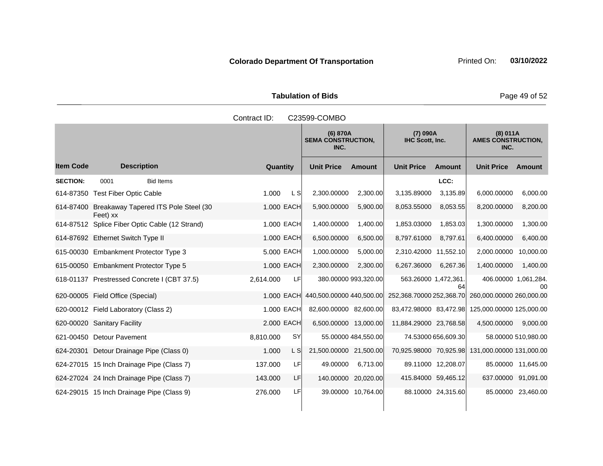Tabulation of Bids **Page 49 of 52** 

|                  |                                                  | Contract ID: |            |                                               | C23599-COMBO         |                             |                     |                                                   |                     |  |  |  |  |  |  |
|------------------|--------------------------------------------------|--------------|------------|-----------------------------------------------|----------------------|-----------------------------|---------------------|---------------------------------------------------|---------------------|--|--|--|--|--|--|
|                  |                                                  |              |            | (6) 870A<br><b>SEMA CONSTRUCTION,</b><br>INC. |                      | (7) 090A<br>IHC Scott, Inc. |                     | (8) 011A<br><b>AMES CONSTRUCTION,</b><br>INC.     |                     |  |  |  |  |  |  |
| <b>Item Code</b> | <b>Description</b>                               | Quantity     |            | <b>Unit Price</b>                             | <b>Amount</b>        | <b>Unit Price</b>           | <b>Amount</b>       | <b>Unit Price</b>                                 | Amount              |  |  |  |  |  |  |
| <b>SECTION:</b>  | 0001<br><b>Bid Items</b>                         |              |            |                                               |                      |                             | LCC:                |                                                   |                     |  |  |  |  |  |  |
|                  | 614-87350 Test Fiber Optic Cable                 | 1.000        | L S        | 2,300.00000                                   | 2,300.00             | 3,135.89000                 | 3,135.89            | 6,000.00000                                       | 6,000.00            |  |  |  |  |  |  |
| 614-87400        | Breakaway Tapered ITS Pole Steel (30<br>Feet) xx |              | 1.000 EACH | 5,900.00000                                   | 5,900.00             | 8,053.55000                 | 8,053.55            | 8,200.00000                                       | 8,200.00            |  |  |  |  |  |  |
|                  | 614-87512 Splice Fiber Optic Cable (12 Strand)   |              | 1.000 EACH | 1,400.00000                                   | 1,400.00             | 1,853.03000                 | 1,853.03            | 1,300.00000                                       | 1,300.00            |  |  |  |  |  |  |
|                  | 614-87692 Ethernet Switch Type II                |              | 1.000 EACH | 6,500.00000                                   | 6,500.00             | 8,797.61000                 | 8,797.61            | 6,400.00000                                       | 6,400.00            |  |  |  |  |  |  |
|                  | 615-00030 Embankment Protector Type 3            |              | 5.000 EACH | 1,000.00000                                   | 5.000.00             | 2,310.42000 11,552.10       |                     | 2.000.00000                                       | 10,000.00           |  |  |  |  |  |  |
|                  | 615-00050 Embankment Protector Type 5            |              | 1.000 EACH | 2,300.00000                                   | 2,300.00             | 6,267.36000                 | 6,267.36            | 1,400.00000                                       | 1,400.00            |  |  |  |  |  |  |
|                  | 618-01137 Prestressed Concrete I (CBT 37.5)      | 2,614.000    | LF         |                                               | 380.00000 993,320.00 | 563.26000 1,472,361.        | 64                  | 406.00000 1,061,284.                              | 00                  |  |  |  |  |  |  |
|                  | 620-00005 Field Office (Special)                 |              | 1.000 EACH | 440,500.00000 440,500.00                      |                      |                             |                     | 252,368.70000 252,368.70 260,000.00000 260,000.00 |                     |  |  |  |  |  |  |
|                  | 620-00012 Field Laboratory (Class 2)             |              | 1.000 EACH | 82,600.00000 82,600.00                        |                      |                             |                     | 83,472.98000 83,472.98 125,000.00000 125,000.00   |                     |  |  |  |  |  |  |
|                  | 620-00020 Sanitary Facility                      |              | 2.000 EACH | 6,500.00000 13,000.00                         |                      | 11,884.29000 23,768.58      |                     | 4,500.00000                                       | 9,000.00            |  |  |  |  |  |  |
|                  | 621-00450 Detour Pavement                        | 8,810.000    | <b>SY</b>  |                                               | 55.00000 484,550.00  |                             | 74.53000 656,609.30 |                                                   | 58.00000 510,980.00 |  |  |  |  |  |  |
|                  | 624-20301 Detour Drainage Pipe (Class 0)         | 1.000        | L S        | 21,500.00000 21,500.00                        |                      |                             |                     | 70,925.98000 70,925.98 131,000.00000 131,000.00   |                     |  |  |  |  |  |  |
|                  | 624-27015 15 Inch Drainage Pipe (Class 7)        | 137.000      | LF         | 49.00000                                      | 6,713.00             |                             | 89.11000 12,208.07  |                                                   | 85.00000 11,645.00  |  |  |  |  |  |  |
|                  | 624-27024 24 Inch Drainage Pipe (Class 7)        | 143.000      | LF         | 140.00000                                     | 20,020.00            | 415.84000 59,465.12         |                     | 637.00000 91,091.00                               |                     |  |  |  |  |  |  |
|                  | 624-29015 15 Inch Drainage Pipe (Class 9)        | 276.000      | LF         |                                               | 39.00000 10,764.00   |                             | 88.10000 24,315.60  |                                                   | 85.00000 23,460.00  |  |  |  |  |  |  |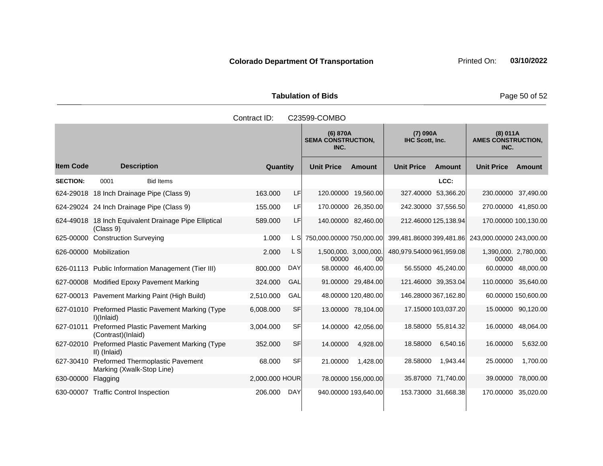Tabulation of Bids **Page 50 of 52** 

|                  |                                                                    | Contract ID:   |            | C23599-COMBO                                                                 |                             |                          |                     |                                               |                     |
|------------------|--------------------------------------------------------------------|----------------|------------|------------------------------------------------------------------------------|-----------------------------|--------------------------|---------------------|-----------------------------------------------|---------------------|
|                  |                                                                    |                |            | (7) 090A<br>(6) 870A<br>IHC Scott, Inc.<br><b>SEMA CONSTRUCTION,</b><br>INC. |                             |                          |                     | (8) 011A<br><b>AMES CONSTRUCTION,</b><br>INC. |                     |
| <b>Item Code</b> | <b>Description</b>                                                 | Quantity       |            | <b>Unit Price</b>                                                            | <b>Amount</b>               | <b>Unit Price</b>        | <b>Amount</b>       | <b>Unit Price</b>                             | Amount              |
| <b>SECTION:</b>  | 0001<br><b>Bid Items</b>                                           |                |            |                                                                              |                             |                          | LCC:                |                                               |                     |
|                  | 624-29018 18 Inch Drainage Pipe (Class 9)                          | 163.000        | LF         |                                                                              | 120.00000 19,560.00         | 327.40000                | 53,366.20           | 230.00000 37,490.00                           |                     |
|                  | 624-29024 24 Inch Drainage Pipe (Class 9)                          | 155.000        | LFI        |                                                                              | 170.00000 26,350.00         | 242.30000 37,556.50      |                     | 270.00000 41,850.00                           |                     |
|                  | 624-49018 18 Inch Equivalent Drainage Pipe Elliptical<br>(Class 9) | 589.000        | LF         |                                                                              | 140.00000 82,460.00         | 212.46000 125,138.94     |                     | 170.00000 100,130.00                          |                     |
|                  | 625-00000 Construction Surveying                                   | 1.000          | L SI       | 750,000.00000 750,000.00                                                     |                             | 399,481.86000 399,481.86 |                     | 243,000.00000 243,000.00                      |                     |
|                  | 626-00000 Mobilization                                             | 2.000          | L S        | 00000                                                                        | 1,500,000. 3,000,000.<br>00 | 480,979.54000 961,959.08 |                     | 1,390,000. 2,780,000.<br>00000                | 00                  |
|                  | 626-01113 Public Information Management (Tier III)                 | 800.000        | <b>DAY</b> |                                                                              | 58.00000 46,400.00          |                          | 56.55000 45,240.00  |                                               | 60.00000 48,000.00  |
|                  | 627-00008 Modified Epoxy Pavement Marking                          | 324.000        | GAL        |                                                                              | 91.00000 29,484.00          | 121.46000 39,353.04      |                     | 110.00000 35,640.00                           |                     |
|                  | 627-00013 Pavement Marking Paint (High Build)                      | 2,510.000      | GAL        |                                                                              | 48.00000 120,480.00         | 146.28000 367,162.80     |                     |                                               | 60.00000 150,600.00 |
|                  | 627-01010 Preformed Plastic Pavement Marking (Type<br>I)(Inlaid)   | 6,008.000      | <b>SF</b>  |                                                                              | 13.00000 78,104.00          |                          | 17.15000 103,037.20 |                                               | 15.00000 90,120.00  |
| 627-01011        | <b>Preformed Plastic Pavement Marking</b><br>(Contrast)(Inlaid)    | 3,004.000      | <b>SF</b>  |                                                                              | 14.00000 42,056.00          |                          | 18.58000 55,814.32  | 16.00000                                      | 48,064.00           |
| 627-02010        | Preformed Plastic Pavement Marking (Type<br>II) (Inlaid)           | 352.000        | <b>SF</b>  | 14.00000                                                                     | 4,928.00                    | 18.58000                 | 6,540.16            | 16.00000                                      | 5,632.00            |
| 627-30410        | Preformed Thermoplastic Pavement<br>Marking (Xwalk-Stop Line)      | 68.000         | <b>SF</b>  | 21.00000                                                                     | 1,428.00                    | 28.58000                 | 1,943.44            | 25.00000                                      | 1,700.00            |
| 630-00000        | Flagging                                                           | 2,000.000 HOUR |            |                                                                              | 78.00000 156,000.00         |                          | 35.87000 71,740.00  | 39.00000                                      | 78,000.00           |
|                  | 630-00007 Traffic Control Inspection                               | 206.000        | <b>DAY</b> |                                                                              | 940.00000 193,640.00        | 153.73000 31,668.38      |                     | 170.00000                                     | 35,020.00           |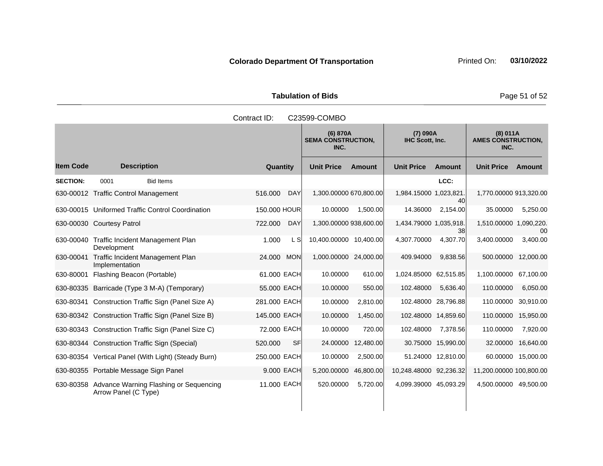Tabulation of Bids **Page 51 of 52** 

|                  |                                                                          | Contract ID: |            | C23599-COMBO                                  |               |                             |                    |                                               |               |
|------------------|--------------------------------------------------------------------------|--------------|------------|-----------------------------------------------|---------------|-----------------------------|--------------------|-----------------------------------------------|---------------|
|                  |                                                                          |              |            | (6) 870A<br><b>SEMA CONSTRUCTION,</b><br>INC. |               | (7) 090A<br>IHC Scott, Inc. |                    | (8) 011A<br><b>AMES CONSTRUCTION,</b><br>INC. |               |
| <b>Item Code</b> | <b>Description</b>                                                       | Quantity     |            | <b>Unit Price</b>                             | <b>Amount</b> | <b>Unit Price</b>           | <b>Amount</b>      | <b>Unit Price</b>                             | <b>Amount</b> |
| <b>SECTION:</b>  | 0001<br><b>Bid Items</b>                                                 |              |            |                                               |               |                             | LCC:               |                                               |               |
|                  | 630-00012 Traffic Control Management                                     | 516,000      | <b>DAY</b> | 1,300.00000 670,800.00                        |               | 1,984.15000 1,023,821.      | 40                 | 1,770.00000 913,320.00                        |               |
|                  | 630-00015 Uniformed Traffic Control Coordination                         | 150,000 HOUR |            | 10.00000                                      | 1,500.00      | 14.36000                    | 2,154.00           | 35.00000                                      | 5,250.00      |
|                  | 630-00030 Courtesy Patrol                                                | 722,000      | <b>DAY</b> | 1,300.00000 938,600.00                        |               | 1,434.79000 1,035,918.      | 38                 | 1,510.00000 1,090,220.                        | 00            |
|                  | 630-00040 Traffic Incident Management Plan<br>Development                | 1.000        | L Sl       | 10,400.00000 10,400.00                        |               | 4,307.70000                 | 4,307.70           | 3,400.00000                                   | 3,400.00      |
| 630-00041        | Traffic Incident Management Plan<br>Implementation                       | 24.000       | <b>MON</b> | 1,000.00000 24,000.00                         |               | 409.94000                   | 9,838.56           | 500.00000                                     | 12,000.00     |
| 630-80001        | Flashing Beacon (Portable)                                               | 61.000 EACH  |            | 10.00000                                      | 610.00        | 1,024.85000 62,515.85       |                    | 1,100.00000                                   | 67,100.00     |
|                  | 630-80335 Barricade (Type 3 M-A) (Temporary)                             | 55.000 EACH  |            | 10.00000                                      | 550.00        | 102.48000                   | 5,636.40           | 110.00000                                     | 6,050.00      |
|                  | 630-80341 Construction Traffic Sign (Panel Size A)                       | 281.000 EACH |            | 10.00000                                      | 2,810.00      | 102.48000 28,796.88         |                    | 110.00000                                     | 30,910.00     |
|                  | 630-80342 Construction Traffic Sign (Panel Size B)                       | 145.000 EACH |            | 10.00000                                      | 1,450.00      | 102.48000 14,859.60         |                    | 110.00000                                     | 15,950.00     |
|                  | 630-80343 Construction Traffic Sign (Panel Size C)                       | 72.000 EACH  |            | 10.00000                                      | 720.00        | 102.48000                   | 7,378.56           | 110.00000                                     | 7,920.00      |
|                  | 630-80344 Construction Traffic Sign (Special)                            | 520.000      | <b>SF</b>  | 24.00000                                      | 12,480.00     |                             | 30.75000 15,990.00 | 32.00000                                      | 16,640.00     |
|                  | 630-80354 Vertical Panel (With Light) (Steady Burn)                      | 250.000 EACH |            | 10.00000                                      | 2,500.00      |                             | 51.24000 12,810.00 | 60.00000                                      | 15,000.00     |
|                  | 630-80355 Portable Message Sign Panel                                    | 9.000 EACH   |            | 5,200.00000                                   | 46,800.00     | 10,248.48000 92,236.32      |                    | 11,200.00000 100,800.00                       |               |
|                  | 630-80358 Advance Warning Flashing or Sequencing<br>Arrow Panel (C Type) | 11.000 EACH  |            | 520.00000                                     | 5,720.00      | 4,099.39000 45,093.29       |                    | 4,500.00000 49,500.00                         |               |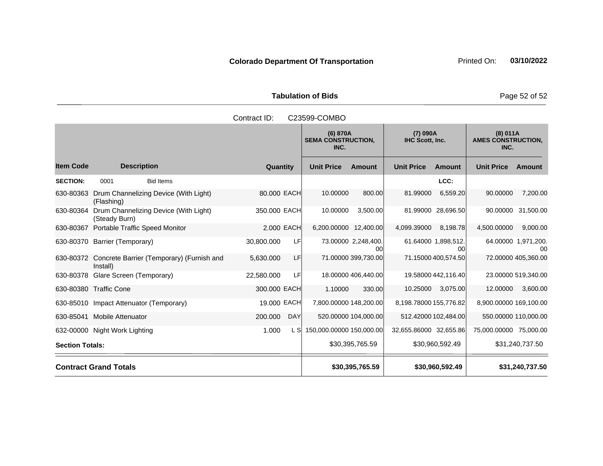Tabulation of Bids **Page 52 of 52** 

|                        |                               |                                                     | Contract ID: |            | C23599-COMBO                                                                        |                                |                        |                           |                                               |                           |  |
|------------------------|-------------------------------|-----------------------------------------------------|--------------|------------|-------------------------------------------------------------------------------------|--------------------------------|------------------------|---------------------------|-----------------------------------------------|---------------------------|--|
|                        |                               |                                                     |              |            | (7) 090A<br>(6) 870A<br><b>SEMA CONSTRUCTION,</b><br><b>IHC Scott, Inc.</b><br>INC. |                                |                        |                           | (8) 011A<br><b>AMES CONSTRUCTION,</b><br>INC. |                           |  |
| <b>Item Code</b>       |                               | <b>Description</b>                                  | Quantity     |            | <b>Unit Price</b>                                                                   | <b>Amount</b>                  | <b>Unit Price</b>      | Amount                    | <b>Unit Price</b>                             | Amount                    |  |
| <b>SECTION:</b>        | 0001                          | <b>Bid Items</b>                                    |              |            |                                                                                     |                                |                        | LCC:                      |                                               |                           |  |
| 630-80363              | (Flashing)                    | Drum Channelizing Device (With Light)               | 80.000 EACH  |            | 10.00000                                                                            | 800.00                         | 81.99000               | 6,559.20                  | 90.00000                                      | 7,200.00                  |  |
| 630-80364              | (Steady Burn)                 | Drum Channelizing Device (With Light)               | 350.000 EACH |            | 10.00000                                                                            | 3,500.00                       |                        | 81.99000 28,696.50        | 90.00000                                      | 31,500.00                 |  |
| 630-80367              |                               | <b>Portable Traffic Speed Monitor</b>               |              | 2.000 EACH | 6,200.00000 12,400.00                                                               |                                | 4,099.39000            | 8,198.78                  | 4,500.00000                                   | 9,000.00                  |  |
|                        | 630-80370 Barrier (Temporary) |                                                     | 30,800.000   | LF         |                                                                                     | 73.00000 2,248,400.<br>$00 \,$ |                        | 61.64000 1,898,512.<br>00 |                                               | 64.00000 1,971,200.<br>00 |  |
|                        | Install)                      | 630-80372 Concrete Barrier (Temporary) (Furnish and | 5,630.000    | LF         |                                                                                     | 71.00000 399,730.00            |                        | 71.15000 400,574.50       |                                               | 72.00000 405,360.00       |  |
| 630-80378              | Glare Screen (Temporary)      |                                                     | 22,580.000   | LF         |                                                                                     | 18.00000 406,440.00            |                        | 19.58000 442,116.40       |                                               | 23.00000 519,340.00       |  |
|                        | 630-80380 Traffic Cone        |                                                     | 300.000 EACH |            | 1.10000                                                                             | 330.00                         | 10.25000               | 3,075.00                  | 12.00000                                      | 3,600.00                  |  |
|                        |                               | 630-85010 Impact Attenuator (Temporary)             | 19.000 EACH  |            | 7,800.00000 148,200.00                                                              |                                | 8,198.78000 155,776.82 |                           | 8,900.00000 169,100.00                        |                           |  |
| 630-85041              | <b>Mobile Attenuator</b>      |                                                     | 200.000      | <b>DAY</b> |                                                                                     | 520.00000 104,000.00           |                        | 512.42000 102,484.00      |                                               | 550.00000 110,000.00      |  |
|                        | 632-00000 Night Work Lighting |                                                     | 1.000        | L SI       | 150,000.00000 150,000.00                                                            |                                | 32,655.86000 32,655.86 |                           | 75,000.00000 75,000.00                        |                           |  |
| <b>Section Totals:</b> |                               |                                                     |              |            |                                                                                     | \$30,395,765.59                |                        | \$30,960,592.49           |                                               | \$31,240,737.50           |  |
|                        | <b>Contract Grand Totals</b>  |                                                     |              |            |                                                                                     | \$30,395,765.59                |                        | \$30,960,592.49           |                                               | \$31,240,737.50           |  |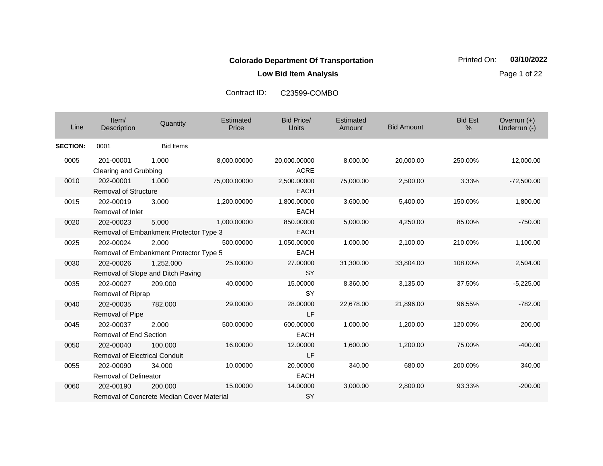**Low Bid Item Analysis Page 1 of 22** 

| Line            | Item/<br>Description                                | Quantity                                             | Estimated<br>Price | <b>Bid Price/</b><br><b>Units</b> | Estimated<br>Amount | <b>Bid Amount</b> | <b>Bid Est</b><br>% | Overrun $(+)$<br>Underrun (-) |
|-----------------|-----------------------------------------------------|------------------------------------------------------|--------------------|-----------------------------------|---------------------|-------------------|---------------------|-------------------------------|
| <b>SECTION:</b> | 0001                                                | <b>Bid Items</b>                                     |                    |                                   |                     |                   |                     |                               |
| 0005            | 201-00001<br>Clearing and Grubbing                  | 1.000                                                | 8,000.00000        | 20,000.00000<br><b>ACRE</b>       | 8,000.00            | 20,000.00         | 250.00%             | 12,000.00                     |
| 0010            | 202-00001<br><b>Removal of Structure</b>            | 1.000                                                | 75,000.00000       | 2,500.00000<br><b>EACH</b>        | 75,000.00           | 2,500.00          | 3.33%               | $-72,500.00$                  |
| 0015            | 202-00019<br>Removal of Inlet                       | 3.000                                                | 1,200.00000        | 1,800.00000<br><b>EACH</b>        | 3,600.00            | 5,400.00          | 150.00%             | 1,800.00                      |
| 0020            | 202-00023<br>Removal of Embankment Protector Type 3 | 5.000                                                | 1,000.00000        | 850,00000<br><b>EACH</b>          | 5,000.00            | 4,250.00          | 85.00%              | $-750.00$                     |
| 0025            | 202-00024<br>Removal of Embankment Protector Type 5 | 2.000                                                | 500.00000          | 1,050.00000<br><b>EACH</b>        | 1,000.00            | 2,100.00          | 210.00%             | 1,100.00                      |
| 0030            | 202-00026<br>Removal of Slope and Ditch Paving      | 1,252.000                                            | 25.00000           | 27.00000<br><b>SY</b>             | 31,300.00           | 33,804.00         | 108.00%             | 2,504.00                      |
| 0035            | 202-00027<br>Removal of Riprap                      | 209.000                                              | 40.00000           | 15,00000<br><b>SY</b>             | 8,360.00            | 3.135.00          | 37.50%              | $-5,225.00$                   |
| 0040            | 202-00035<br>Removal of Pipe                        | 782.000                                              | 29.00000           | 28.00000<br>LF                    | 22,678.00           | 21,896.00         | 96.55%              | $-782.00$                     |
| 0045            | 202-00037<br><b>Removal of End Section</b>          | 2.000                                                | 500.00000          | 600.00000<br><b>EACH</b>          | 1,000.00            | 1,200.00          | 120.00%             | 200.00                        |
| 0050            | 202-00040<br><b>Removal of Electrical Conduit</b>   | 100.000                                              | 16.00000           | 12.00000<br>LF                    | 1,600.00            | 1,200.00          | 75.00%              | $-400.00$                     |
| 0055            | 202-00090<br><b>Removal of Delineator</b>           | 34.000                                               | 10.00000           | 20.00000<br><b>EACH</b>           | 340.00              | 680.00            | 200.00%             | 340.00                        |
| 0060            | 202-00190                                           | 200,000<br>Removal of Concrete Median Cover Material | 15.00000           | 14.00000<br>SY                    | 3,000.00            | 2,800.00          | 93.33%              | $-200.00$                     |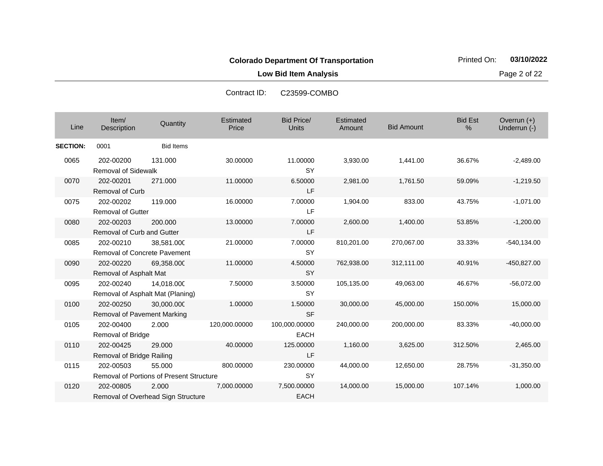**Low Bid Item Analysis Page 2 of 22** 

| Line            | Item/<br>Description                             | Quantity                                                  | Estimated<br>Price | <b>Bid Price/</b><br><b>Units</b> | Estimated<br>Amount | <b>Bid Amount</b> | <b>Bid Est</b><br>% | Overrun (+)<br>Underrun (-) |
|-----------------|--------------------------------------------------|-----------------------------------------------------------|--------------------|-----------------------------------|---------------------|-------------------|---------------------|-----------------------------|
| <b>SECTION:</b> | 0001                                             | <b>Bid Items</b>                                          |                    |                                   |                     |                   |                     |                             |
| 0065            | 202-00200<br><b>Removal of Sidewalk</b>          | 131.000                                                   | 30.00000           | 11.00000<br><b>SY</b>             | 3,930.00            | 1,441.00          | 36.67%              | $-2,489.00$                 |
| 0070            | 202-00201<br><b>Removal of Curb</b>              | 271.000                                                   | 11.00000           | 6.50000<br>LF                     | 2,981.00            | 1,761.50          | 59.09%              | $-1,219.50$                 |
| 0075            | 202-00202<br><b>Removal of Gutter</b>            | 119,000                                                   | 16.00000           | 7.00000<br>LF                     | 1,904.00            | 833.00            | 43.75%              | $-1,071.00$                 |
| 0080            | 202-00203<br>Removal of Curb and Gutter          | 200,000                                                   | 13.00000           | 7.00000<br>LF                     | 2,600.00            | 1,400.00          | 53.85%              | $-1,200.00$                 |
| 0085            | 202-00210<br><b>Removal of Concrete Pavement</b> | 38,581.000                                                | 21.00000           | 7.00000<br><b>SY</b>              | 810,201.00          | 270,067.00        | 33.33%              | $-540, 134.00$              |
| 0090            | 202-00220<br>Removal of Asphalt Mat              | 69,358.000                                                | 11.00000           | 4.50000<br><b>SY</b>              | 762,938.00          | 312,111.00        | 40.91%              | -450,827.00                 |
| 0095            | 202-00240                                        | 14,018.000<br>Removal of Asphalt Mat (Planing)            | 7.50000            | 3.50000<br><b>SY</b>              | 105,135.00          | 49,063.00         | 46.67%              | $-56,072.00$                |
| 0100            | 202-00250<br>Removal of Pavement Marking         | 30,000.000                                                | 1.00000            | 1.50000<br><b>SF</b>              | 30,000.00           | 45,000.00         | 150.00%             | 15,000.00                   |
| 0105            | 202-00400<br>Removal of Bridge                   | 2.000                                                     | 120,000.00000      | 100,000.00000<br><b>EACH</b>      | 240,000.00          | 200,000.00        | 83.33%              | $-40,000.00$                |
| 0110            | 202-00425<br>Removal of Bridge Railing           | 29.000                                                    | 40.00000           | 125.00000<br>LF                   | 1,160.00            | 3,625.00          | 312.50%             | 2,465.00                    |
| 0115            | 202-00503                                        | 55.000<br><b>Removal of Portions of Present Structure</b> | 800.00000          | 230.00000<br><b>SY</b>            | 44,000.00           | 12,650.00         | 28.75%              | $-31,350.00$                |
| 0120            | 202-00805                                        | 2.000<br>Removal of Overhead Sign Structure               | 7,000.00000        | 7,500.00000<br><b>EACH</b>        | 14,000.00           | 15,000.00         | 107.14%             | 1,000.00                    |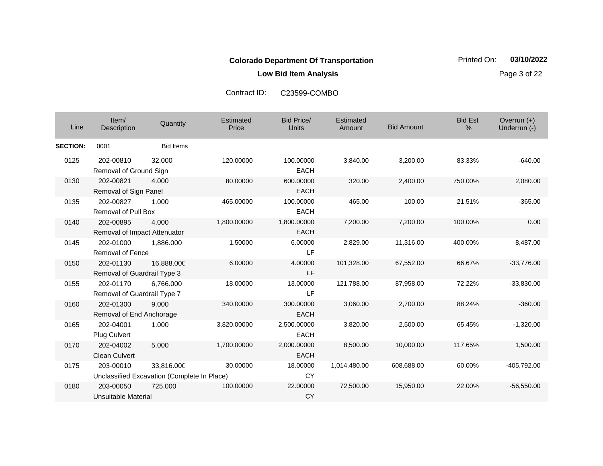**Low Bid Item Analysis Page 3 of 22** 

| Line            | Item/<br>Description                      | Quantity                                                  | Estimated<br>Price | <b>Bid Price/</b><br><b>Units</b> | Estimated<br>Amount | <b>Bid Amount</b> | <b>Bid Est</b><br>% | Overrun (+)<br>Underrun (-) |
|-----------------|-------------------------------------------|-----------------------------------------------------------|--------------------|-----------------------------------|---------------------|-------------------|---------------------|-----------------------------|
| <b>SECTION:</b> | 0001                                      | <b>Bid Items</b>                                          |                    |                                   |                     |                   |                     |                             |
| 0125            | 202-00810<br>Removal of Ground Sign       | 32.000                                                    | 120.00000          | 100.00000<br><b>EACH</b>          | 3,840.00            | 3,200.00          | 83.33%              | $-640.00$                   |
| 0130            | 202-00821<br>Removal of Sign Panel        | 4.000                                                     | 80.00000           | 600.00000<br><b>EACH</b>          | 320.00              | 2,400.00          | 750.00%             | 2,080.00                    |
| 0135            | 202-00827<br><b>Removal of Pull Box</b>   | 1.000                                                     | 465.00000          | 100.00000<br><b>EACH</b>          | 465.00              | 100.00            | 21.51%              | $-365.00$                   |
| 0140            | 202-00895<br>Removal of Impact Attenuator | 4.000                                                     | 1,800.00000        | 1,800.00000<br><b>EACH</b>        | 7,200.00            | 7,200.00          | 100.00%             | 0.00                        |
| 0145            | 202-01000<br><b>Removal of Fence</b>      | 1,886.000                                                 | 1.50000            | 6.00000<br>LF                     | 2,829.00            | 11,316.00         | 400.00%             | 8,487.00                    |
| 0150            | 202-01130<br>Removal of Guardrail Type 3  | 16,888.000                                                | 6.00000            | 4.00000<br>LF                     | 101,328.00          | 67,552.00         | 66.67%              | $-33,776.00$                |
| 0155            | 202-01170<br>Removal of Guardrail Type 7  | 6,766.000                                                 | 18.00000           | 13.00000<br>LF                    | 121,788.00          | 87,958.00         | 72.22%              | $-33,830.00$                |
| 0160            | 202-01300<br>Removal of End Anchorage     | 9.000                                                     | 340.00000          | 300.00000<br><b>EACH</b>          | 3,060.00            | 2,700.00          | 88.24%              | $-360.00$                   |
| 0165            | 202-04001<br>Plug Culvert                 | 1.000                                                     | 3,820.00000        | 2,500.00000<br><b>EACH</b>        | 3,820.00            | 2,500.00          | 65.45%              | $-1,320.00$                 |
| 0170            | 202-04002<br><b>Clean Culvert</b>         | 5.000                                                     | 1,700.00000        | 2,000.00000<br><b>EACH</b>        | 8,500.00            | 10,000.00         | 117.65%             | 1,500.00                    |
| 0175            | 203-00010                                 | 33,816.000<br>Unclassified Excavation (Complete In Place) | 30.00000           | 18.00000<br><b>CY</b>             | 1,014,480.00        | 608,688.00        | 60.00%              | -405,792.00                 |
| 0180            | 203-00050<br>Unsuitable Material          | 725.000                                                   | 100.00000          | 22.00000<br><b>CY</b>             | 72,500.00           | 15,950.00         | 22.00%              | $-56,550.00$                |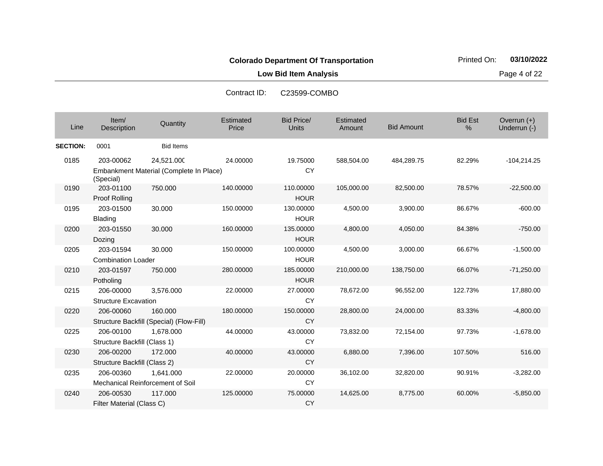**Low Bid Item Analysis Page 4 of 22** 

| Line            | Item/<br>Description                      | Quantity                                              | Estimated<br>Price | <b>Bid Price/</b><br><b>Units</b> | Estimated<br>Amount | <b>Bid Amount</b> | <b>Bid Est</b><br>% | Overrun (+)<br>Underrun (-) |
|-----------------|-------------------------------------------|-------------------------------------------------------|--------------------|-----------------------------------|---------------------|-------------------|---------------------|-----------------------------|
| <b>SECTION:</b> | 0001                                      | <b>Bid Items</b>                                      |                    |                                   |                     |                   |                     |                             |
| 0185            | 203-00062<br>(Special)                    | 24,521.000<br>Embankment Material (Complete In Place) | 24.00000           | 19.75000<br><b>CY</b>             | 588,504.00          | 484,289.75        | 82.29%              | $-104,214.25$               |
| 0190            | 203-01100<br>Proof Rolling                | 750.000                                               | 140.00000          | 110.00000<br><b>HOUR</b>          | 105,000.00          | 82,500.00         | 78.57%              | $-22,500.00$                |
| 0195            | 203-01500<br><b>Blading</b>               | 30.000                                                | 150.00000          | 130.00000<br><b>HOUR</b>          | 4,500.00            | 3,900.00          | 86.67%              | $-600.00$                   |
| 0200            | 203-01550<br>Dozing                       | 30.000                                                | 160.00000          | 135.00000<br><b>HOUR</b>          | 4,800.00            | 4,050.00          | 84.38%              | $-750.00$                   |
| 0205            | 203-01594<br><b>Combination Loader</b>    | 30.000                                                | 150.00000          | 100.00000<br><b>HOUR</b>          | 4,500.00            | 3,000.00          | 66.67%              | $-1,500.00$                 |
| 0210            | 203-01597<br>Potholing                    | 750.000                                               | 280.00000          | 185.00000<br><b>HOUR</b>          | 210,000.00          | 138,750.00        | 66.07%              | $-71,250.00$                |
| 0215            | 206-00000<br><b>Structure Excavation</b>  | 3,576.000                                             | 22.00000           | 27.00000<br><b>CY</b>             | 78,672.00           | 96,552.00         | 122.73%             | 17,880.00                   |
| 0220            | 206-00060                                 | 160.000<br>Structure Backfill (Special) (Flow-Fill)   | 180.00000          | 150.00000<br><b>CY</b>            | 28,800.00           | 24,000.00         | 83.33%              | $-4,800.00$                 |
| 0225            | 206-00100<br>Structure Backfill (Class 1) | 1.678.000                                             | 44.00000           | 43.00000<br><b>CY</b>             | 73,832.00           | 72,154.00         | 97.73%              | $-1,678.00$                 |
| 0230            | 206-00200<br>Structure Backfill (Class 2) | 172.000                                               | 40.00000           | 43.00000<br><b>CY</b>             | 6,880.00            | 7,396.00          | 107.50%             | 516.00                      |
| 0235            | 206-00360                                 | 1,641.000<br>Mechanical Reinforcement of Soil         | 22.00000           | 20.00000<br><b>CY</b>             | 36,102.00           | 32,820.00         | 90.91%              | $-3,282.00$                 |
| 0240            | 206-00530<br>Filter Material (Class C)    | 117.000                                               | 125.00000          | 75.00000<br><b>CY</b>             | 14,625.00           | 8,775.00          | 60.00%              | $-5,850.00$                 |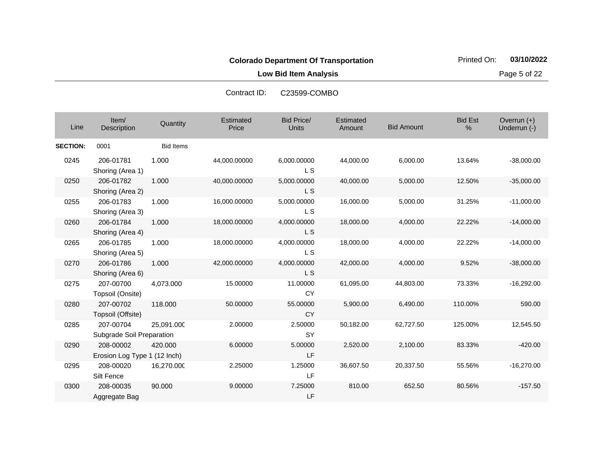**Low Bid Item Analysis Page 5 of 22** 

| Line            | Item/<br>Description                      | Quantity         | Estimated<br>Price | <b>Bid Price/</b><br><b>Units</b> | Estimated<br>Amount | <b>Bid Amount</b> | <b>Bid Est</b><br>% | Overrun $(+)$<br>Underrun (-) |
|-----------------|-------------------------------------------|------------------|--------------------|-----------------------------------|---------------------|-------------------|---------------------|-------------------------------|
| <b>SECTION:</b> | 0001                                      | <b>Bid Items</b> |                    |                                   |                     |                   |                     |                               |
| 0245            | 206-01781<br>Shoring (Area 1)             | 1.000            | 44,000.00000       | 6,000.00000<br>L S                | 44,000.00           | 6,000.00          | 13.64%              | $-38,000.00$                  |
| 0250            | 206-01782<br>Shoring (Area 2)             | 1.000            | 40,000.00000       | 5,000.00000<br>L S                | 40,000.00           | 5,000.00          | 12.50%              | $-35,000.00$                  |
| 0255            | 206-01783<br>Shoring (Area 3)             | 1.000            | 16,000.00000       | 5,000.00000<br>L S                | 16,000.00           | 5,000.00          | 31.25%              | $-11,000.00$                  |
| 0260            | 206-01784<br>Shoring (Area 4)             | 1.000            | 18,000.00000       | 4,000.00000<br>L S                | 18,000.00           | 4,000.00          | 22.22%              | $-14,000.00$                  |
| 0265            | 206-01785<br>Shoring (Area 5)             | 1.000            | 18,000.00000       | 4,000.00000<br>L S                | 18,000.00           | 4,000.00          | 22.22%              | $-14,000.00$                  |
| 0270            | 206-01786<br>Shoring (Area 6)             | 1.000            | 42,000.00000       | 4,000.00000<br><b>LS</b>          | 42,000.00           | 4,000.00          | 9.52%               | $-38,000.00$                  |
| 0275            | 207-00700<br>Topsoil (Onsite)             | 4,073.000        | 15.00000           | 11.00000<br><b>CY</b>             | 61,095.00           | 44,803.00         | 73.33%              | $-16,292.00$                  |
| 0280            | 207-00702<br>Topsoil (Offsite)            | 118.000          | 50.00000           | 55.00000<br><b>CY</b>             | 5,900.00            | 6,490.00          | 110.00%             | 590.00                        |
| 0285            | 207-00704<br>Subgrade Soil Preparation    | 25,091.000       | 2.00000            | 2.50000<br><b>SY</b>              | 50,182.00           | 62,727.50         | 125.00%             | 12,545.50                     |
| 0290            | 208-00002<br>Erosion Log Type 1 (12 Inch) | 420.000          | 6.00000            | 5.00000<br>LF                     | 2,520.00            | 2,100.00          | 83.33%              | $-420.00$                     |
| 0295            | 208-00020<br>Silt Fence                   | 16,270.000       | 2.25000            | 1.25000<br>LF                     | 36,607.50           | 20,337.50         | 55.56%              | $-16,270.00$                  |
| 0300            | 208-00035<br>Aggregate Bag                | 90.000           | 9.00000            | 7.25000<br>LF                     | 810.00              | 652.50            | 80.56%              | $-157.50$                     |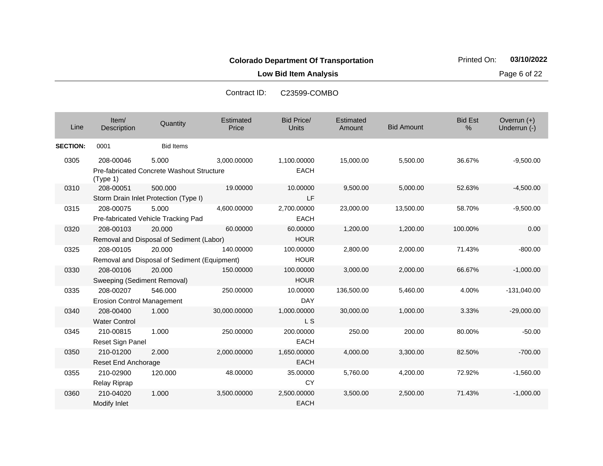**Low Bid Item Analysis Page 6 of 22** 

| Line            | Item/<br>Description                               | Quantity                                               | Estimated<br>Price | <b>Bid Price/</b><br><b>Units</b> | Estimated<br>Amount | <b>Bid Amount</b> | <b>Bid Est</b><br>% | Overrun (+)<br>Underrun (-) |
|-----------------|----------------------------------------------------|--------------------------------------------------------|--------------------|-----------------------------------|---------------------|-------------------|---------------------|-----------------------------|
| <b>SECTION:</b> | 0001                                               | <b>Bid Items</b>                                       |                    |                                   |                     |                   |                     |                             |
| 0305            | 208-00046<br>(Type 1)                              | 5.000<br>Pre-fabricated Concrete Washout Structure     | 3,000.00000        | 1,100.00000<br><b>EACH</b>        | 15,000.00           | 5,500.00          | 36.67%              | $-9,500.00$                 |
| 0310            | 208-00051<br>Storm Drain Inlet Protection (Type I) | 500.000                                                | 19.00000           | 10.00000<br>LF                    | 9,500.00            | 5,000.00          | 52.63%              | $-4,500.00$                 |
| 0315            | 208-00075<br>Pre-fabricated Vehicle Tracking Pad   | 5.000                                                  | 4,600.00000        | 2,700.00000<br><b>EACH</b>        | 23,000.00           | 13,500.00         | 58.70%              | $-9,500.00$                 |
| 0320            | 208-00103                                          | 20.000<br>Removal and Disposal of Sediment (Labor)     | 60.00000           | 60.00000<br><b>HOUR</b>           | 1,200.00            | 1,200.00          | 100.00%             | 0.00                        |
| 0325            | 208-00105                                          | 20.000<br>Removal and Disposal of Sediment (Equipment) | 140.00000          | 100.00000<br><b>HOUR</b>          | 2,800.00            | 2,000.00          | 71.43%              | $-800.00$                   |
| 0330            | 208-00106<br>Sweeping (Sediment Removal)           | 20,000                                                 | 150.00000          | 100.00000<br><b>HOUR</b>          | 3,000.00            | 2,000.00          | 66.67%              | $-1,000.00$                 |
| 0335            | 208-00207<br><b>Erosion Control Management</b>     | 546.000                                                | 250.00000          | 10.00000<br><b>DAY</b>            | 136,500.00          | 5,460.00          | 4.00%               | $-131,040.00$               |
| 0340            | 208-00400<br><b>Water Control</b>                  | 1.000                                                  | 30,000.00000       | 1,000.00000<br><b>LS</b>          | 30,000.00           | 1,000.00          | 3.33%               | $-29,000.00$                |
| 0345            | 210-00815<br>Reset Sign Panel                      | 1.000                                                  | 250.00000          | 200.00000<br><b>EACH</b>          | 250.00              | 200.00            | 80.00%              | $-50.00$                    |
| 0350            | 210-01200<br>Reset End Anchorage                   | 2.000                                                  | 2,000.00000        | 1,650.00000<br><b>EACH</b>        | 4,000.00            | 3,300.00          | 82.50%              | $-700.00$                   |
| 0355            | 210-02900<br>Relay Riprap                          | 120.000                                                | 48.00000           | 35.00000<br>CY                    | 5,760.00            | 4,200.00          | 72.92%              | $-1,560.00$                 |
| 0360            | 210-04020<br>Modify Inlet                          | 1.000                                                  | 3,500.00000        | 2,500.00000<br><b>EACH</b>        | 3,500.00            | 2,500.00          | 71.43%              | $-1,000.00$                 |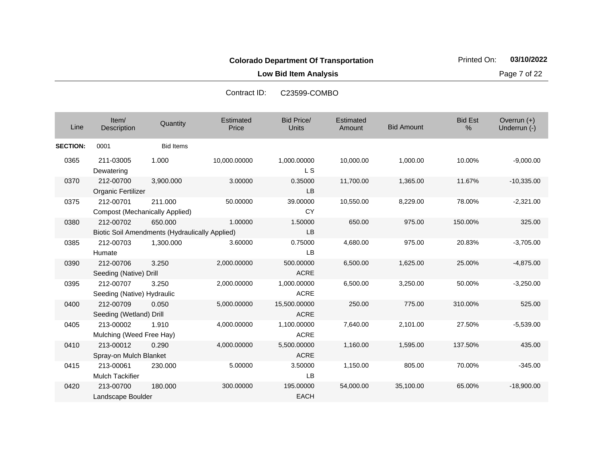**Low Bid Item Analysis Page 7 of 22** 

| Line            | Item/<br>Description                                        | Quantity         | Estimated<br>Price | Bid Price/<br>Units         | <b>Estimated</b><br>Amount | <b>Bid Amount</b> | <b>Bid Est</b><br>% | Overrun (+)<br>Underrun (-) |
|-----------------|-------------------------------------------------------------|------------------|--------------------|-----------------------------|----------------------------|-------------------|---------------------|-----------------------------|
| <b>SECTION:</b> | 0001                                                        | <b>Bid Items</b> |                    |                             |                            |                   |                     |                             |
| 0365            | 211-03005<br>Dewatering                                     | 1.000            | 10,000.00000       | 1,000.00000<br>L S          | 10,000.00                  | 1,000.00          | 10.00%              | $-9,000.00$                 |
| 0370            | 212-00700<br>Organic Fertilizer                             | 3,900.000        | 3.00000            | 0.35000<br>LB               | 11,700.00                  | 1,365.00          | 11.67%              | $-10,335.00$                |
| 0375            | 212-00701<br><b>Compost (Mechanically Applied)</b>          | 211.000          | 50.00000           | 39.00000<br><b>CY</b>       | 10,550.00                  | 8,229.00          | 78.00%              | $-2,321.00$                 |
| 0380            | 212-00702<br>Biotic Soil Amendments (Hydraulically Applied) | 650,000          | 1.00000            | 1.50000<br><b>LB</b>        | 650.00                     | 975.00            | 150.00%             | 325.00                      |
| 0385            | 212-00703<br>Humate                                         | 1,300.000        | 3.60000            | 0.75000<br>LB               | 4,680.00                   | 975.00            | 20.83%              | $-3,705.00$                 |
| 0390            | 212-00706<br>Seeding (Native) Drill                         | 3.250            | 2,000.00000        | 500.00000<br><b>ACRE</b>    | 6,500.00                   | 1,625.00          | 25.00%              | $-4,875.00$                 |
| 0395            | 212-00707<br>Seeding (Native) Hydraulic                     | 3.250            | 2,000.00000        | 1,000.00000<br><b>ACRE</b>  | 6,500.00                   | 3,250.00          | 50.00%              | $-3,250.00$                 |
| 0400            | 212-00709<br>Seeding (Wetland) Drill                        | 0.050            | 5,000.00000        | 15,500.00000<br><b>ACRE</b> | 250.00                     | 775.00            | 310.00%             | 525.00                      |
| 0405            | 213-00002<br>Mulching (Weed Free Hay)                       | 1.910            | 4,000.00000        | 1,100.00000<br><b>ACRE</b>  | 7,640.00                   | 2,101.00          | 27.50%              | $-5,539.00$                 |
| 0410            | 213-00012<br>Spray-on Mulch Blanket                         | 0.290            | 4,000.00000        | 5,500.00000<br><b>ACRE</b>  | 1,160.00                   | 1,595.00          | 137.50%             | 435.00                      |
| 0415            | 213-00061<br><b>Mulch Tackifier</b>                         | 230.000          | 5.00000            | 3.50000<br>LB               | 1,150.00                   | 805.00            | 70.00%              | $-345.00$                   |
| 0420            | 213-00700<br>Landscape Boulder                              | 180.000          | 300.00000          | 195.00000<br><b>EACH</b>    | 54,000.00                  | 35,100.00         | 65.00%              | $-18,900.00$                |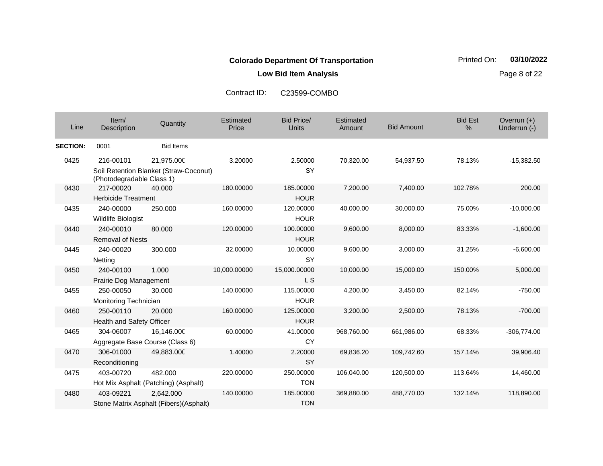**Low Bid Item Analysis Page 8 of 22** 

| Line            | Item/<br>Description                         | Quantity                                             | Estimated<br>Price | <b>Bid Price/</b><br><b>Units</b> | Estimated<br>Amount | <b>Bid Amount</b> | <b>Bid Est</b><br>% | Overrun $(+)$<br>Underrun (-) |
|-----------------|----------------------------------------------|------------------------------------------------------|--------------------|-----------------------------------|---------------------|-------------------|---------------------|-------------------------------|
| <b>SECTION:</b> | 0001                                         | <b>Bid Items</b>                                     |                    |                                   |                     |                   |                     |                               |
| 0425            | 216-00101<br>(Photodegradable Class 1)       | 21,975.000<br>Soil Retention Blanket (Straw-Coconut) | 3.20000            | 2.50000<br><b>SY</b>              | 70,320.00           | 54,937.50         | 78.13%              | $-15,382.50$                  |
| 0430            | 217-00020<br><b>Herbicide Treatment</b>      | 40.000                                               | 180.00000          | 185.00000<br><b>HOUR</b>          | 7,200.00            | 7,400.00          | 102.78%             | 200.00                        |
| 0435            | 240-00000<br>Wildlife Biologist              | 250.000                                              | 160.00000          | 120.00000<br><b>HOUR</b>          | 40,000.00           | 30,000.00         | 75.00%              | $-10,000.00$                  |
| 0440            | 240-00010<br><b>Removal of Nests</b>         | 80.000                                               | 120.00000          | 100.00000<br><b>HOUR</b>          | 9,600.00            | 8,000.00          | 83.33%              | $-1,600.00$                   |
| 0445            | 240-00020<br><b>Netting</b>                  | 300.000                                              | 32.00000           | 10.00000<br><b>SY</b>             | 9,600.00            | 3,000.00          | 31.25%              | $-6,600.00$                   |
| 0450            | 240-00100<br>Prairie Dog Management          | 1.000                                                | 10,000.00000       | 15,000.00000<br>L S               | 10,000.00           | 15,000.00         | 150.00%             | 5,000.00                      |
| 0455            | 250-00050<br>Monitoring Technician           | 30.000                                               | 140.00000          | 115.00000<br><b>HOUR</b>          | 4,200.00            | 3,450.00          | 82.14%              | $-750.00$                     |
| 0460            | 250-00110<br>Health and Safety Officer       | 20.000                                               | 160.00000          | 125.00000<br><b>HOUR</b>          | 3,200.00            | 2,500.00          | 78.13%              | $-700.00$                     |
| 0465            | 304-06007<br>Aggregate Base Course (Class 6) | 16,146.000                                           | 60.00000           | 41.00000<br><b>CY</b>             | 968,760.00          | 661,986.00        | 68.33%              | $-306,774.00$                 |
| 0470            | 306-01000<br>Reconditioning                  | 49,883.000                                           | 1.40000            | 2.20000<br><b>SY</b>              | 69,836.20           | 109,742.60        | 157.14%             | 39,906.40                     |
| 0475            | 403-00720                                    | 482.000<br>Hot Mix Asphalt (Patching) (Asphalt)      | 220.00000          | 250.00000<br><b>TON</b>           | 106,040.00          | 120,500.00        | 113.64%             | 14,460.00                     |
| 0480            | 403-09221                                    | 2,642.000<br>Stone Matrix Asphalt (Fibers)(Asphalt)  | 140.00000          | 185.00000<br><b>TON</b>           | 369,880.00          | 488,770.00        | 132.14%             | 118,890.00                    |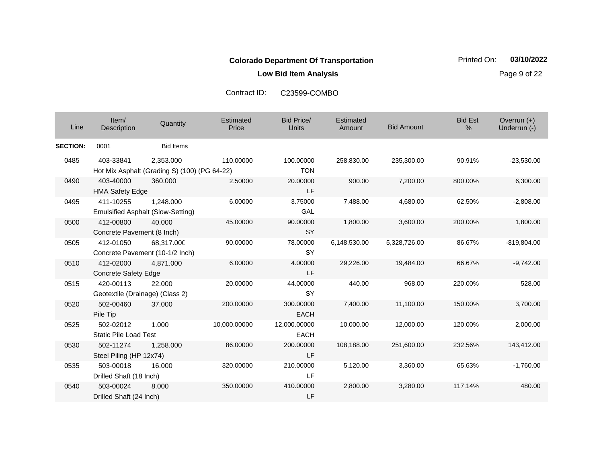**Low Bid Item Analysis Page 9 of 22** 

| Line            | Item/<br>Description                         | Quantity                                                  | Estimated<br>Price | <b>Bid Price/</b><br><b>Units</b> | Estimated<br>Amount | <b>Bid Amount</b> | <b>Bid Est</b><br>% | Overrun $(+)$<br>Underrun (-) |
|-----------------|----------------------------------------------|-----------------------------------------------------------|--------------------|-----------------------------------|---------------------|-------------------|---------------------|-------------------------------|
| <b>SECTION:</b> | 0001                                         | <b>Bid Items</b>                                          |                    |                                   |                     |                   |                     |                               |
| 0485            | 403-33841                                    | 2,353.000<br>Hot Mix Asphalt (Grading S) (100) (PG 64-22) | 110.00000          | 100.00000<br><b>TON</b>           | 258,830.00          | 235,300.00        | 90.91%              | $-23,530.00$                  |
| 0490            | 403-40000<br><b>HMA Safety Edge</b>          | 360,000                                                   | 2.50000            | 20.00000<br><b>LF</b>             | 900.00              | 7,200.00          | 800.00%             | 6,300.00                      |
| 0495            | 411-10255                                    | 1.248.000<br><b>Emulsified Asphalt (Slow-Setting)</b>     | 6.00000            | 3.75000<br>GAL                    | 7,488.00            | 4,680.00          | 62.50%              | $-2,808.00$                   |
| 0500            | 412-00800<br>Concrete Pavement (8 Inch)      | 40.000                                                    | 45.00000           | 90.00000<br><b>SY</b>             | 1,800.00            | 3,600.00          | 200.00%             | 1,800.00                      |
| 0505            | 412-01050                                    | 68,317.000<br>Concrete Pavement (10-1/2 Inch)             | 90.00000           | 78.00000<br><b>SY</b>             | 6,148,530.00        | 5,328,726.00      | 86.67%              | $-819,804.00$                 |
| 0510            | 412-02000<br><b>Concrete Safety Edge</b>     | 4.871.000                                                 | 6.00000            | 4.00000<br><b>LF</b>              | 29,226.00           | 19,484.00         | 66.67%              | $-9,742.00$                   |
| 0515            | 420-00113<br>Geotextile (Drainage) (Class 2) | 22,000                                                    | 20.00000           | 44.00000<br><b>SY</b>             | 440.00              | 968.00            | 220.00%             | 528.00                        |
| 0520            | 502-00460<br>Pile Tip                        | 37,000                                                    | 200.00000          | 300.00000<br><b>EACH</b>          | 7,400.00            | 11,100.00         | 150.00%             | 3,700.00                      |
| 0525            | 502-02012<br><b>Static Pile Load Test</b>    | 1.000                                                     | 10,000.00000       | 12,000.00000<br><b>EACH</b>       | 10,000.00           | 12,000.00         | 120.00%             | 2,000.00                      |
| 0530            | 502-11274<br>Steel Piling (HP 12x74)         | 1,258.000                                                 | 86.00000           | 200.00000<br>LF                   | 108,188.00          | 251,600.00        | 232.56%             | 143,412.00                    |
| 0535            | 503-00018<br>Drilled Shaft (18 Inch)         | 16.000                                                    | 320.00000          | 210.00000<br>LF                   | 5,120.00            | 3,360.00          | 65.63%              | $-1,760.00$                   |
| 0540            | 503-00024<br>Drilled Shaft (24 Inch)         | 8.000                                                     | 350.00000          | 410.00000<br>LF                   | 2,800.00            | 3,280.00          | 117.14%             | 480.00                        |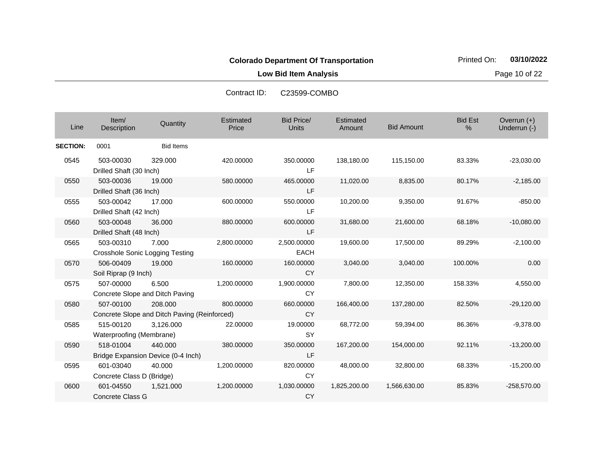**Low Bid Item Analysis Page 10 of 22** 

| Line            | Item/<br>Description                                | Quantity                                                | Estimated<br>Price | <b>Bid Price/</b><br>Units | Estimated<br>Amount | <b>Bid Amount</b> | <b>Bid Est</b><br>% | Overrun (+)<br>Underrun (-) |
|-----------------|-----------------------------------------------------|---------------------------------------------------------|--------------------|----------------------------|---------------------|-------------------|---------------------|-----------------------------|
| <b>SECTION:</b> | 0001                                                | <b>Bid Items</b>                                        |                    |                            |                     |                   |                     |                             |
| 0545            | 503-00030<br>Drilled Shaft (30 Inch)                | 329.000                                                 | 420.00000          | 350.00000<br>LF.           | 138,180.00          | 115,150.00        | 83.33%              | $-23,030.00$                |
| 0550            | 503-00036<br>Drilled Shaft (36 Inch)                | 19,000                                                  | 580.00000          | 465.00000<br>LF            | 11,020.00           | 8,835.00          | 80.17%              | $-2,185.00$                 |
| 0555            | 503-00042<br>Drilled Shaft (42 Inch)                | 17.000                                                  | 600.00000          | 550.00000<br><b>LF</b>     | 10,200.00           | 9,350.00          | 91.67%              | $-850.00$                   |
| 0560            | 503-00048<br>Drilled Shaft (48 Inch)                | 36,000                                                  | 880.00000          | 600.00000<br>LF            | 31,680.00           | 21,600.00         | 68.18%              | $-10,080.00$                |
| 0565            | 503-00310<br><b>Crosshole Sonic Logging Testing</b> | 7.000                                                   | 2,800.00000        | 2,500.00000<br><b>EACH</b> | 19,600.00           | 17,500.00         | 89.29%              | $-2,100.00$                 |
| 0570            | 506-00409<br>Soil Riprap (9 Inch)                   | 19.000                                                  | 160.00000          | 160.00000<br><b>CY</b>     | 3,040.00            | 3,040.00          | 100.00%             | 0.00                        |
| 0575            | 507-00000                                           | 6.500<br>Concrete Slope and Ditch Paving                | 1,200.00000        | 1,900.00000<br><b>CY</b>   | 7,800.00            | 12,350.00         | 158.33%             | 4,550.00                    |
| 0580            | 507-00100                                           | 208,000<br>Concrete Slope and Ditch Paving (Reinforced) | 800.00000          | 660.00000<br><b>CY</b>     | 166,400.00          | 137,280.00        | 82.50%              | $-29,120.00$                |
| 0585            | 515-00120<br>Waterproofing (Membrane)               | 3.126.000                                               | 22.00000           | 19.00000<br><b>SY</b>      | 68,772.00           | 59,394.00         | 86.36%              | $-9,378.00$                 |
| 0590            | 518-01004                                           | 440.000<br>Bridge Expansion Device (0-4 Inch)           | 380.00000          | 350.00000<br><b>LF</b>     | 167,200.00          | 154,000.00        | 92.11%              | $-13,200.00$                |
| 0595            | 601-03040<br>Concrete Class D (Bridge)              | 40.000                                                  | 1,200.00000        | 820.00000<br><b>CY</b>     | 48,000.00           | 32,800.00         | 68.33%              | $-15,200.00$                |
| 0600            | 601-04550<br>Concrete Class G                       | 1,521.000                                               | 1,200.00000        | 1,030.00000<br><b>CY</b>   | 1,825,200.00        | 1,566,630.00      | 85.83%              | $-258,570.00$               |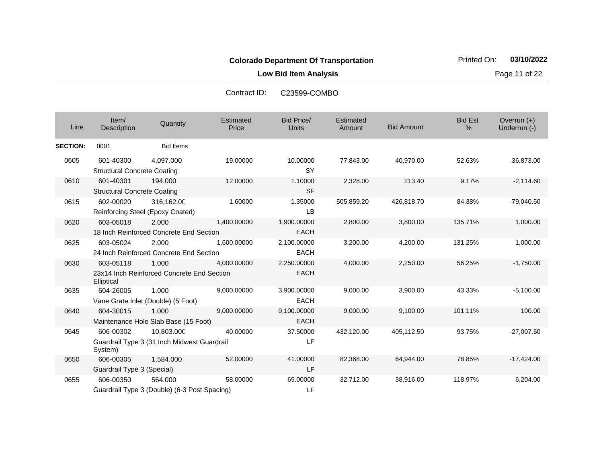**Low Bid Item Analysis Page 11 of 22** 

| Line            | Item/<br>Description                            | Quantity                                                  | Estimated<br>Price | <b>Bid Price/</b><br><b>Units</b> | Estimated<br>Amount | <b>Bid Amount</b> | <b>Bid Est</b><br>$\%$ | Overrun $(+)$<br>Underrun (-) |
|-----------------|-------------------------------------------------|-----------------------------------------------------------|--------------------|-----------------------------------|---------------------|-------------------|------------------------|-------------------------------|
| <b>SECTION:</b> | 0001                                            | <b>Bid Items</b>                                          |                    |                                   |                     |                   |                        |                               |
| 0605            | 601-40300<br><b>Structural Concrete Coating</b> | 4,097.000                                                 | 19.00000           | 10.00000<br><b>SY</b>             | 77,843.00           | 40,970.00         | 52.63%                 | $-36,873.00$                  |
| 0610            | 601-40301<br><b>Structural Concrete Coating</b> | 194.000                                                   | 12.00000           | 1.10000<br><b>SF</b>              | 2,328.00            | 213.40            | 9.17%                  | $-2,114.60$                   |
| 0615            | 602-00020                                       | 316,162.00<br>Reinforcing Steel (Epoxy Coated)            | 1.60000            | 1.35000<br>LB                     | 505,859.20          | 426,818.70        | 84.38%                 | $-79,040.50$                  |
| 0620            | 603-05018                                       | 2.000<br>18 Inch Reinforced Concrete End Section          | 1,400.00000        | 1,900.00000<br><b>EACH</b>        | 2,800.00            | 3,800.00          | 135.71%                | 1,000.00                      |
| 0625            | 603-05024                                       | 2.000<br>24 Inch Reinforced Concrete End Section          | 1,600.00000        | 2,100.00000<br><b>EACH</b>        | 3,200.00            | 4,200.00          | 131.25%                | 1,000.00                      |
| 0630            | 603-05118<br>Elliptical                         | 1.000<br>23x14 Inch Reinforced Concrete End Section       | 4,000.00000        | 2,250.00000<br><b>EACH</b>        | 4,000.00            | 2,250.00          | 56.25%                 | $-1,750.00$                   |
| 0635            | 604-26005                                       | 1.000<br>Vane Grate Inlet (Double) (5 Foot)               | 9,000.00000        | 3,900.00000<br><b>EACH</b>        | 9,000.00            | 3,900.00          | 43.33%                 | $-5,100.00$                   |
| 0640            | 604-30015                                       | 1.000<br>Maintenance Hole Slab Base (15 Foot)             | 9,000.00000        | 9,100.00000<br><b>EACH</b>        | 9,000.00            | 9,100.00          | 101.11%                | 100.00                        |
| 0645            | 606-00302<br>System)                            | 10.803.000<br>Guardrail Type 3 (31 Inch Midwest Guardrail | 40.00000           | 37.50000<br><b>LF</b>             | 432,120.00          | 405,112.50        | 93.75%                 | $-27,007.50$                  |
| 0650            | 606-00305<br>Guardrail Type 3 (Special)         | 1,584.000                                                 | 52.00000           | 41.00000<br>LF                    | 82,368.00           | 64,944.00         | 78.85%                 | $-17,424.00$                  |
| 0655            | 606-00350                                       | 564.000<br>Guardrail Type 3 (Double) (6-3 Post Spacing)   | 58.00000           | 69.00000<br>LF                    | 32,712.00           | 38,916.00         | 118.97%                | 6,204.00                      |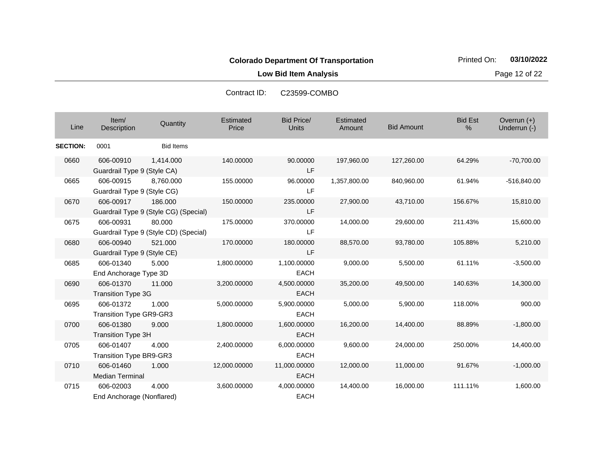**Low Bid Item Analysis Page 12 of 22** 

| Line            | Item/<br>Description                        | Quantity                                         | Estimated<br>Price | <b>Bid Price/</b><br>Units  | Estimated<br>Amount | <b>Bid Amount</b> | <b>Bid Est</b><br>% | Overrun $(+)$<br>Underrun (-) |
|-----------------|---------------------------------------------|--------------------------------------------------|--------------------|-----------------------------|---------------------|-------------------|---------------------|-------------------------------|
| <b>SECTION:</b> | 0001                                        | <b>Bid Items</b>                                 |                    |                             |                     |                   |                     |                               |
| 0660            | 606-00910<br>Guardrail Type 9 (Style CA)    | 1,414.000                                        | 140.00000          | 90.00000<br>LF              | 197,960.00          | 127,260.00        | 64.29%              | $-70,700.00$                  |
| 0665            | 606-00915<br>Guardrail Type 9 (Style CG)    | 8,760.000                                        | 155.00000          | 96.00000<br>LF              | 1,357,800.00        | 840,960.00        | 61.94%              | -516,840.00                   |
| 0670            | 606-00917                                   | 186.000<br>Guardrail Type 9 (Style CG) (Special) | 150.00000          | 235.00000<br>LF             | 27,900.00           | 43,710.00         | 156.67%             | 15,810.00                     |
| 0675            | 606-00931                                   | 80.000<br>Guardrail Type 9 (Style CD) (Special)  | 175.00000          | 370.00000<br>LF             | 14,000.00           | 29,600.00         | 211.43%             | 15,600.00                     |
| 0680            | 606-00940<br>Guardrail Type 9 (Style CE)    | 521.000                                          | 170.00000          | 180.00000<br>LF             | 88,570.00           | 93,780.00         | 105.88%             | 5,210.00                      |
| 0685            | 606-01340<br>End Anchorage Type 3D          | 5.000                                            | 1,800.00000        | 1,100.00000<br><b>EACH</b>  | 9,000.00            | 5,500.00          | 61.11%              | $-3,500.00$                   |
| 0690            | 606-01370<br><b>Transition Type 3G</b>      | 11.000                                           | 3,200.00000        | 4,500.00000<br><b>EACH</b>  | 35,200.00           | 49,500.00         | 140.63%             | 14,300.00                     |
| 0695            | 606-01372<br><b>Transition Type GR9-GR3</b> | 1.000                                            | 5,000.00000        | 5,900.00000<br><b>EACH</b>  | 5,000.00            | 5,900.00          | 118.00%             | 900.00                        |
| 0700            | 606-01380<br><b>Transition Type 3H</b>      | 9.000                                            | 1,800.00000        | 1,600.00000<br><b>EACH</b>  | 16,200.00           | 14,400.00         | 88.89%              | $-1,800.00$                   |
| 0705            | 606-01407<br><b>Transition Type BR9-GR3</b> | 4.000                                            | 2,400.00000        | 6,000.00000<br><b>EACH</b>  | 9,600.00            | 24,000.00         | 250.00%             | 14,400.00                     |
| 0710            | 606-01460<br><b>Median Terminal</b>         | 1.000                                            | 12,000.00000       | 11,000.00000<br><b>EACH</b> | 12,000.00           | 11,000.00         | 91.67%              | $-1,000.00$                   |
| 0715            | 606-02003<br>End Anchorage (Nonflared)      | 4.000                                            | 3,600.00000        | 4,000.00000<br><b>EACH</b>  | 14,400.00           | 16,000.00         | 111.11%             | 1,600.00                      |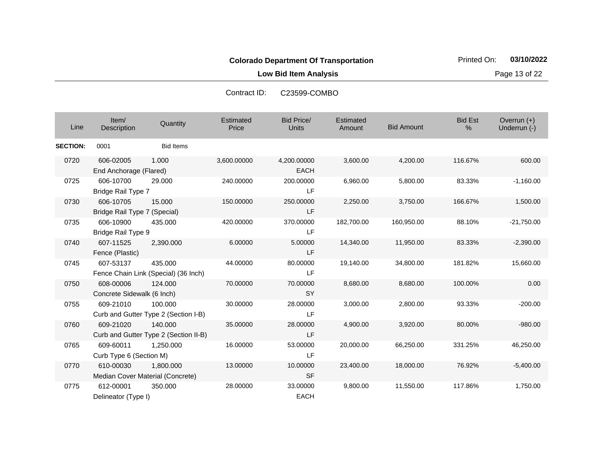**Low Bid Item Analysis Page 13 of 22** 

| Line            | Item/<br>Description                          | Quantity                                         | Estimated<br>Price | <b>Bid Price/</b><br>Units | Estimated<br>Amount | <b>Bid Amount</b> | <b>Bid Est</b><br>% | Overrun (+)<br>Underrun (-) |
|-----------------|-----------------------------------------------|--------------------------------------------------|--------------------|----------------------------|---------------------|-------------------|---------------------|-----------------------------|
| <b>SECTION:</b> | 0001                                          | <b>Bid Items</b>                                 |                    |                            |                     |                   |                     |                             |
| 0720            | 606-02005<br>End Anchorage (Flared)           | 1.000                                            | 3,600.00000        | 4,200.00000<br><b>EACH</b> | 3,600.00            | 4,200.00          | 116.67%             | 600.00                      |
| 0725            | 606-10700<br>Bridge Rail Type 7               | 29,000                                           | 240.00000          | 200.00000<br><b>LF</b>     | 6,960.00            | 5,800.00          | 83.33%              | $-1,160.00$                 |
| 0730            | 606-10705<br>Bridge Rail Type 7 (Special)     | 15.000                                           | 150.00000          | 250.00000<br><b>LF</b>     | 2,250.00            | 3,750.00          | 166.67%             | 1,500.00                    |
| 0735            | 606-10900<br>Bridge Rail Type 9               | 435.000                                          | 420.00000          | 370.00000<br>LF            | 182,700.00          | 160,950.00        | 88.10%              | $-21,750.00$                |
| 0740            | 607-11525<br>Fence (Plastic)                  | 2,390.000                                        | 6.00000            | 5.00000<br><b>LF</b>       | 14,340.00           | 11,950.00         | 83.33%              | $-2,390.00$                 |
| 0745            | 607-53137                                     | 435,000<br>Fence Chain Link (Special) (36 Inch)  | 44.00000           | 80.00000<br><b>LF</b>      | 19,140.00           | 34,800.00         | 181.82%             | 15,660.00                   |
| 0750            | 608-00006<br>Concrete Sidewalk (6 Inch)       | 124.000                                          | 70.00000           | 70.00000<br><b>SY</b>      | 8,680.00            | 8,680.00          | 100.00%             | 0.00                        |
| 0755            | 609-21010                                     | 100.000<br>Curb and Gutter Type 2 (Section I-B)  | 30.00000           | 28.00000<br>LF             | 3,000.00            | 2,800.00          | 93.33%              | $-200.00$                   |
| 0760            | 609-21020                                     | 140.000<br>Curb and Gutter Type 2 (Section II-B) | 35.00000           | 28.00000<br><b>LF</b>      | 4,900.00            | 3,920.00          | 80.00%              | $-980.00$                   |
| 0765            | 609-60011<br>Curb Type 6 (Section M)          | 1.250.000                                        | 16.00000           | 53.00000<br>LF             | 20,000.00           | 66,250.00         | 331.25%             | 46,250.00                   |
| 0770            | 610-00030<br>Median Cover Material (Concrete) | 1,800.000                                        | 13.00000           | 10.00000<br><b>SF</b>      | 23,400.00           | 18,000.00         | 76.92%              | $-5,400.00$                 |
| 0775            | 612-00001<br>Delineator (Type I)              | 350.000                                          | 28.00000           | 33.00000<br><b>EACH</b>    | 9,800.00            | 11,550.00         | 117.86%             | 1,750.00                    |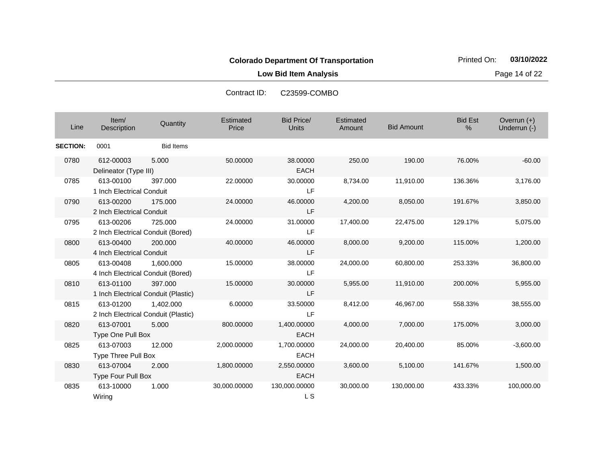**Low Bid Item Analysis Page 14 of 22** 

| Line            | Item/<br>Description                             | Quantity         | Estimated<br>Price | <b>Bid Price/</b><br><b>Units</b> | Estimated<br>Amount | <b>Bid Amount</b> | <b>Bid Est</b><br>% | Overrun (+)<br>Underrun (-) |
|-----------------|--------------------------------------------------|------------------|--------------------|-----------------------------------|---------------------|-------------------|---------------------|-----------------------------|
| <b>SECTION:</b> | 0001                                             | <b>Bid Items</b> |                    |                                   |                     |                   |                     |                             |
| 0780            | 612-00003<br>Delineator (Type III)               | 5.000            | 50.00000           | 38.00000<br><b>EACH</b>           | 250.00              | 190.00            | 76.00%              | $-60.00$                    |
| 0785            | 613-00100<br>1 Inch Electrical Conduit           | 397.000          | 22.00000           | 30.00000<br>LF                    | 8,734.00            | 11,910.00         | 136.36%             | 3,176.00                    |
| 0790            | 613-00200<br>2 Inch Electrical Conduit           | 175,000          | 24.00000           | 46.00000<br>LF                    | 4,200.00            | 8,050.00          | 191.67%             | 3,850.00                    |
| 0795            | 613-00206<br>2 Inch Electrical Conduit (Bored)   | 725.000          | 24.00000           | 31.00000<br>LF                    | 17,400.00           | 22,475.00         | 129.17%             | 5,075.00                    |
| 0800            | 613-00400<br>4 Inch Electrical Conduit           | 200.000          | 40.00000           | 46.00000<br>LF                    | 8,000.00            | 9,200.00          | 115.00%             | 1,200.00                    |
| 0805            | 613-00408<br>4 Inch Electrical Conduit (Bored)   | 1,600.000        | 15.00000           | 38.00000<br>LF                    | 24,000.00           | 60,800.00         | 253.33%             | 36,800.00                   |
| 0810            | 613-01100<br>1 Inch Electrical Conduit (Plastic) | 397.000          | 15.00000           | 30.00000<br>LF                    | 5,955.00            | 11,910.00         | 200.00%             | 5,955.00                    |
| 0815            | 613-01200<br>2 Inch Electrical Conduit (Plastic) | 1,402.000        | 6.00000            | 33.50000<br>LF                    | 8,412.00            | 46,967.00         | 558.33%             | 38,555.00                   |
| 0820            | 613-07001<br><b>Type One Pull Box</b>            | 5.000            | 800.00000          | 1,400.00000<br><b>EACH</b>        | 4,000.00            | 7,000.00          | 175.00%             | 3,000.00                    |
| 0825            | 613-07003<br><b>Type Three Pull Box</b>          | 12.000           | 2,000.00000        | 1,700.00000<br><b>EACH</b>        | 24,000.00           | 20,400.00         | 85.00%              | $-3,600.00$                 |
| 0830            | 613-07004<br>Type Four Pull Box                  | 2.000            | 1,800.00000        | 2,550.00000<br><b>EACH</b>        | 3,600.00            | 5,100.00          | 141.67%             | 1,500.00                    |
| 0835            | 613-10000<br>Wiring                              | 1.000            | 30,000.00000       | 130,000.00000<br>L S              | 30,000.00           | 130,000.00        | 433.33%             | 100.000.00                  |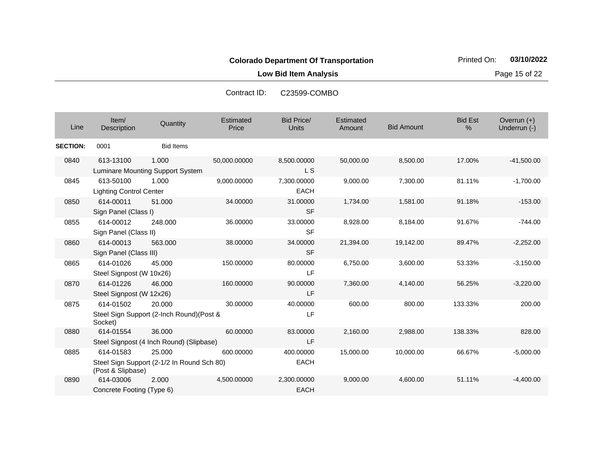**Low Bid Item Analysis Page 15 of 22** 

| Line            | Item/<br>Description                        | Quantity                                             | Estimated<br>Price | <b>Bid Price/</b><br><b>Units</b> | Estimated<br>Amount | <b>Bid Amount</b> | <b>Bid Est</b><br>% | Overrun $(+)$<br>Underrun (-) |
|-----------------|---------------------------------------------|------------------------------------------------------|--------------------|-----------------------------------|---------------------|-------------------|---------------------|-------------------------------|
| <b>SECTION:</b> | 0001                                        | <b>Bid Items</b>                                     |                    |                                   |                     |                   |                     |                               |
| 0840            | 613-13100                                   | 1.000<br>Luminare Mounting Support System            | 50,000.00000       | 8,500.00000<br>L <sub>S</sub>     | 50,000.00           | 8,500.00          | 17.00%              | $-41,500.00$                  |
| 0845            | 613-50100<br><b>Lighting Control Center</b> | 1.000                                                | 9,000.00000        | 7,300.00000<br><b>EACH</b>        | 9,000.00            | 7,300.00          | 81.11%              | $-1,700.00$                   |
| 0850            | 614-00011<br>Sign Panel (Class I)           | 51.000                                               | 34.00000           | 31.00000<br><b>SF</b>             | 1,734.00            | 1,581.00          | 91.18%              | $-153.00$                     |
| 0855            | 614-00012<br>Sign Panel (Class II)          | 248,000                                              | 36.00000           | 33.00000<br><b>SF</b>             | 8,928.00            | 8,184.00          | 91.67%              | $-744.00$                     |
| 0860            | 614-00013<br>Sign Panel (Class III)         | 563.000                                              | 38.00000           | 34.00000<br><b>SF</b>             | 21,394.00           | 19,142.00         | 89.47%              | $-2,252.00$                   |
| 0865            | 614-01026<br>Steel Signpost (W 10x26)       | 45.000                                               | 150.00000          | 80.00000<br>LF                    | 6,750.00            | 3,600.00          | 53.33%              | $-3,150.00$                   |
| 0870            | 614-01226<br>Steel Signpost (W 12x26)       | 46,000                                               | 160.00000          | 90.00000<br>LF                    | 7,360.00            | 4,140.00          | 56.25%              | $-3,220.00$                   |
| 0875            | 614-01502<br>Socket)                        | 20,000<br>Steel Sign Support (2-Inch Round) (Post &  | 30.00000           | 40.00000<br>LF                    | 600.00              | 800.00            | 133.33%             | 200.00                        |
| 0880            | 614-01554                                   | 36,000<br>Steel Signpost (4 Inch Round) (Slipbase)   | 60.00000           | 83.00000<br><b>LF</b>             | 2,160.00            | 2,988.00          | 138.33%             | 828.00                        |
| 0885            | 614-01583<br>(Post & Slipbase)              | 25.000<br>Steel Sign Support (2-1/2 In Round Sch 80) | 600.00000          | 400.00000<br><b>EACH</b>          | 15,000.00           | 10,000.00         | 66.67%              | $-5,000.00$                   |
| 0890            | 614-03006<br>Concrete Footing (Type 6)      | 2.000                                                | 4,500.00000        | 2,300.00000<br><b>EACH</b>        | 9,000.00            | 4,600.00          | 51.11%              | $-4.400.00$                   |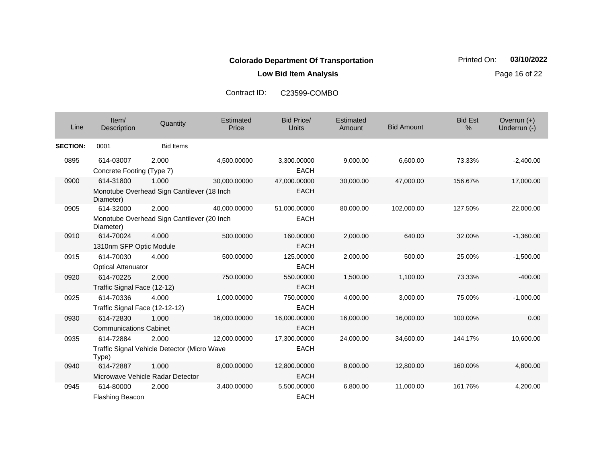**Low Bid Item Analysis Page 16 of 22** 

| Line            | Item/<br>Description                                                 | Quantity         | Estimated<br>Price | <b>Bid Price/</b><br><b>Units</b> | <b>Estimated</b><br>Amount | <b>Bid Amount</b> | <b>Bid Est</b><br>% | Overrun (+)<br>Underrun (-) |
|-----------------|----------------------------------------------------------------------|------------------|--------------------|-----------------------------------|----------------------------|-------------------|---------------------|-----------------------------|
| <b>SECTION:</b> | 0001                                                                 | <b>Bid Items</b> |                    |                                   |                            |                   |                     |                             |
| 0895            | 614-03007<br>Concrete Footing (Type 7)                               | 2.000            | 4.500.00000        | 3,300.00000<br><b>EACH</b>        | 9,000.00                   | 6.600.00          | 73.33%              | $-2,400.00$                 |
| 0900            | 614-31800<br>Monotube Overhead Sign Cantilever (18 Inch<br>Diameter) | 1.000            | 30,000.00000       | 47,000.00000<br><b>EACH</b>       | 30,000.00                  | 47,000.00         | 156.67%             | 17,000.00                   |
| 0905            | 614-32000<br>Monotube Overhead Sign Cantilever (20 Inch<br>Diameter) | 2.000            | 40.000.00000       | 51,000.00000<br><b>EACH</b>       | 80,000.00                  | 102,000.00        | 127.50%             | 22,000.00                   |
| 0910            | 614-70024<br>1310nm SFP Optic Module                                 | 4.000            | 500.00000          | 160.00000<br><b>EACH</b>          | 2,000.00                   | 640.00            | 32.00%              | $-1,360.00$                 |
| 0915            | 614-70030<br><b>Optical Attenuator</b>                               | 4.000            | 500.00000          | 125.00000<br><b>EACH</b>          | 2,000.00                   | 500.00            | 25.00%              | $-1,500.00$                 |
| 0920            | 614-70225<br>Traffic Signal Face (12-12)                             | 2.000            | 750.00000          | 550.00000<br><b>EACH</b>          | 1,500.00                   | 1,100.00          | 73.33%              | $-400.00$                   |
| 0925            | 614-70336<br>Traffic Signal Face (12-12-12)                          | 4.000            | 1,000.00000        | 750.00000<br><b>EACH</b>          | 4,000.00                   | 3,000.00          | 75.00%              | $-1,000.00$                 |
| 0930            | 614-72830<br><b>Communications Cabinet</b>                           | 1.000            | 16,000.00000       | 16,000.00000<br><b>EACH</b>       | 16,000.00                  | 16,000.00         | 100.00%             | 0.00                        |
| 0935            | 614-72884<br>Traffic Signal Vehicle Detector (Micro Wave<br>Type)    | 2.000            | 12,000.00000       | 17,300.00000<br><b>EACH</b>       | 24,000.00                  | 34,600.00         | 144.17%             | 10,600.00                   |
| 0940            | 614-72887<br>Microwave Vehicle Radar Detector                        | 1.000            | 8,000.00000        | 12,800.00000<br><b>EACH</b>       | 8,000.00                   | 12,800.00         | 160.00%             | 4,800.00                    |
| 0945            | 614-80000<br>Flashing Beacon                                         | 2.000            | 3,400.00000        | 5,500.00000<br><b>EACH</b>        | 6,800.00                   | 11,000.00         | 161.76%             | 4,200.00                    |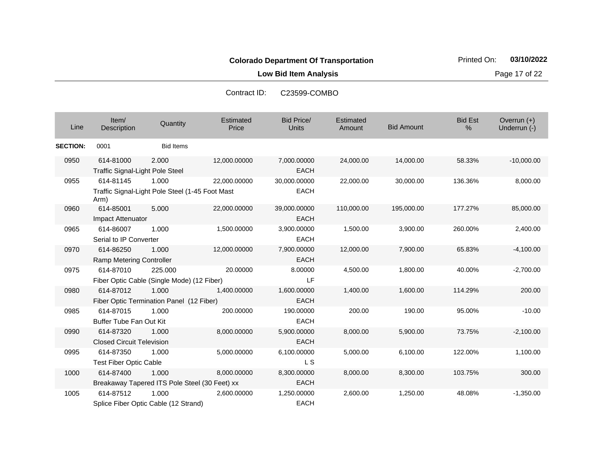**Low Bid Item Analysis Page 17 of 22** 

| Line            | Item/<br>Description                                | Quantity                                                 | Estimated<br>Price | <b>Bid Price/</b><br><b>Units</b> | Estimated<br>Amount | <b>Bid Amount</b> | <b>Bid Est</b><br>% | Overrun $(+)$<br>Underrun (-) |
|-----------------|-----------------------------------------------------|----------------------------------------------------------|--------------------|-----------------------------------|---------------------|-------------------|---------------------|-------------------------------|
| <b>SECTION:</b> | 0001                                                | <b>Bid Items</b>                                         |                    |                                   |                     |                   |                     |                               |
| 0950            | 614-81000<br><b>Traffic Signal-Light Pole Steel</b> | 2.000                                                    | 12,000.00000       | 7,000.00000<br><b>EACH</b>        | 24,000.00           | 14,000.00         | 58.33%              | $-10,000.00$                  |
| 0955            | 614-81145<br>Arm)                                   | 1.000<br>Traffic Signal-Light Pole Steel (1-45 Foot Mast | 22,000.00000       | 30,000.00000<br><b>EACH</b>       | 22,000.00           | 30,000.00         | 136.36%             | 8,000.00                      |
| 0960            | 614-85001<br>Impact Attenuator                      | 5.000                                                    | 22,000.00000       | 39,000.00000<br><b>EACH</b>       | 110,000.00          | 195,000.00        | 177.27%             | 85,000.00                     |
| 0965            | 614-86007<br>Serial to IP Converter                 | 1.000                                                    | 1,500.00000        | 3,900.00000<br><b>EACH</b>        | 1,500.00            | 3,900.00          | 260.00%             | 2,400.00                      |
| 0970            | 614-86250<br>Ramp Metering Controller               | 1.000                                                    | 12,000.00000       | 7,900.00000<br><b>EACH</b>        | 12,000.00           | 7,900.00          | 65.83%              | $-4,100.00$                   |
| 0975            | 614-87010                                           | 225.000<br>Fiber Optic Cable (Single Mode) (12 Fiber)    | 20.00000           | 8.00000<br>LF                     | 4,500.00            | 1,800.00          | 40.00%              | $-2,700.00$                   |
| 0980            | 614-87012                                           | 1.000<br>Fiber Optic Termination Panel (12 Fiber)        | 1,400.00000        | 1,600.00000<br><b>EACH</b>        | 1,400.00            | 1,600.00          | 114.29%             | 200.00                        |
| 0985            | 614-87015<br><b>Buffer Tube Fan Out Kit</b>         | 1.000                                                    | 200.00000          | 190.00000<br><b>EACH</b>          | 200.00              | 190.00            | 95.00%              | $-10.00$                      |
| 0990            | 614-87320<br><b>Closed Circuit Television</b>       | 1.000                                                    | 8,000.00000        | 5,900.00000<br><b>EACH</b>        | 8,000.00            | 5,900.00          | 73.75%              | $-2,100.00$                   |
| 0995            | 614-87350<br><b>Test Fiber Optic Cable</b>          | 1.000                                                    | 5,000.00000        | 6,100.00000<br>L S                | 5,000.00            | 6,100.00          | 122.00%             | 1,100.00                      |
| 1000            | 614-87400                                           | 1.000<br>Breakaway Tapered ITS Pole Steel (30 Feet) xx   | 8,000.00000        | 8,300.00000<br><b>EACH</b>        | 8,000.00            | 8,300.00          | 103.75%             | 300.00                        |
| 1005            | 614-87512                                           | 1.000<br>Splice Fiber Optic Cable (12 Strand)            | 2,600.00000        | 1,250.00000<br><b>EACH</b>        | 2,600.00            | 1,250.00          | 48.08%              | $-1,350.00$                   |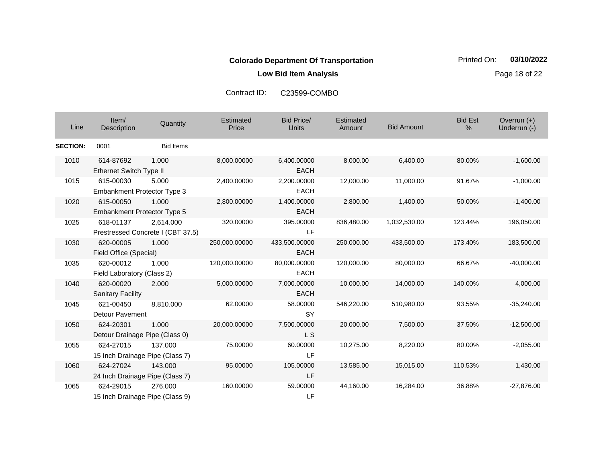**Low Bid Item Analysis Page 18 of 22** 

| Line            | Item/<br>Description                            | Quantity                                       | Estimated<br>Price | <b>Bid Price/</b><br>Units   | Estimated<br>Amount | <b>Bid Amount</b> | <b>Bid Est</b><br>% | Overrun (+)<br>Underrun (-) |
|-----------------|-------------------------------------------------|------------------------------------------------|--------------------|------------------------------|---------------------|-------------------|---------------------|-----------------------------|
| <b>SECTION:</b> | 0001                                            | <b>Bid Items</b>                               |                    |                              |                     |                   |                     |                             |
| 1010            | 614-87692<br>Ethernet Switch Type II            | 1.000                                          | 8,000.00000        | 6,400.00000<br><b>EACH</b>   | 8,000.00            | 6,400.00          | 80.00%              | $-1,600.00$                 |
| 1015            | 615-00030<br><b>Embankment Protector Type 3</b> | 5.000                                          | 2,400.00000        | 2,200.00000<br><b>EACH</b>   | 12,000.00           | 11,000.00         | 91.67%              | $-1,000.00$                 |
| 1020            | 615-00050<br><b>Embankment Protector Type 5</b> | 1.000                                          | 2,800.00000        | 1,400.00000<br><b>EACH</b>   | 2,800.00            | 1,400.00          | 50.00%              | $-1,400.00$                 |
| 1025            | 618-01137                                       | 2.614.000<br>Prestressed Concrete I (CBT 37.5) | 320.00000          | 395.00000<br>LF              | 836,480.00          | 1,032,530.00      | 123.44%             | 196,050.00                  |
| 1030            | 620-00005<br>Field Office (Special)             | 1.000                                          | 250,000.00000      | 433,500.00000<br><b>EACH</b> | 250,000.00          | 433,500.00        | 173.40%             | 183,500.00                  |
| 1035            | 620-00012<br>Field Laboratory (Class 2)         | 1.000                                          | 120,000.00000      | 80,000.00000<br><b>EACH</b>  | 120,000.00          | 80,000.00         | 66.67%              | $-40,000.00$                |
| 1040            | 620-00020<br><b>Sanitary Facility</b>           | 2.000                                          | 5,000.00000        | 7,000.00000<br><b>EACH</b>   | 10,000.00           | 14,000.00         | 140.00%             | 4,000.00                    |
| 1045            | 621-00450<br>Detour Pavement                    | 8,810.000                                      | 62.00000           | 58.00000<br><b>SY</b>        | 546,220.00          | 510,980.00        | 93.55%              | $-35,240.00$                |
| 1050            | 624-20301<br>Detour Drainage Pipe (Class 0)     | 1.000                                          | 20,000.00000       | 7,500.00000<br>L S           | 20,000.00           | 7,500.00          | 37.50%              | $-12,500.00$                |
| 1055            | 624-27015<br>15 Inch Drainage Pipe (Class 7)    | 137.000                                        | 75.00000           | 60.00000<br>LF.              | 10,275.00           | 8,220.00          | 80.00%              | $-2,055.00$                 |
| 1060            | 624-27024<br>24 Inch Drainage Pipe (Class 7)    | 143.000                                        | 95.00000           | 105.00000<br>LF              | 13,585.00           | 15,015.00         | 110.53%             | 1,430.00                    |
| 1065            | 624-29015<br>15 Inch Drainage Pipe (Class 9)    | 276,000                                        | 160.00000          | 59.00000<br>LF               | 44,160.00           | 16,284.00         | 36.88%              | $-27,876.00$                |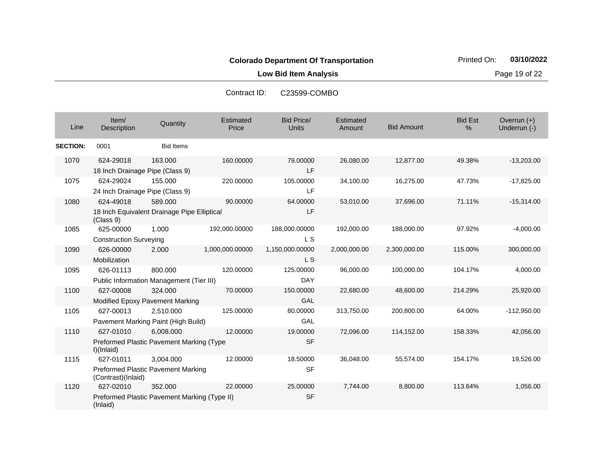**Low Bid Item Analysis Page 19 of 22** 

| Line            | Item/<br>Description                         | Quantity                                                | Estimated<br>Price | Bid Price/<br><b>Units</b>   | Estimated<br>Amount | <b>Bid Amount</b> | <b>Bid Est</b><br>% | Overrun $(+)$<br>Underrun (-) |
|-----------------|----------------------------------------------|---------------------------------------------------------|--------------------|------------------------------|---------------------|-------------------|---------------------|-------------------------------|
| <b>SECTION:</b> | 0001                                         | <b>Bid Items</b>                                        |                    |                              |                     |                   |                     |                               |
| 1070            | 624-29018<br>18 Inch Drainage Pipe (Class 9) | 163.000                                                 | 160.00000          | 79.00000<br>LF               | 26,080.00           | 12,877.00         | 49.38%              | $-13,203.00$                  |
| 1075            | 624-29024<br>24 Inch Drainage Pipe (Class 9) | 155.000                                                 | 220.00000          | 105.00000<br>LF              | 34,100.00           | 16,275.00         | 47.73%              | $-17,825.00$                  |
| 1080            | 624-49018<br>(Class 9)                       | 589.000<br>18 Inch Equivalent Drainage Pipe Elliptical  | 90.00000           | 64.00000<br>LF               | 53,010.00           | 37,696.00         | 71.11%              | $-15,314.00$                  |
| 1085            | 625-00000<br><b>Construction Surveying</b>   | 1.000                                                   | 192,000.00000      | 188,000.00000<br><b>LS</b>   | 192,000.00          | 188,000.00        | 97.92%              | $-4,000.00$                   |
| 1090            | 626-00000<br>Mobilization                    | 2.000                                                   | 1,000,000.00000    | 1,150,000.00000<br><b>LS</b> | 2,000,000.00        | 2,300,000.00      | 115.00%             | 300,000.00                    |
| 1095            | 626-01113                                    | 800.000<br>Public Information Management (Tier III)     | 120.00000          | 125.00000<br><b>DAY</b>      | 96,000.00           | 100,000.00        | 104.17%             | 4,000.00                      |
| 1100            | 627-00008                                    | 324,000<br>Modified Epoxy Pavement Marking              | 70.00000           | 150.00000<br>GAL             | 22,680.00           | 48,600.00         | 214.29%             | 25,920.00                     |
| 1105            | 627-00013                                    | 2,510.000<br>Pavement Marking Paint (High Build)        | 125.00000          | 80.00000<br>GAL              | 313,750.00          | 200,800.00        | 64.00%              | $-112,950.00$                 |
| 1110            | 627-01010<br>I)(Inlaid)                      | 6,008.000<br>Preformed Plastic Pavement Marking (Type   | 12.00000           | 19.00000<br><b>SF</b>        | 72,096.00           | 114,152.00        | 158.33%             | 42,056.00                     |
| 1115            | 627-01011<br>(Contrast)(Inlaid)              | 3,004.000<br>Preformed Plastic Pavement Marking         | 12.00000           | 18.50000<br><b>SF</b>        | 36,048.00           | 55,574.00         | 154.17%             | 19,526.00                     |
| 1120            | 627-02010<br>(Inlaid)                        | 352.000<br>Preformed Plastic Pavement Marking (Type II) | 22,00000           | 25.00000<br><b>SF</b>        | 7,744.00            | 8,800.00          | 113.64%             | 1,056.00                      |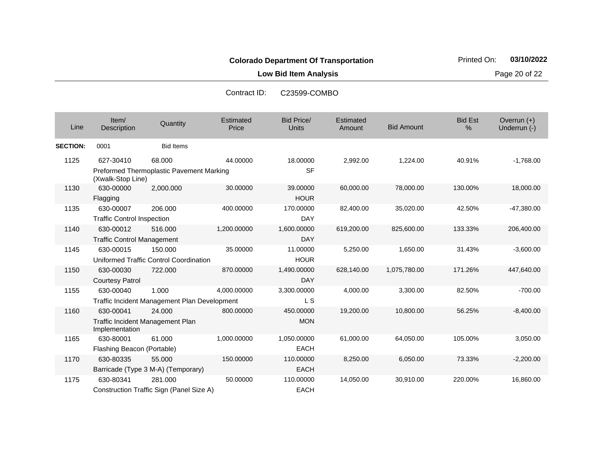**Low Bid Item Analysis Page 20 of 22** 

| Line            | Item/<br>Description                                            | Quantity                                              | <b>Estimated</b><br>Price | <b>Bid Price/</b><br><b>Units</b> | Estimated<br>Amount | <b>Bid Amount</b> | <b>Bid Est</b><br>% | Overrun $(+)$<br>Underrun (-) |
|-----------------|-----------------------------------------------------------------|-------------------------------------------------------|---------------------------|-----------------------------------|---------------------|-------------------|---------------------|-------------------------------|
| <b>SECTION:</b> | 0001                                                            | <b>Bid Items</b>                                      |                           |                                   |                     |                   |                     |                               |
| 1125            | 627-30410                                                       | 68.000<br>Preformed Thermoplastic Pavement Marking    | 44.00000                  | 18.00000<br><b>SF</b>             | 2,992.00            | 1,224.00          | 40.91%              | $-1,768.00$                   |
|                 | (Xwalk-Stop Line)                                               |                                                       |                           |                                   |                     |                   |                     |                               |
| 1130            | 630-00000<br>Flagging                                           | 2,000.000                                             | 30.00000                  | 39.00000<br><b>HOUR</b>           | 60,000.00           | 78,000.00         | 130.00%             | 18,000.00                     |
| 1135            | 630-00007<br><b>Traffic Control Inspection</b>                  | 206.000                                               | 400.00000                 | 170.00000<br><b>DAY</b>           | 82,400.00           | 35,020.00         | 42.50%              | $-47,380.00$                  |
| 1140            | 630-00012<br><b>Traffic Control Management</b>                  | 516.000                                               | 1,200.00000               | 1,600.00000<br><b>DAY</b>         | 619,200.00          | 825,600.00        | 133.33%             | 206,400.00                    |
| 1145            | 630-00015                                                       | 150.000<br>Uniformed Traffic Control Coordination     | 35.00000                  | 11.00000<br><b>HOUR</b>           | 5,250.00            | 1,650.00          | 31.43%              | $-3,600.00$                   |
| 1150            | 630-00030<br><b>Courtesy Patrol</b>                             | 722.000                                               | 870.00000                 | 1,490.00000<br><b>DAY</b>         | 628,140.00          | 1,075,780.00      | 171.26%             | 447,640.00                    |
| 1155            | 630-00040                                                       | 1.000<br>Traffic Incident Management Plan Development | 4,000.00000               | 3,300.00000<br>L S                | 4,000.00            | 3,300.00          | 82.50%              | $-700.00$                     |
| 1160            | 630-00041<br>Traffic Incident Management Plan<br>Implementation | 24.000                                                | 800.00000                 | 450.00000<br><b>MON</b>           | 19,200.00           | 10,800.00         | 56.25%              | $-8,400.00$                   |
| 1165            | 630-80001<br>Flashing Beacon (Portable)                         | 61.000                                                | 1,000.00000               | 1,050.00000<br><b>EACH</b>        | 61,000.00           | 64,050.00         | 105.00%             | 3,050.00                      |
| 1170            | 630-80335                                                       | 55.000<br>Barricade (Type 3 M-A) (Temporary)          | 150.00000                 | 110.00000<br><b>EACH</b>          | 8,250.00            | 6,050.00          | 73.33%              | $-2,200.00$                   |
| 1175            | 630-80341                                                       | 281.000<br>Construction Traffic Sign (Panel Size A)   | 50.00000                  | 110.00000<br><b>EACH</b>          | 14,050.00           | 30,910.00         | 220.00%             | 16,860.00                     |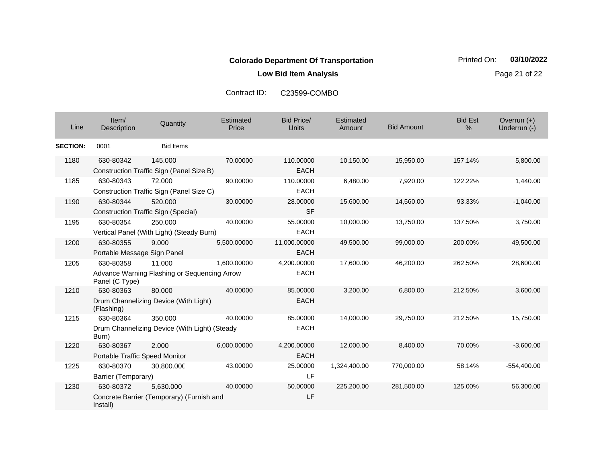**Low Bid Item Analysis Page 21 of 22** 

| Line            | Item/<br>Description                        | Quantity                                                 | Estimated<br>Price | <b>Bid Price/</b><br><b>Units</b> | Estimated<br>Amount | <b>Bid Amount</b> | <b>Bid Est</b><br>% | Overrun $(+)$<br>Underrun (-) |
|-----------------|---------------------------------------------|----------------------------------------------------------|--------------------|-----------------------------------|---------------------|-------------------|---------------------|-------------------------------|
| <b>SECTION:</b> | 0001                                        | <b>Bid Items</b>                                         |                    |                                   |                     |                   |                     |                               |
| 1180            | 630-80342                                   | 145.000<br>Construction Traffic Sign (Panel Size B)      | 70.00000           | 110.00000<br><b>EACH</b>          | 10,150.00           | 15,950.00         | 157.14%             | 5,800.00                      |
| 1185            | 630-80343                                   | 72.000<br>Construction Traffic Sign (Panel Size C)       | 90.00000           | 110.00000<br><b>EACH</b>          | 6,480.00            | 7,920.00          | 122.22%             | 1,440.00                      |
| 1190            | 630-80344                                   | 520,000<br>Construction Traffic Sign (Special)           | 30.00000           | 28.00000<br><b>SF</b>             | 15,600.00           | 14,560.00         | 93.33%              | $-1,040.00$                   |
| 1195            | 630-80354                                   | 250,000<br>Vertical Panel (With Light) (Steady Burn)     | 40.00000           | 55.00000<br><b>EACH</b>           | 10,000.00           | 13,750.00         | 137.50%             | 3,750.00                      |
| 1200            | 630-80355<br>Portable Message Sign Panel    | 9.000                                                    | 5,500.00000        | 11,000.00000<br><b>EACH</b>       | 49,500.00           | 99,000.00         | 200.00%             | 49,500.00                     |
| 1205            | 630-80358<br>Panel (C Type)                 | 11.000<br>Advance Warning Flashing or Sequencing Arrow   | 1,600.00000        | 4,200.00000<br><b>EACH</b>        | 17,600.00           | 46,200.00         | 262.50%             | 28,600.00                     |
| 1210            | 630-80363<br>(Flashing)                     | 80.000<br>Drum Channelizing Device (With Light)          | 40.00000           | 85.00000<br><b>EACH</b>           | 3,200.00            | 6,800.00          | 212.50%             | 3,600.00                      |
| 1215            | 630-80364<br>Burn)                          | 350.000<br>Drum Channelizing Device (With Light) (Steady | 40.00000           | 85.00000<br><b>EACH</b>           | 14,000.00           | 29,750.00         | 212.50%             | 15,750.00                     |
| 1220            | 630-80367<br>Portable Traffic Speed Monitor | 2.000                                                    | 6,000.00000        | 4,200.00000<br><b>EACH</b>        | 12,000.00           | 8,400.00          | 70.00%              | $-3,600.00$                   |
| 1225            | 630-80370<br>Barrier (Temporary)            | 30,800.000                                               | 43.00000           | 25.00000<br>LF                    | 1,324,400.00        | 770,000.00        | 58.14%              | $-554,400.00$                 |
| 1230            | 630-80372<br>Install)                       | 5.630.000<br>Concrete Barrier (Temporary) (Furnish and   | 40.00000           | 50.00000<br>LF                    | 225,200.00          | 281,500.00        | 125.00%             | 56,300.00                     |